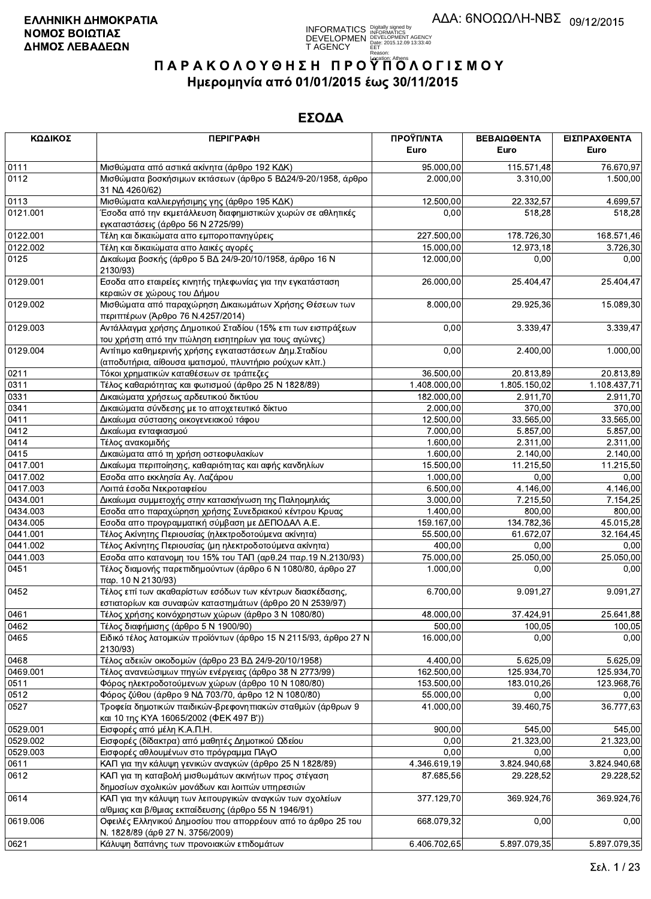**INFORMATICS** Digitally signed by<br>DEVELOPMEN DEVELOPMENT AGENCY<br>T AGENCY Early 2015.12.09 13:33:40<br>T AGENCY Early Construct 2013

# ΠΑΡΑΚΟΛΟΥΘΗΣΗ ΠΡΟΥΠΌΛΟΓΙΣΜΟΥ Ημερομηνία από 01/01/2015 έως 30/11/2015

| ΚΩΔΙΚΟΣ      | <b>ПЕРІГРАФН</b>                                                                                                                                         | ΠΡΟΫΠ/ΝΤΑ<br>Euro   | ΒΕΒΑΙΩΘΕΝΤΑ<br>Euro | ΕΙΣΠΡΑΧΘΕΝΤΑ<br>Euro |
|--------------|----------------------------------------------------------------------------------------------------------------------------------------------------------|---------------------|---------------------|----------------------|
|              |                                                                                                                                                          |                     |                     |                      |
| 0111         | Μισθώματα από αστικά ακίνητα (άρθρο 192 ΚΔΚ)                                                                                                             | 95.000,00           | 115.571,48          | 76.670,97            |
| 0112         | Μισθώματα βοσκήσιμων εκτάσεων (άρθρο 5 ΒΔ24/9-20/1958, άρθρο<br>31 NA 4260/62)                                                                           | 2.000,00            | 3.310,00            | 1.500,00             |
| 0113         | Μισθώματα καλλιεργήσιμης γης (άρθρο 195 ΚΔΚ)                                                                                                             | 12.500,00           | 22.332,57           | 4.699,57             |
| 0121.001     | Έσοδα από την εκμετάλλευση διαφημιστικών χωρών σε αθλητικές<br>εγκαταστάσεις (άρθρο 56 Ν 2725/99)                                                        | 0,00                | 518,28              | 518,28               |
| 0122.001     | Τέλη και δικαιώματα απο εμποροπανηγύρεις                                                                                                                 | 227.500,00          | 178.726,30          | 168.571,46           |
| 0122.002     | Τέλη και δικαιώματα απο λαικές αγορές                                                                                                                    | 15.000,00           | 12.973,18           | 3.726,30             |
| 0125         | Δικαίωμα βοσκής (άρθρο 5 ΒΔ 24/9-20/10/1958, άρθρο 16 Ν<br>2130/93)                                                                                      | 12.000,00           | 0,00                | 0,00                 |
| 0129.001     | Εσοδα απο εταιρείες κινητής τηλεφωνίας για την εγκατάσταση<br>κεραιών σε χώρους του Δήμου                                                                | 26.000,00           | 25.404,47           | 25.404,47            |
| 0129.002     | Μισθώματα από παραχώρηση Δικαιωμάτων Χρήσης Θέσεων των<br>περιπτέρων (Άρθρο 76 Ν.4257/2014)                                                              | 8.000,00            | 29.925,36           | 15.089,30            |
| 0129.003     | Αντάλλαγμα χρήσης Δημοτικού Σταδίου (15% επι των εισπράξεων<br>του χρήστη από την πώληση εισητηρίων για τους αγώνες)                                     | 0,00                | 3.339,47            | 3.339,47             |
| 0129.004     | Αντίτιμο καθημερινής χρήσης εγκαταστάσεων Δημ. Σταδίου<br>(αποδυτήρια, αίθουσα ιματισμού, πλυντήριο ρούχων κλπ.)                                         | 0,00                | 2.400,00            | 1.000,00             |
| 0211         | Τόκοι χρηματικών καταθέσεων σε τράπεζες                                                                                                                  | 36.500,00           | 20.813,89           | 20.813,89            |
| 0311         | Τέλος καθαριότητας και φωτισμού (άρθρο 25 Ν 1828/89)                                                                                                     | 1.408.000,00        | 1.805.150,02        | 1.108.437,71         |
| 0331         | Δικαιώματα χρήσεως αρδευτικού δικτύου                                                                                                                    | 182.000,00          | 2.911,70            | 2.911,70             |
| 0341         | Δικαιώματα σύνδεσης με το αποχετευτικό δίκτυο                                                                                                            | 2.000,00            | 370,00              | 370.00               |
| 0411         | Δικαίωμα σύστασης οικογενειακού τάφου                                                                                                                    | 12.500,00           | 33.565,00           | 33.565,00            |
| 0412         | Δικαίωμα ενταφιασμού                                                                                                                                     | 7.000,00            | 5.857,00            | 5.857,00             |
| 0414         | Τέλος ανακομιδής                                                                                                                                         | 1.600,00            | 2.311,00            | 2.311,00             |
| 0415         | Δικαιώματα από τη χρήση οστεοφυλακίων                                                                                                                    | 1.600,00            | 2.140,00            | 2.140,00             |
| 0417.001     | Δικαίωμα περιποίησης, καθαριότητας και αφής κανδηλίων                                                                                                    | 15.500,00           | 11.215,50           | 11.215,50            |
| 0417.002     | Εσοδα απο εκκλησία Αγ. Λαζάρου                                                                                                                           | 1.000,00            | 0,00                | 0,00                 |
| 0417.003     | Λοιπά έσοδα Νεκροταφείου                                                                                                                                 | 6.500,00            | 4.146,00            | 4.146,00             |
| 0434.001     | Δικαίωμα συμμετοχής στην κατασκήνωση της Παληομηλιάς                                                                                                     | 3.000,00            | 7.215,50            | 7.154,25             |
| 0434.003     | Εσοδα απο παραχώρηση χρήσης Συνεδριακού κέντρου Κρυας                                                                                                    | 1.400,00            | 800,00              | 800,00               |
| 0434.005     | Εσοδα απο προγραμματική σύμβαση με ΔΕΠΟΔΑΛ Α.Ε.                                                                                                          | 159.167,00          | 134.782,36          | 45.015,28            |
| 0441.001     | Τέλος Ακίνητης Περιουσίας (ηλεκτροδοτούμενα ακίνητα)                                                                                                     | 55.500,00           | 61.672,07           | 32.164,45            |
| 0441.002     | Τέλος Ακίνητης Περιουσίας (μη ηλεκτροδοτούμενα ακίνητα)                                                                                                  | 400,00              | 0,00                | 0,00                 |
| 0441.003     | Εσοδα απο κατανομη του 15% του ΤΑΠ (αρθ.24 παρ.19 Ν.2130/93)                                                                                             | 75.000,00           | 25.050,00           | 25.050,00            |
| 0451         | Τέλος διαμονής παρεπιδημούντων (άρθρο 6 Ν 1080/80, άρθρο 27<br>παρ. 10 Ν 2130/93)                                                                        | 1.000,00            | 0,00                | 0,00                 |
| 0452         | Τέλος επί των ακαθαρίστων εσόδων των κέντρων διασκέδασης,<br>εστιατορίων και συναφών καταστημάτων (άρθρο 20 Ν 2539/97)                                   | 6.700,00            | 9.091,27            | 9.091,27             |
| 0461         |                                                                                                                                                          | 48.000,00           | 37.424,91           | 25.641,88            |
|              | Τέλος χρήσης κοινόχρηστων χώρων (άρθρο 3 Ν 1080/80)<br>Τέλος διαφήμισης (άρθρο 5 Ν 1900/90)                                                              |                     |                     | 100,05               |
| 0462<br>0465 | Ειδικό τέλος λατομικών προϊόντων (άρθρο 15 Ν 2115/93, άρθρο 27 Ν<br>2130/93)                                                                             | 500,00<br>16.000,00 | 100,05<br>0,00      | 0,00                 |
| 0468         | Τέλος αδειών οικοδομών (άρθρο 23 ΒΔ 24/9-20/10/1958)                                                                                                     | 4.400,00            | 5.625,09            | 5.625.09             |
| 0469.001     | Τέλος ανανεώσιμων πηγών ενέργειας (άρθρο 38 Ν 2773/99)                                                                                                   | 162.500,00          | 125.934,70          | 125.934.70           |
| 0511         | Φόρος ηλεκτροδοτούμενων χώρων (άρθρο 10 Ν 1080/80)                                                                                                       | 153.500,00          | 183.010,26          | 123.968,76           |
| 0512         | Φόρος ζύθου (άρθρο 9 ΝΔ 703/70, άρθρο 12 Ν 1080/80)                                                                                                      | 55.000,00           | 0,00                | 0,00                 |
| 0527         | Τροφεία δημοτικών παιδικών-βρεφονηπιακών σταθμών (άρθρων 9                                                                                               | 41.000,00           | 39.460,75           | 36.777,63            |
|              | και 10 της ΚΥΑ 16065/2002 (ΦΕΚ 497 Β'))                                                                                                                  |                     |                     |                      |
| 0529.001     | Εισφορές από μέλη Κ.Α.Π.Η.                                                                                                                               | 900,00              | 545,00              | 545,00               |
| 0529.002     | Εισφορές (δίδακτρα) από μαθητές Δημοτικού Ωδείου                                                                                                         | 0,00                | 21.323,00           | 21.323,00            |
| 0529.003     | Εισφορές αθλουμένων στο πρόγραμμα ΠΑγΟ                                                                                                                   | 0,00                | 0,00                | 0,00                 |
| 0611         | ΚΑΠ για την κάλυψη γενικών αναγκών (άρθρο 25 Ν 1828/89)                                                                                                  | 4.346.619,19        | 3.824.940,68        | 3.824.940,68         |
| 0612         | ΚΑΠ για τη καταβολή μισθωμάτων ακινήτων προς στέγαση<br>δημοσίων σχολικών μονάδων και λοιπών υπηρεσιών                                                   | 87.685,56           | 29.228,52           | 29.228,52            |
| 0614         | ΚΑΠ για την κάλυψη των λειτουργικών αναγκών των σχολείων                                                                                                 | 377.129,70          | 369.924,76          | 369.924,76           |
| 0619.006     | α/θμιας και β/θμιας εκπαίδευσης (άρθρο 55 Ν 1946/91)<br>Οφειλές Ελληνικού Δημοσίου που απορρέουν από το άρθρο 25 του<br>Ν. 1828/89 (άρθ 27 Ν. 3756/2009) | 668.079,32          | 0,00                | 0,00                 |
| 0621         | Κάλυψη δαπάνης των προνοιακών επιδομάτων                                                                                                                 | 6.406.702,65        | 5.897.079.35        | 5.897.079.35         |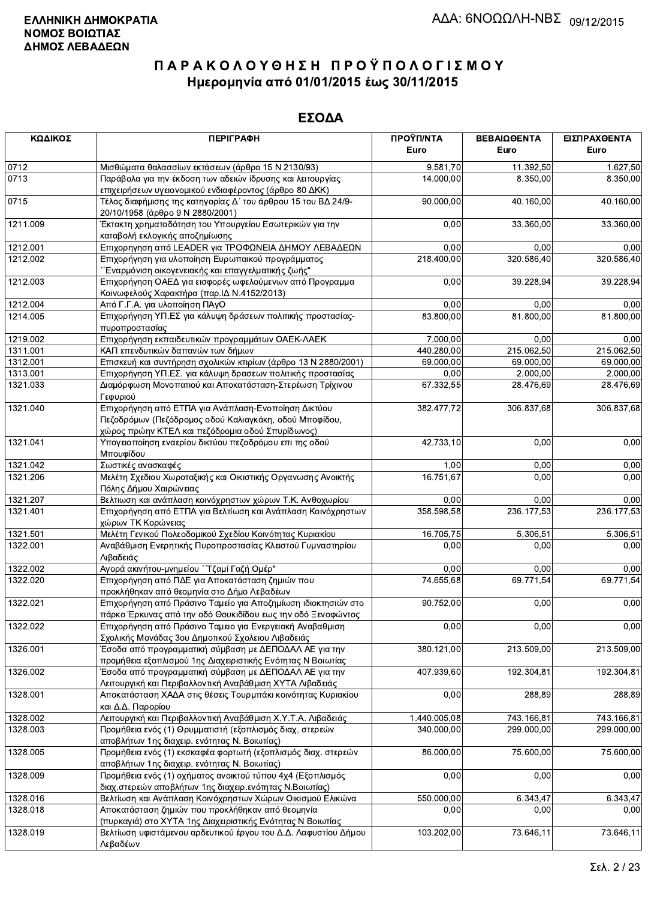| ΚΩΔΙΚΟΣ  | <b>ПЕРІГРАФН</b>                                                                                                                                                  | ΠΡΟΫΠ/ΝΤΑ    | ΒΕΒΑΙΩΘΕΝΤΑ | ΕΙΣΠΡΑΧΘΕΝΤΑ |
|----------|-------------------------------------------------------------------------------------------------------------------------------------------------------------------|--------------|-------------|--------------|
|          |                                                                                                                                                                   | Euro         | Euro        | Euro         |
| 0712     | Μισθώματα θαλασσίων εκτάσεων (άρθρο 15 Ν 2130/93)                                                                                                                 | 9.581,70     | 11.392,50   | 1.627,50     |
| 0713     | Παράβολα για την έκδοση των αδειών ίδρυσης και λειτουργίας<br>επιχειρήσεων υγειονομικού ενδιαφέροντος (άρθρο 80 ΔΚΚ)                                              | 14.000,00    | 8.350,00    | 8.350,00     |
| 0715     | Τέλος διαφήμισης της κατηγορίας Δ΄ του άρθρου 15 του ΒΔ 24/9-<br>20/10/1958 (άρθρο 9 Ν 2880/2001)                                                                 | 90.000,00    | 40.160,00   | 40.160,00    |
| 1211.009 | Έκτακτη χρηματοδότηση του Υπουργείου Εσωτερικών για την<br>καταβολή εκλογικής αποζημίωσης                                                                         | 0,00         | 33.360,00   | 33.360,00    |
| 1212.001 | Επιχορηγηση από LEADER για ΤΡΟΦΩΝΕΙΑ ΔΗΜΟΥ ΛΕΒΑΔΕΩΝ                                                                                                               | 0,00         | 0,00        | 0,00         |
| 1212.002 | Επιχορήγηση για υλοποίηση Ευρωπαικού προγράμματος<br>"Έναρμόνιση οικογενειακής και επαγγελματικής ζωής"                                                           | 218.400,00   | 320.586,40  | 320.586,40   |
| 1212.003 | Επιχορήγηση ΟΑΕΔ για εισφορές ωφελούμενων από Προγραμμα<br>Κοινωφελούς Χαρακτήρα (παρ. ΙΔ Ν.4152/2013)                                                            | 0,00         | 39.228,94   | 39.228,94    |
| 1212.004 | Από Γ.Γ.Α. για υλοποίηση ΠΑγΟ                                                                                                                                     | 0,00         | 0,00        | 0,00         |
| 1214.005 | Επιχορήγηση ΥΠ.ΕΣ για κάλυψη δράσεων πολιτικής προστασίας-<br>πυροπροστασίας                                                                                      | 83.800,00    | 81.800,00   | 81.800,00    |
| 1219.002 | Επιχορήγηση εκπαιδευτικών προγραμμάτων ΟΑΕΚ-ΛΑΕΚ                                                                                                                  | 7.000,00     | 0,00        | 0,00         |
| 1311.001 | ΚΑΠ επενδυτικών δαπανών των δήμων                                                                                                                                 | 440.280,00   | 215.062,50  | 215.062,50   |
| 1312.001 | Επισκευή και συντήρηση σχολικών κτιρίων (άρθρο 13 Ν 2880/2001)                                                                                                    | 69.000,00    | 69.000,00   | 69.000,00    |
| 1313.001 | Επιχορήγηση ΥΠ.ΕΣ. για κάλυψη δρασεων πολιτικής προστασίας                                                                                                        | 0,00         | 2.000,00    | 2.000,00     |
| 1321.033 | Διαμόρφωση Μονοπατιού και Αποκατάσταση-Στερέωση Τρίχινου<br>Γεφυριού                                                                                              | 67.332,55    | 28.476,69   | 28.476,69    |
| 1321.040 | Επιχορήγηση από ΕΤΠΑ για Ανάπλαση-Ενοποίηση Δικτύου<br>Πεζοδρόμων (Πεζόδρομος οδού Καλιαγκάκη, οδού Μποφίδου,<br>χώρος πρώην ΚΤΕΛ και πεζόδρομια οδού Σπυρίδωνος) | 382.477,72   | 306.837,68  | 306.837,68   |
| 1321.041 | Υπογειοποίηση εναερίου δικτύου πεζοδρόμου επι της οδού<br>Μπουφίδου                                                                                               | 42.733,10    | 0,00        | 0,00         |
| 1321.042 | Σωστικές ανασκαφές                                                                                                                                                | 1,00         | 0,00        | 0,00         |
| 1321.206 | Μελέτη Σχεδιου Χωροταξικής και Οικιστικής Οργανωσης Ανοικτής<br>Πόλης Δήμου Χαιρώνειας                                                                            | 16.751,67    | 0,00        | 0,00         |
| 1321.207 | Βελτιωση και ανάπλαση κοινόχρηστων χώρων Τ.Κ. Ανθοχωρίου                                                                                                          | 0,00         | 0,00        | 0,00         |
| 1321.401 | Επιχορήγηση από ΕΤΠΑ για Βελτίωση και Ανάπλαση Κοινόχρηστων<br>χώρων ΤΚ Κορώνειας                                                                                 | 358.598,58   | 236.177,53  | 236.177,53   |
| 1321.501 | Μελέτη Γενικού Πολεοδομικού Σχεδίου Κοινότητας Κυριακίου                                                                                                          | 16.705,75    | 5.306,51    | 5.306,51     |
| 1322.001 | Αναβάθμιση Ενερητικής Πυροπροστασίας Κλειστού Γυμναστηρίου<br>Λιβαδειάς                                                                                           | 0,00         | 0,00        | 0,00         |
| 1322.002 | Αγορά ακινήτου-μνημείου ΄΄Τζαμί Γαζή Ομέρ"                                                                                                                        | 0,00         | 0,00        | 0,00         |
| 1322.020 | Επιχορήγηση από ΠΔΕ για Αποκατάσταση ζημιών που<br>προκλήθηκαν από θεομηνία στο Δήμο Λεβαδέων                                                                     | 74.655,68    | 69.771,54   | 69.771,54    |
| 1322.021 | Επιχορήγηση από Πράσινο Ταμείο για Αποζημίωση ιδιοκτησιών στο<br>πάρκο Έρκυνας από την οδό Θουκιδίδου εως την οδό Ξενοφώντος                                      | 90.752,00    | 0,00        | 0,00         |
| 1322.022 | Επιχορήγηση από Πράσινο Ταμειο για Ενεργειακή Αναβαθμιση<br>Σχολικής Μονάδας 3ου Δημοτικού Σχολειου Λιβαδειάς                                                     | 0,00         | 0,00        | 0,00         |
| 1326.001 | Έσοδα από προγραμματική σύμβαση με ΔΕΠΟΔΑΛ ΑΕ για την<br>προμήθεια εξοπλισμού 1ης Διαχειριστικής Ενότητας Ν Βοιωτίας                                              | 380.121,00   | 213.509,00  | 213.509,00   |
| 1326.002 | Έσοδα από προγραμματική σύμβαση με ΔΕΠΟΔΑΛ ΑΕ για την<br>Λειτουργική και Περιβαλλοντική Αναβάθμιση ΧΥΤΑ Λιβαδειάς                                                 | 407.939,60   | 192.304,81  | 192.304,81   |
| 1328.001 | Αποκατάσταση ΧΑΔΑ στις θέσεις Τουρμπάκι κοινότητας Κυριακίου<br>και Δ.Δ. Παρορίου                                                                                 | 0,00         | 288,89      | 288,89       |
| 1328.002 | Λειτουργική και Περιβαλλοντική Αναβάθμιση Χ.Υ.Τ.Α. Λιβαδειάς                                                                                                      | 1.440.005,08 | 743.166,81  | 743.166,81   |
| 1328.003 | Προμήθεια ενός (1) Θρυμματιστή (εξοπλισμός διαχ. στερεών<br>αποβλήτων 1ης διαχειρ. ενότητας Ν. Βοιωτίας)                                                          | 340.000,00   | 299.000,00  | 299.000,00   |
| 1328.005 | Προμήθεια ενός (1) εκσκαφέα φορτωτή (εξοπλισμός διαχ. στερεών<br>αποβλήτων 1ης διαχειρ. ενότητας Ν. Βοιωτίας)                                                     | 86.000,00    | 75.600,00   | 75.600,00    |
| 1328.009 | Προμήθεια ενός (1) οχήματος ανοικτού τύπου 4χ4 (Εξοπλισμός<br>διαχ.στερεών αποβλήτων 1ης διαχειρ.ενότητας Ν.Βοιωτίας)                                             | 0,00         | 0,00        | 0,00         |
| 1328.016 | Βελτίωση και Ανάπλαση Κοινόχρηστων Χώρων Οικισμού Ελικώνα                                                                                                         | 550.000,00   | 6.343,47    | 6.343,47     |
| 1328.018 | Αποκατάσταση ζημιών που προκλήθηκαν από θεομηνία<br>(πυρκαγιά) στο ΧΥΤΑ 1ης Διαχειριστικής Ενότητας Ν Βοιωτίας                                                    | 0.00         | 0,00        | 0,00         |
| 1328.019 | Βελτίωση υφιστάμενου αρδευτικού έργου του Δ.Δ. Λαφυστίου Δήμου<br>Λεβαδέων                                                                                        | 103.202,00   | 73.646,11   | 73.646,11    |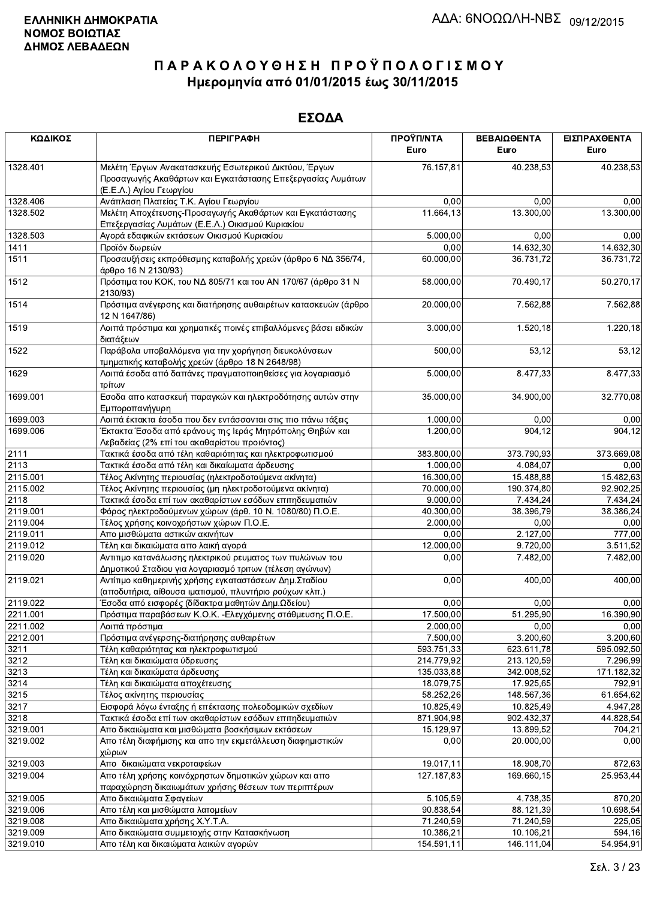| ΚΩΔΙΚΟΣ      | <b>ПЕРІГРАФН</b>                                                                                                                              | ΠΡΟΫΠ/ΝΤΑ<br>Euro       | ΒΕΒΑΙΩΘΕΝΤΑ<br>Euro     | ΕΙΣΠΡΑΧΘΕΝΤΑ<br>Euro |
|--------------|-----------------------------------------------------------------------------------------------------------------------------------------------|-------------------------|-------------------------|----------------------|
|              |                                                                                                                                               |                         |                         |                      |
| 1328.401     | Μελέτη Έργων Ανακατασκευής Εσωτερικού Δικτύου, Έργων<br>Προσαγωγής Ακαθάρτων και Εγκατάστασης Επεξεργασίας Λυμάτων<br>(Ε.Ε.Λ.) Αγίου Γεωργίου | 76.157,81               | 40.238,53               | 40.238,53            |
| 1328.406     | Ανάπλαση Πλατείας Τ.Κ. Αγίου Γεωργίου                                                                                                         | 0,00                    | 0,00                    | 0,00                 |
| 1328.502     | Μελέτη Αποχέτευσης-Προσαγωγής Ακαθάρτων και Εγκατάστασης<br>Επεξεργασίας Λυμάτων (Ε.Ε.Λ.) Οικισμού Κυριακίου                                  | $\overline{11.664, 13}$ | 13.300,00               | 13.300,00            |
| 1328.503     | Αγορά εδαφικών εκτάσεων Οικισμού Κυριακίου                                                                                                    | 5.000,00                | 0,00                    | 0,00                 |
| 1411         | Προϊόν δωρεών                                                                                                                                 | 0,00                    | 14.632,30               | 14.632,30            |
| 1511         | Προσαυξήσεις εκπρόθεσμης καταβολής χρεών (άρθρο 6 ΝΔ 356/74,<br>άρθρο 16 Ν 2130/93)                                                           | 60.000,00               | 36.731,72               | 36.731,72            |
| 1512         | Πρόστιμα του ΚΟΚ, του ΝΔ 805/71 και του ΑΝ 170/67 (άρθρο 31 Ν<br>2130/93)                                                                     | 58.000,00               | 70.490,17               | 50.270,17            |
| 1514         | Πρόστιμα ανέγερσης και διατήρησης αυθαιρέτων κατασκευών (άρθρο<br>12 N 1647/86)                                                               | 20.000,00               | 7.562,88                | 7.562,88             |
| 1519         | Λοιπά πρόστιμα και χρηματικές ποινές επιβαλλόμενες βάσει ειδικών<br>διατάξεων                                                                 | 3.000,00                | 1.520, 18               | 1.220,18             |
| 1522         | Παράβολα υποβαλλόμενα για την χορήγηση διευκολύνσεων<br>τμηματικής καταβολής χρεών (άρθρο 18 Ν 2648/98)                                       | 500,00                  | 53,12                   | 53,12                |
| 1629         | Λοιπά έσοδα από δαπάνες πραγματοποιηθείσες για λογαριασμό<br>τρίτων                                                                           | 5.000,00                | 8.477,33                | 8.477,33             |
| 1699.001     | Εσοδα απο κατασκευή παραγκών και ηλεκτροδότησης αυτών στην<br>Εμποροπανήγυρη                                                                  | 35.000,00               | 34.900,00               | 32.770,08            |
| 1699.003     | Λοιπά έκτακτα έσοδα που δεν εντάσσονται στις πιο πάνω τάξεις                                                                                  | 1.000,00                | 0,00                    | 0,00                 |
| 1699.006     | Έκτακτα Έσοδα από εράνους της Ιεράς Μητρόπολης Θηβών και<br>Λεβαδείας (2% επί του ακαθαρίστου προιόντος)                                      | 1.200,00                | 904, 12                 | 904,12               |
| 2111         | Τακτικά έσοδα από τέλη καθαριότητας και ηλεκτροφωτισμού                                                                                       | 383.800,00              | 373.790,93              | 373.669,08           |
| 2113         | Τακτικά έσοδα από τέλη και δικαίωματα άρδευσης                                                                                                | 1.000,00                | 4.084,07                | 0,00                 |
| 2115.001     | Τέλος Ακίνητης περιουσίας (ηλεκτροδοτούμενα ακίνητα)                                                                                          | 16.300,00               | 15.488,88               | 15.482,63            |
| 2115.002     | Τέλος Ακίνητης περιουσίας (μη ηλεκτροδοτούμενα ακίνητα)                                                                                       | 70.000,00               | 190.374,80              | 92.902,25            |
| 2118         | Τακτικά έσοδα επί των ακαθαρίστων εσόδων επιτηδευματιών                                                                                       | 9.000,00                | 7.434,24                | 7.434,24             |
| 2119.001     | Φόρος ηλεκτροδούμενων χώρων (άρθ. 10 Ν. 1080/80) Π.Ο.Ε.                                                                                       | 40.300,00               | 38.396,79               | 38.386,24            |
| 2119.004     | Τέλος χρήσης κοινοχρήστων χώρων Π.Ο.Ε.                                                                                                        | 2.000,00                | 0,00                    | 0,00                 |
| 2119.011     | Απο μισθώματα αστικών ακινήτων                                                                                                                | 0,00                    | 2.127,00                | 777,00               |
| 2119.012     | Τέλη και δικαιώματα απο λαική αγορά                                                                                                           | 12.000,00               | 9.720,00                | 3.511,52             |
| 2119.020     | Αντιτιμο κατανάλωσης ηλεκτρικού ρευματος των πυλώνων του<br>Δημοτικού Σταδιου για λογαριασμό τριτων (τέλεση αγώνων)                           | 0,00                    | 7.482,00                | 7.482,00             |
| 2119.021     | Αντίτιμο καθημερινής χρήσης εγκαταστάσεων Δημ. Σταδίου<br>(αποδυτήρια, αίθουσα ιματισμού, πλυντήριο ρούχων κλπ.)                              | 0,00                    | 400,00                  | 400,00               |
| 2119.022     | Έσοδα από εισφορές (δίδακτρα μαθητών Δημ.Ωδείου)                                                                                              | 0,00                    | 0,00                    | 0,00                 |
| 2211.001     | Πρόστιμα παραβάσεων Κ.Ο.Κ. -Ελεγχόμενης στάθμευσης Π.Ο.Ε.                                                                                     | 17.500,00               | 51.295,90               | 16.390,90            |
| 2211.002     | Λοιπά πρόστιμα                                                                                                                                | 2.000,00                | 0,00                    | 0,00                 |
| 2212.001     | Πρόστιμα ανέγερσης-διατήρησης αυθαιρέτων                                                                                                      | 7.500,00                | 3.200.60                | 3.200,60             |
| 3211         | Τέλη καθαριότητας και ηλεκτροφωτισμού                                                                                                         | 593.751,33              | 623.611,78              | 595.092,50           |
| 3212         | Τέλη και δικαιώματα ύδρευσης                                                                                                                  | 214.779,92              | 213.120,59              | 7.296,99             |
| 3213         | Τέλη και δικαιώματα άρδευσης                                                                                                                  | 135.033,88              | 342.008,52              | 171.182,32           |
| 3214         | Τέλη και δικαιώματα αποχέτευσης                                                                                                               | 18.079,75               | 17.925,65               | 792,91               |
| 3215         | Τέλος ακίνητης περιουσίας<br>Εισφορά λόγω ένταξης ή επέκτασης πολεοδομικών σχεδίων                                                            | 58.252,26               | 148.567,36              | 61.654,62            |
| 3217<br>3218 |                                                                                                                                               | 10.825,49               | 10.825,49<br>902.432,37 | 4.947,28             |
|              | Τακτικά έσοδα επί των ακαθαρίστων εσόδων επιτηδευματιών                                                                                       | 871.904,98              |                         | 44.828,54            |
| 3219.001     | Απο δικαιώματα και μισθώματα βοσκήσιμων εκτάσεων                                                                                              | 15.129,97               | 13.899,52               | 704,21               |
| 3219.002     | Απο τέλη διαφήμισης και απο την εκμετάλλευση διαφημιστικών<br>χώρων                                                                           | 0,00                    | 20.000,00               | 0,00                 |
| 3219.003     | Απο δικαιώματα νεκροταφείων                                                                                                                   | 19.017,11               | 18.908,70               | 872,63               |
| 3219.004     | Απο τέλη χρήσης κοινόχρηστων δημοτικών χώρων και απο<br>παραχώρηση δικαιωμάτων χρήσης θέσεων των περιπτέρων                                   | 127.187,83              | 169.660,15              | 25.953,44            |
| 3219.005     | Απο δικαιώματα Σφαγείων                                                                                                                       | 5.105,59                | 4.738,35                | 870,20               |
| 3219.006     | Απο τέλη και μισθώματα λατομείων                                                                                                              | 90.838,54               | 88.121,39               | 10.698,54            |
| 3219.008     | Απο δικαιώματα χρήσης Χ.Υ.Τ.Α.                                                                                                                | 71.240,59               | 71.240,59               | 225,05               |
| 3219.009     | Απο δικαιώματα συμμετοχής στην Κατασκήνωση                                                                                                    | 10.386,21               | 10.106,21               | 594,16               |
| 3219.010     | Απο τέλη και δικαιώματα λαικών ανορών                                                                                                         | 154.591.11              | 146.111.04              | 54.954.91            |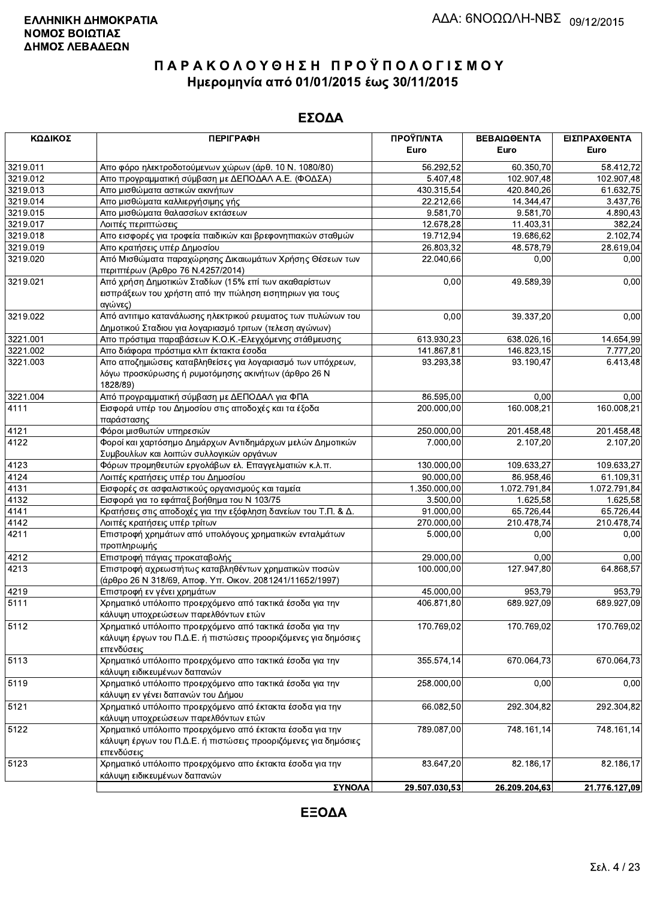#### ΕΣΟΔΑ

| ΚΩΔΙΚΟΣ  | <b>ПЕРІГРАФН</b>                                                                                                               | ΠΡΟΫΠ/ΝΤΑ             | ΒΕΒΑΙΩΘΕΝΤΑ   | ΕΙΣΠΡΑΧΘΕΝΤΑ  |
|----------|--------------------------------------------------------------------------------------------------------------------------------|-----------------------|---------------|---------------|
|          |                                                                                                                                | Euro                  | Euro          | Euro          |
| 3219.011 | Απο φόρο ηλεκτροδοτούμενων χώρων (άρθ. 10 Ν. 1080/80)                                                                          | 56.292,52             | 60.350,70     | 58.412,72     |
| 3219.012 | Απο προγραμματική σύμβαση με ΔΕΠΟΔΑΛ Α.Ε. (ΦΟΔΣΑ)                                                                              | 5.407,48              | 102.907,48    | 102.907,48    |
| 3219.013 | Απο μισθώματα αστικών ακινήτων                                                                                                 | 430.315,54            | 420.840,26    | 61.632,75     |
| 3219.014 | Απο μισθώματα καλλιεργήσιμης γής                                                                                               | 22.212,66             | 14.344,47     | 3.437,76      |
| 3219.015 | Απο μισθώματα θαλασσίων εκτάσεων                                                                                               | $\overline{9.58}1,70$ | 9.581,70      | 4.890,43      |
| 3219.017 | Λοιπές περιπτώσεις                                                                                                             | 12.678,28             | 11.403,31     | 382,24        |
| 3219.018 | Απο εισφορές για τροφεία παιδικών και βρεφονηπιακών σταθμών                                                                    | 19.712,94             | 19.686,62     | 2.102,74      |
| 3219.019 | Απο κρατήσεις υπέρ Δημοσίου                                                                                                    | 26.803,32             | 48.578,79     | 28.619,04     |
| 3219.020 | Από Μισθώματα παραχώρησης Δικαιωμάτων Χρήσης Θέσεων των                                                                        | 22.040,66             | 0,00          | 0,00          |
| 3219.021 | περιπτέρων (Άρθρο 76 Ν.4257/2014)<br>Από χρήση Δημοτικών Σταδίων (15% επί των ακαθαρίστων                                      | 0,00                  | 49.589,39     | 0,00          |
|          | εισπράξεων του χρήστη από την πώληση εισητηριων για τους                                                                       |                       |               |               |
|          | αγώνες)                                                                                                                        |                       |               |               |
| 3219.022 | Από αντιτιμο κατανάλωσης ηλεκτρικού ρευματος των πυλώνων του                                                                   | 0,00                  | 39.337,20     | 0,00          |
|          | Δημοτικού Σταδιου για λογαριασμό τριτων (τελεση αγώνων)                                                                        |                       |               |               |
| 3221.001 | Απο πρόστιμα παραβάσεων Κ.Ο.Κ.-Ελεγχόμενης στάθμευσης                                                                          | 613.930,23            | 638.026,16    | 14.654,99     |
| 3221.002 | Απο διάφορα πρόστιμα κλπ έκτακτα έσοδα                                                                                         | 141.867,81            | 146.823,15    | 7.777,20      |
| 3221.003 | Απο αποζημιώσεις καταβληθείσες για λογαριασμό των υπόχρεων,<br>λόγω προσκύρωσης ή ρυμοτόμησης ακινήτων (άρθρο 26 Ν<br>1828/89) | 93.293,38             | 93.190,47     | 6.413,48      |
| 3221.004 | Από προγραμματική σύμβαση με ΔΕΠΟΔΑΛ για ΦΠΑ                                                                                   | 86.595,00             | 0,00          | 0,00          |
| 4111     | Εισφορά υπέρ του Δημοσίου στις αποδοχές και τα έξοδα<br>παράστασης                                                             | 200.000,00            | 160.008,21    | 160.008,21    |
| 4121     | Φόροι μισθωτών υπηρεσιών                                                                                                       | 250.000,00            | 201.458,48    | 201.458,48    |
| 4122     | Φοροί και χαρτόσημο Δημάρχων Αντιδημάρχων μελών Δημοτικών                                                                      | 7.000,00              | 2.107,20      | 2.107,20      |
|          | Συμβουλίων και λοιπών συλλογικών οργάνων                                                                                       |                       |               |               |
| 4123     | Φόρων προμηθευτών εργολάβων ελ. Επαγγελματιών κ.λ.π.                                                                           | 130.000,00            | 109.633,27    | 109.633,27    |
| 4124     | Λοιπές κρατήσεις υπέρ του Δημοσίου                                                                                             | 90.000,00             | 86.958,46     | 61.109,31     |
| 4131     | Εισφορές σε ασφαλιστικούς οργανισμούς και ταμεία                                                                               | 1.350.000,00          | 1.072.791,84  | 1.072.791,84  |
| 4132     | Εισφορά για το εφάπαξ βοήθημα του Ν 103/75                                                                                     | 3.500,00              | 1.625,58      | 1.625,58      |
| 4141     | Κρατήσεις στις αποδοχές για την εξόφληση δανείων του Τ.Π. & Δ.                                                                 | 91.000,00             | 65.726,44     | 65.726,44     |
| 4142     | Λοιπές κρατήσεις υπέρ τρίτων                                                                                                   | 270.000,00            | 210.478,74    | 210.478,74    |
| 4211     | Επιστροφή χρημάτων από υπολόγους χρηματικών ενταλμάτων<br>προπληρωμής                                                          | 5.000,00              | 0,00          | 0,00          |
| 4212     | Επιστροφή πάγιας προκαταβολής                                                                                                  | 29.000,00             | 0,00          | 0,00          |
| 4213     | Επιστροφή αχρεωστήτως καταβληθέντων χρηματικών ποσών                                                                           | 100.000,00            | 127.947,80    | 64.868,57     |
|          | (άρθρο 26 Ν 318/69, Αποφ. Υπ. Οικον. 2081241/11652/1997)                                                                       |                       |               |               |
| 4219     | Επιστροφή εν γένει χρημάτων                                                                                                    | 45.000,00             | 953,79        | 953,79        |
| 5111     | Χρηματικό υπόλοιπο προερχόμενο από τακτικά έσοδα για την                                                                       | 406.871,80            | 689.927,09    | 689.927,09    |
|          | κάλυψη υποχρεώσεων παρελθόντων ετών                                                                                            |                       |               |               |
| 5112     | Χρηματικό υπόλοιπο προερχόμενο από τακτικά έσοδα για την                                                                       | 170.769,02            | 170.769,02    | 170.769,02    |
|          | κάλυψη έργων του Π.Δ.Ε. ή πιστώσεις προοριζόμενες για δημόσιες                                                                 |                       |               |               |
|          | επενδύσεις<br>Χρηματικό υπόλοιπο προερχόμενο απο τακτικά έσοδα για την                                                         |                       |               |               |
| 5113     | κάλυψη ειδικευμένων δαπανών                                                                                                    | 355.574,14            | 670.064,73    | 670.064,73    |
| 5119     | Χρηματικό υπόλοιπο προερχόμενο απο τακτικά έσοδα για την                                                                       | 258.000,00            | 0,00          | 0,00          |
|          | κάλυψη εν γένει δαπανών του Δήμου                                                                                              |                       |               |               |
| 5121     | Χρηματικό υπόλοιπο προερχόμενο από έκτακτα έσοδα για την                                                                       | 66.082,50             | 292.304,82    | 292.304,82    |
|          | κάλυψη υποχρεώσεων παρελθόντων ετών                                                                                            |                       |               |               |
| 5122     | Χρηματικό υπόλοιπο προερχόμενο από έκτακτα έσοδα για την                                                                       | 789.087,00            | 748.161,14    | 748.161,14    |
|          | κάλυψη έργων του Π.Δ.Ε. ή πιστώσεις προοριζόμενες για δημόσιες<br>επενδύσεις                                                   |                       |               |               |
| 5123     | Χρηματικό υπόλοιπο προερχόμενο απο έκτακτα έσοδα για την<br>κάλυψη ειδικευμένων δαπανών                                        | 83.647,20             | 82.186,17     | 82.186,17     |
|          | ΣΥΝΟΛΑ                                                                                                                         | 29.507.030,53         | 26.209.204,63 | 21.776.127,09 |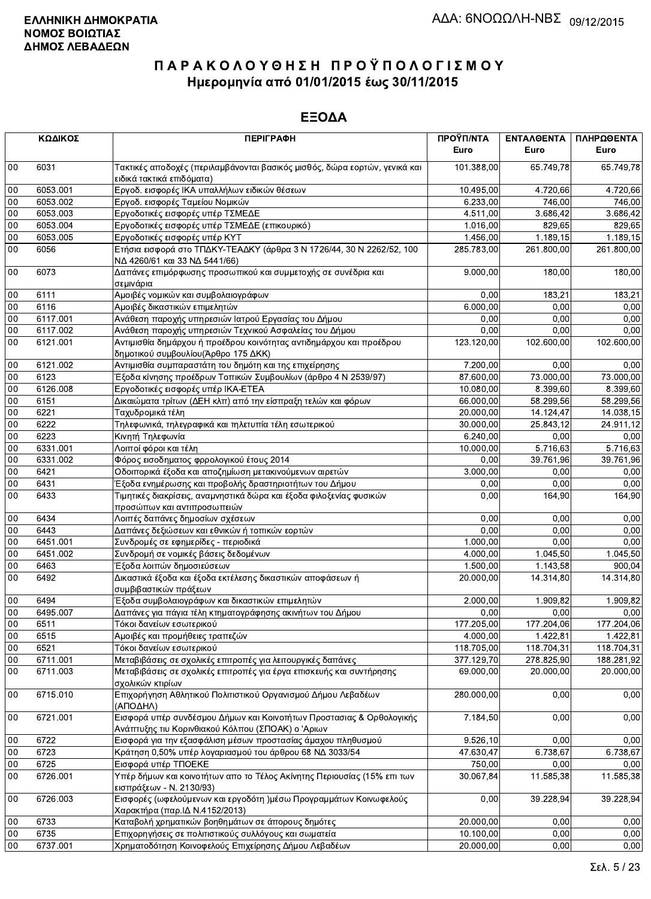|               | ΚΩΔΙΚΟΣ  | <b>ПЕРІГРАФН</b>                                                                                                          | ΠΡΟΫΠ/ΝΤΑ<br>Euro | ΕΝΤΑΛΘΕΝΤΑ<br>Euro | ΠΛΗΡΩΘΕΝΤΑ<br>Euro |
|---------------|----------|---------------------------------------------------------------------------------------------------------------------------|-------------------|--------------------|--------------------|
| $00\,$        | 6031     | Τακτικές αποδοχές (περιλαμβάνονται βασικός μισθός, δώρα εορτών, γενικά και<br>ειδικά τακτικά επιδόματα)                   | 101.388,00        | 65.749,78          | 65.749,78          |
| 00            | 6053.001 | Εργοδ. εισφορές ΙΚΑ υπαλλήλων ειδικών θέσεων                                                                              | 10 495,00         | 4.720,66           | 4.720,66           |
| 00            | 6053.002 | Εργοδ. εισφορές Ταμείου Νομικών                                                                                           | 6.233,00          | 746,00             | 746,00             |
| 00            | 6053.003 | Εργοδοτικές εισφορές υπέρ ΤΣΜΕΔΕ                                                                                          | 4.511,00          | 3.686,42           | 3.686,42           |
| 00            | 6053.004 | Εργοδοτικές εισφορές υπέρ ΤΣΜΕΔΕ (επικουρικό)                                                                             | 1.016,00          | 829,65             | 829,65             |
| 00            | 6053.005 | Εργοδοτικές εισφορές υπέρ ΚΥΤ                                                                                             | 1.456,00          | 1.189,15           | 1.189,15           |
| $00\,$        | 6056     | Ετήσια εισφορά στο ΤΠΔΚΥ-ΤΕΑΔΚΥ (άρθρα 3 Ν 1726/44, 30 Ν 2262/52, 100<br>ΝΔ 4260/61 και 33 ΝΔ 5441/66)                    | 285.783,00        | 261.800,00         | 261.800,00         |
| $00\,$        | 6073     | Δαπάνες επιμόρφωσης προσωπικού και συμμετοχής σε συνέδρια και<br>σεμινάρια                                                | 9.000,00          | 180,00             | 180,00             |
| $00\,$        | 6111     | Αμοιβές νομικών και συμβολαιογράφων                                                                                       | 0,00              | 183,21             | 183,21             |
| 00            | 6116     | Αμοιβές δικαστικών επιμελητών                                                                                             | 6.000,00          | 0,00               | 0,00               |
| 00            | 6117.001 | Ανάθεση παροχής υπηρεσιών Ιατρού Εργασίας του Δήμου                                                                       | 0,00              | 0,00               | 0,00               |
| 00            | 6117.002 | Ανάθεση παροχής υπηρεσιών Τεχνικού Ασφαλείας του Δήμου                                                                    | 0,00              | 0,00               | 0,00               |
| $00\,$        | 6121.001 | Αντιμισθία δημάρχου ή προέδρου κοινότητας αντιδημάρχου και προέδρου<br>δημοτικού συμβουλίου (Άρθρο 175 ΔΚΚ)               | 123.120,00        | 102.600,00         | 102.600,00         |
| 00            | 6121.002 | Αντιμισθία συμπαραστάτη του δημότη και της επιχείρησης                                                                    | 7.200,00          | 0,00               | 0,00               |
| 00            | 6123     | Έξοδα κίνησης προέδρων Τοπικών Συμβουλίων (άρθρο 4 Ν 2539/97)                                                             | 87.600,00         | 73.000,00          | 73.000,00          |
| 00            | 6126.008 | Εργοδοτικές εισφορές υπέρ ΙΚΑ-ΕΤΕΑ                                                                                        | 10.080,00         | 8.399,60           | 8.399.60           |
| 00            | 6151     | Δικαιώματα τρίτων (ΔΕΗ κλπ) από την είσπραξη τελών και φόρων                                                              | 66.000,00         | 58.299,56          | 58.299,56          |
| 00            |          |                                                                                                                           |                   |                    |                    |
|               | 6221     | Ταχυδρομικά τέλη                                                                                                          | 20.000,00         | 14.124,47          | 14.038,15          |
| 00            | 6222     | Τηλεφωνικά, τηλεγραφικά και τηλετυπία τέλη εσωτερικού                                                                     | 30.000,00         | 25.843,12          | 24.911,12          |
| 00            | 6223     | Κινητή Τηλεφωνία                                                                                                          | 6.240,00          | 0,00               | 0,00               |
| 00            | 6331.001 | Λοιποί φόροι και τέλη                                                                                                     | 10.000,00         | 5.716,63           | 5.716,63           |
| 00            | 6331.002 | Φόρος εισοδηματος φρρολογικού έτους 2014                                                                                  | 0,00              | 39.761,96          | 39.761,96          |
| 00            | 6421     | Οδοιπορικά έξοδα και αποζημίωση μετακινούμενων αιρετών                                                                    | 3.000,00          | 0,00               | 0,00               |
| 00            | 6431     | Έξοδα ενημέρωσης και προβολής δραστηριοτήτων του Δήμου                                                                    | 0,00              | 0.00               | 0,00               |
| $00\,$        | 6433     | Τιμητικές διακρίσεις, αναμνηστικά δώρα και έξοδα φιλοξενίας φυσικών<br>προσώπων και αντιπροσωπειών                        | 0,00              | 164,90             | 164,90             |
| 00            | 6434     | Λοιπές δαπάνες δημοσίων σχέσεων                                                                                           | 0,00              | 0,00               | 0,00               |
| 00            | 6443     | Δαπάνες δεξιώσεων και εθνικών ή τοπικών εορτών                                                                            | 0,00              | 0,00               | 0,00               |
| 00            | 6451.001 | Συνδρομές σε εφημερίδες - περιοδικά                                                                                       | 1.000,00          | 0,00               | 0,00               |
| 00            | 6451.002 | Συνδρομή σε νομικές βάσεις δεδομένων                                                                                      | 4.000,00          | 1.045,50           | 1.045,50           |
| $00\,$        | 6463     | Έξοδα λοιπών δημοσιεύσεων                                                                                                 | 1.500,00          | 1.143,58           | 900,04             |
| 00            | 6492     | Δικαστικά έξοδα και έξοδα εκτέλεσης δικαστικών αποφάσεων ή<br>συμβιβαστικών πράξεων                                       | 20.000,00         | 14.314,80          | 14.314,80          |
| 00            | 6494     | Έξοδα συμβολαιογράφων και δικαστικών επιμελητών                                                                           | 2.000,00          | 1.909,82           | 1.909,82           |
| 00            | 6495.007 | Δαπάνες για πάγια τέλη κτηματογράφησης ακινήτων του Δήμου                                                                 | 0,00              | 0,00               | 0,00               |
| <sub>00</sub> | 6511     | Γόκοι δανείων εσωτερικού                                                                                                  | 177.205,00        | 177.204,06         | 177.204,06         |
| 00            | 6515     | Αμοιβές και προμήθειες τραπεζών                                                                                           | 4.000,00          | 1.422,81           | 1.422,81           |
| 00            | 6521     | Τόκοι δανείων εσωτερικού                                                                                                  | 118.705,00        | 118.704,31         | 118.704,31         |
| 00            | 6711.001 | Μεταβιβάσεις σε σχολικές επιτροπές για λειτουργικές δαπάνες                                                               | 377.129,70        | 278.825,90         | 188.281,92         |
| 00            | 6711.003 | Μεταβιβάσεις σε σχολικές επιτροπές για έργα επισκευής και συντήρησης<br>σχολικών κτιρίων                                  | 69.000,00         | 20.000,00          | 20.000,00          |
| $00\,$        | 6715.010 | Επιχορήγηση Αθλητικού Πολιτιστικού Οργανισμού Δήμου Λεβαδέων<br>(ΑΠΟΔΗΛ)                                                  | 280.000,00        | 0,00               | 0,00               |
| $00\,$        | 6721.001 | Εισφορά υπέρ συνδέσμου Δήμων και Κοινοτήτων Προστασιας & Ορθολογικής<br>Ανάπτυξης τιυ Κορινθιακού Κόλπου (ΣΠΟΑΚ) ο 'Αριων | 7.184,50          | 0,00               | 0,00               |
| $00\,$        | 6722     | Εισφορά για την εξασφάλιση μέσων προστασίας άμαχου πληθυσμού                                                              | 9.526,10          | 0,00               | 0,00               |
| $00\,$        | 6723     | Κράτηση 0,50% υπέρ λογαριασμού του άρθρου 68 ΝΔ 3033/54                                                                   | 47.630,47         | 6.738,67           | 6.738,67           |
| 00            | 6725     | Εισφορά υπέρ ΤΠΟΕΚΕ                                                                                                       | 750,00            | 0.00               | 0,00               |
| $00\,$        | 6726.001 | Υπέρ δήμων και κοινοτήτων απο το Τέλος Ακίνητης Περιουσίας (15% επι των<br>εισπράξεων - Ν. 2130/93)                       | 30.067,84         | 11.585,38          | 11.585,38          |
| $00\,$        | 6726.003 | Εισφορές (ωφελούμενων και εργοδότη )μέσω Προγραμμάτων Κοινωφελούς<br>Χαρακτήρα (παρ.ΙΔ Ν.4152/2013)                       | 0,00              | 39.228,94          | 39.228,94          |
| 00            | 6733     | Καταβολή χρηματικών βοηθημάτων σε άπορους δημότες                                                                         | 20.000,00         | 0,00               | 0,00               |
| $00\,$        | 6735     | Επιχορηγήσεις σε πολιτιστικούς συλλόγους και σωματεία                                                                     | 10.100,00         | 0,00               | 0,00               |
| $00\,$        | 6737.001 | Χρηματοδότηση Κοινοφελούς Επιχείρησης Δήμου Λεβαδέων                                                                      | 20.000,00         | 0,00               | 0,00               |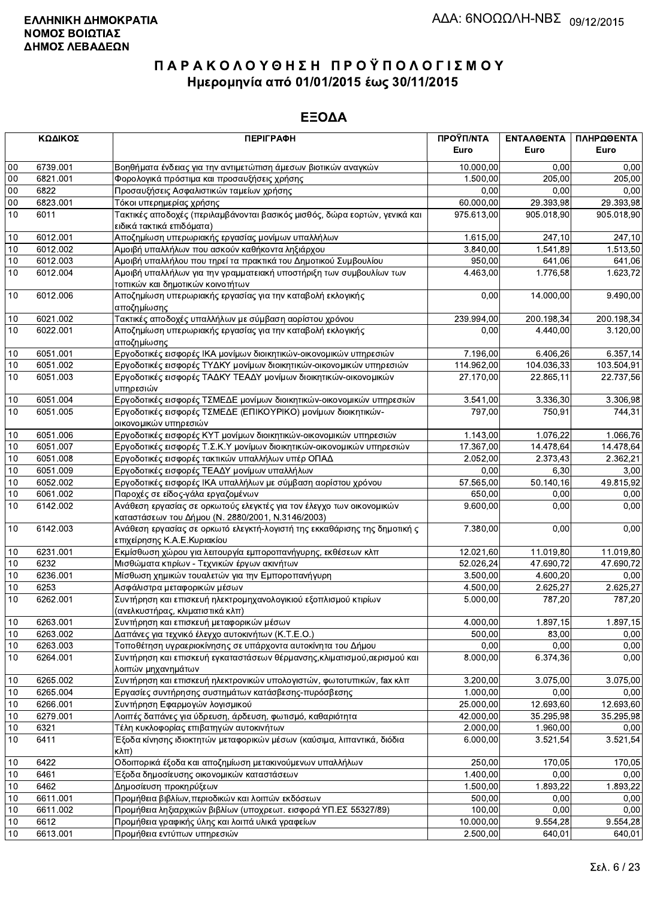|            | ΚΩΔΙΚΟΣ      | <b>ПЕРІГРАФН</b>                                                                                                          | ΠΡΟΫΠ/ΝΤΑ            | ΕΝΤΑΛΘΕΝΤΑ           | ΠΛΗΡΩΘΕΝΤΑ       |
|------------|--------------|---------------------------------------------------------------------------------------------------------------------------|----------------------|----------------------|------------------|
|            |              |                                                                                                                           | Euro                 | Euro                 | Euro             |
| 00         | 6739.001     | Βοηθήματα ένδειας για την αντιμετώπιση άμεσων βιοτικών αναγκών                                                            | 10.000,00            | 0.00                 | 0,00             |
| 00         | 6821.001     | Φορολογικά πρόστιμα και προσαυξήσεις χρήσης                                                                               | 1.500,00             | 205,00               | 205,00           |
| $00\,$     | 6822         | Προσαυξήσεις Ασφαλιστικών ταμείων χρήσης                                                                                  | 0,00                 | 0,00                 | 0,00             |
| $00\,$     | 6823.001     | Τόκοι υπερημερίας χρήσης                                                                                                  | 60.000,00            | 29.393,98            | 29.393,98        |
| 10         | 6011         | Τακτικές αποδοχές (περιλαμβάνονται βασικός μισθός, δώρα εορτών, γενικά και<br>ειδικά τακτικά επιδόματα)                   | 975.613,00           | 905.018,90           | 905.018,90       |
| 10         | 6012.001     | Αποζημίωση υπερωριακής εργασίας μονίμων υπαλλήλων                                                                         | 1.615,00             | 247,10               | 247,10           |
| 10         | 6012.002     | Αμοιβή υπαλλήλων που ασκούν καθήκοντα ληξιάρχου                                                                           | 3.840,00             | 1.541,89             | 1.513,50         |
| 10         | 6012.003     | Αμοιβή υπαλλήλου που τηρεί τα πρακτικά του Δημοτικού Συμβουλίου                                                           | 950,00               | 641,06               | 641,06           |
| 10         | 6012.004     | Αμοιβή υπαλλήλων για την γραμματειακή υποστήριξη των συμβουλίων των<br>τοπικών και δημοτικών κοινοτήτων                   | 4.463,00             | 1.776,58             | 1.623,72         |
| 10         | 6012.006     | Αποζημίωση υπερωριακής εργασίας για την καταβολή εκλογικής<br>αποζημίωσης                                                 | 0,00                 | 14.000,00            | 9.490,00         |
| 10         | 6021.002     | Τακτικές αποδοχές υπαλλήλων με σύμβαση αορίστου χρόνου                                                                    | 239.994,00           | 200.198,34           | 200.198,34       |
| 10         | 6022.001     | Αποζημίωση υπερωριακής εργασίας για την καταβολή εκλογικής<br>αποζημίωσης                                                 | 0,00                 | 4.440,00             | 3.120,00         |
| 10         | 6051.001     | Εργοδοτικές εισφορές ΙΚΑ μονίμων διοικητικών-οικονομικών υπηρεσιών                                                        | 7.196,00             | 6.406,26             | 6.357,14         |
| 10         | 6051.002     | Εργοδοτικές εισφορές ΤΥΔΚΥ μονίμων διοικητικών-οικονομικών υπηρεσιών                                                      | 114.962,00           | 104.036,33           | 103.504,91       |
| 10         | 6051.003     | Εργοδοτικές εισφορές ΤΑΔΚΥ ΤΕΑΔΥ μονίμων διοικητικών-οικονομικών<br>υπηρεσιών                                             | 27.170,00            | 22.865,11            | 22.737,56        |
| 10         | 6051.004     | Εργοδοτικές εισφορές ΤΣΜΕΔΕ μονίμων διοικητικών-οικονομικών υπηρεσιών                                                     | 3.541,00             | 3.336,30             | 3.306,98         |
| 10         | 6051.005     | Εργοδοτικές εισφορές ΤΣΜΕΔΕ (ΕΠΙΚΟΥΡΙΚΟ) μονίμων διοικητικών-<br>οικονομικών υπηρεσιών                                    | 797,00               | 750,91               | 744.31           |
| 10         | 6051.006     | Εργοδοτικές εισφορές ΚΥΤ μονίμων διοικητικών-οικονομικών υπηρεσιών                                                        | 1.143,00             | 1.076,22             | 1.066,76         |
| 10         | 6051.007     | Εργοδοτικές εισφορές Τ.Σ.Κ.Υ μονίμων διοικητικών-οικονομικών υπηρεσιών                                                    | 17.367,00            | 14.478,64            | 14.478,64        |
| $10$       | 6051.008     | Εργοδοτικές εισφορές τακτικών υπαλλήλων υπέρ ΟΠΑΔ                                                                         | 2.052,00             | 2.373,43             | 2.362,21         |
| 10         | 6051.009     | Εργοδοτικές εισφορές ΤΕΑΔΥ μονίμων υπαλλήλων                                                                              | 0,00                 | 6,30                 | 3,00             |
| $10$       | 6052.002     | Εργοδοτικές εισφορές ΙΚΑ υπαλλήλων με σύμβαση αορίστου χρόνου                                                             | 57.565,00            | 50.140,16            | 49.815,92        |
| 10         | 6061.002     | Παροχές σε είδος-γάλα εργαζομένων                                                                                         | 650,00               | 0,00                 | 0,00             |
| 10         | 6142.002     | Ανάθεση εργασίας σε ορκωτούς ελεγκτές για τον έλεγχο των οικονομικών<br>καταστάσεων του Δήμου (Ν. 2880/2001, Ν.3146/2003) | 9.600,00             | 0,00                 | 0,00             |
| 10         | 6142.003     | Ανάθεση εργασίας σε ορκωτό ελεγκτή-λογιστή της εκκαθάρισης της δημοτική ς<br>επιχείρησης Κ.Α.Ε.Κυριακίου                  | 7.380,00             | 0,00                 | 0,00             |
| 10         | 6231.001     | Εκμίσθωση χώρου για λειτουργία εμποροπανήγυρης, εκθέσεων κλπ                                                              | 12.021,60            | 11.019,80            | 11.019,80        |
| 10         | 6232         | Μισθώματα κτιρίων - Τεχνικών έργων ακινήτων                                                                               | 52.026,24            | 47.690,72            | 47.690,72        |
| 10         | 6236.001     | Μίσθωση χημικών τουαλετών για την Εμποροπανήγυρη                                                                          | 3.500,00             | 4.600,20             | 0,00             |
| 10         | 6253         | Ασφάλιστρα μεταφορικών μέσων                                                                                              | 4.500,00             | 2.625,27             | 2.625,27         |
| 10         | 6262.001     | Συντήρηση και επισκευή ηλεκτρομηχανολογικιού εξοπλισμού κτιρίων<br>(ανελκυστήρας, κλιματιστικά κλπ)                       | 5.000,00             | 787,20               | 787,20           |
| 10         | 6263.001     | Συντήρηση και επισκευή μεταφορικών μέσων                                                                                  | 4.000,00             | 1.897,15             | 1.897,15         |
| 10         | 6263.002     | Δαπάνες για τεχνικό έλεγχο αυτοκινήτων (Κ.Τ.Ε.Ο.)                                                                         | 500,00               | 83,00                | 0,00             |
| 10         | 6263.003     | Τοποθέτηση υγραεριοκίνησης σε υπάρχοντα αυτοκίνητα του Δήμου                                                              | 0,00                 | 0,00                 | 0,00             |
| 10         | 6264.001     | Συντήρηση και επισκευή εγκαταστάσεων θέρμανσης, κλιματισμού, αερισμού και<br>λοιπών μηχανημάτων                           | 8.000,00             | 6.374,36             | 0,00             |
| 10         | 6265.002     | Συντήρηση και επισκευή ηλεκτρονικών υπολογιστών, φωτοτυπικών, fax κλπ                                                     | 3.200,00             | 3.075,00             | 3.075,00         |
| 10         | 6265.004     | Εργασίες συντήρησης συστημάτων κατάσβεσης-πυρόσβεσης                                                                      | 1.000,00             | 0,00                 | 0,00             |
| $10$       | 6266.001     | Συντήρηση Εφαρμογών λογισμικού                                                                                            | 25.000,00            | 12.693,60            | 12.693,60        |
| 10         | 6279.001     | Λοιπές δαπάνες για ύδρευση, άρδευση, φωτισμό, καθαριότητα                                                                 | 42.000,00            | 35.295,98            | 35.295,98        |
| $10$<br>10 | 6321<br>6411 | Τέλη κυκλοφορίας επιβατηγών αυτοκινήτων<br>Έξοδα κίνησης ιδιοκτητών μεταφορικών μέσων (καύσιμα, λιπαντικά, διόδια         | 2.000,00<br>6.000,00 | 1.960,00<br>3.521,54 | 0,00<br>3.521,54 |
|            |              | кλπ)                                                                                                                      |                      |                      |                  |
| 10         | 6422         | Οδοιπορικά έξοδα και αποζημίωση μετακινούμενων υπαλλήλων                                                                  | 250,00               | 170,05               | 170,05           |
| 10         | 6461<br>6462 | Έξοδα δημοσίευσης οικονομικών καταστάσεων                                                                                 | 1.400,00             | 0,00                 | 0,00             |
| $10$<br>10 | 6611.001     | Δημοσίευση προκηρύξεων<br>Προμήθεια βιβλίων, περιοδικών και λοιπών εκδόσεων                                               | 1.500,00<br>500,00   | 1.893,22<br>0,00     | 1.893,22<br>0,00 |
| 10         | 6611.002     | Προμήθεια ληξιαρχικών βιβλίων (υποχρεωτ. εισφορά ΥΠ.ΕΣ 55327/89)                                                          | 100,00               | 0,00                 | 0,00             |
| 10         | 6612         | Προμήθεια γραφικής ύλης και λοιπά υλικά γραφείων                                                                          | 10.000,00            | 9.554,28             | 9.554,28         |
| 10         | 6613.001     | Προμήθεια εντύπων υπηρεσιών                                                                                               | 2.500,00             | 640,01               | 640,01           |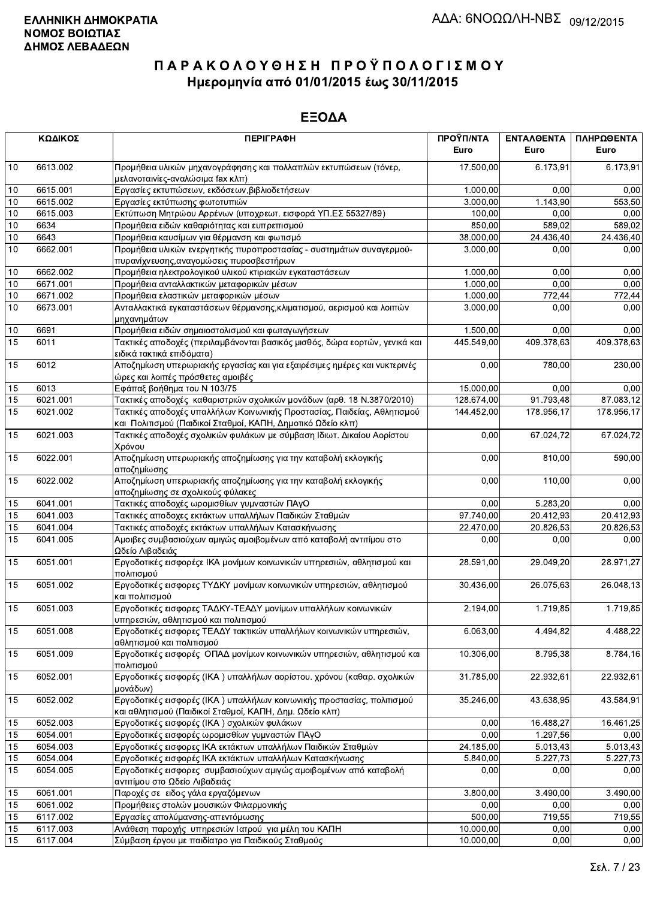|    | ΚΩΔΙΚΟΣ  | <b>ПЕРІГРАФН</b>                                                                                                                       | ΠΡΟΫΠ/ΝΤΑ<br>Euro | ΕΝΤΑΛΘΕΝΤΑ<br>Euro    | ΠΛΗΡΩΘΕΝΤΑ<br>Euro |
|----|----------|----------------------------------------------------------------------------------------------------------------------------------------|-------------------|-----------------------|--------------------|
| 10 | 6613.002 | Προμήθεια υλικών μηχανογράφησης και πολλαπλών εκτυπώσεων (τόνερ,<br>μελανοταινίες-αναλώσιμα fax κλπ)                                   | 17.500,00         | 6.173,91              | 6.173,91           |
| 10 | 6615.001 | Εργασίες εκτυπώσεων, εκδόσεων, βιβλιοδετήσεων                                                                                          | 1.000,00          | 0.00                  | 0,00               |
| 10 | 6615.002 | Εργασίες εκτύπωσης φωτοτυπιών                                                                                                          | 3.000,00          | 1.143,90              | 553,50             |
| 10 | 6615.003 | Εκτύπωση Μητρώου Αρρένων (υποχρεωτ. εισφορά ΥΠ.ΕΣ 55327/89)                                                                            | 100,00            | 0,00                  | 0,00               |
| 10 | 6634     | Προμήθεια ειδών καθαριότητας και ευπρεπισμού                                                                                           | 850,00            | 589,02                | 589,02             |
| 10 | 6643     | Προμήθεια καυσίμων για θέρμανση και φωτισμό                                                                                            | 38.000,00         | 24.436,40             | 24.436,40          |
| 10 | 6662.001 | Προμήθεια υλικών ενεργητικής πυροπροστασίας - συστημάτων συναγερμού-<br>πυρανίχνευσης, αναγομώσεις πυροσβεστήρων                       | 3.000,00          | 0,00                  | 0,00               |
| 10 | 6662.002 | Προμήθεια ηλεκτρολογικού υλικού κτιριακών εγκαταστάσεων                                                                                | 1.000,00          | 0,00                  | 0,00               |
| 10 | 6671.001 | Προμήθεια ανταλλακτικών μεταφορικών μέσων                                                                                              | 1.000,00          | 0.00                  | 0,00               |
| 10 | 6671.002 | Προμήθεια ελαστικών μεταφορικών μέσων                                                                                                  | 1.000,00          | 772,44                | 772,44             |
| 10 | 6673.001 | Ανταλλακτικά εγκαταστάσεων θέρμανσης, κλιματισμού, αερισμού και λοιπών<br>μηχανημάτων                                                  | 3.000,00          | 0,00                  | 0,00               |
| 10 | 6691     | Προμήθεια ειδών σημαιοστολισμού και φωταγωγήσεων                                                                                       | 1.500,00          | 0,00                  | 0,00               |
| 15 | 6011     | Τακτικές αποδοχές (περιλαμβάνονται βασικός μισθός, δώρα εορτών, γενικά και                                                             | 445.549,00        | 409.378,63            | 409.378,63         |
|    |          | ειδικά τακτικά επιδόματα)                                                                                                              |                   |                       |                    |
| 15 | 6012     | Αποζημίωση υπερωριακής εργασίας και για εξαιρέσιμες ημέρες και νυκτερινές<br>ώρες και λοιπές πρόσθετες αμοιβές                         | 0,00              | 780,00                | 230,00             |
| 15 | 6013     | Εφάπαξ βοήθημα του Ν 103/75                                                                                                            | 15.000,00         | 0,00                  | 0,00               |
| 15 | 6021.001 | Τακτικές αποδοχές καθαριστριών σχολικών μονάδων (αρθ. 18 Ν.3870/2010)                                                                  | 128.674,00        | 91.793,48             | 87.083,12          |
| 15 | 6021.002 | Τακτικές αποδοχές υπαλλήλων Κοινωνικής Προστασίας, Παιδείας, Αθλητισμού<br>και Πολιτισμού (Παιδικοί Σταθμοί, ΚΑΠΗ, Δημοτικό Ωδείο κλπ) | 144.452,00        | 178.956,17            | 178.956,17         |
| 15 | 6021.003 | Τακτικές αποδοχές σχολικών φυλάκων με σύμβαση Ιδιωτ. Δικαίου Αορίστου<br>Χρόνου                                                        | 0,00              | 67.024,72             | 67.024,72          |
| 15 | 6022.001 | Αποζημίωση υπερωριακής αποζημίωσης για την καταβολή εκλογικής<br>αποζημίωσης                                                           | 0,00              | 810,00                | 590,00             |
| 15 | 6022.002 | Αποζημίωση υπερωριακής αποζημίωσης για την καταβολή εκλογικής<br>αποζημίωσης σε σχολικούς φύλακες                                      | 0,00              | 110,00                | 0,00               |
| 15 | 6041.001 | Τακτικές αποδοχές ωρομισθίων γυμναστών ΠΑγΟ                                                                                            | 0,00              | 5.283,20              | 0,00               |
| 15 | 6041.003 | Τακτικές αποδοχες εκτάκτων υπαλλήλων Παιδικών Σταθμών                                                                                  | 97.740,00         | 20.412,93             | 20.412,93          |
| 15 | 6041.004 | Τακτικές αποδοχές εκτάκτων υπαλλήλων Κατασκήνωσης                                                                                      | 22.470,00         | 20.826,53             | 20.826,53          |
| 15 | 6041.005 | Αμοιβες συμβασιούχων αμιγώς αμοιβομένων από καταβολή αντιτίμου στο                                                                     | 0,00              | 0,00                  | 0,00               |
|    |          | Ωδείο Λιβαδειάς                                                                                                                        |                   |                       |                    |
| 15 | 6051.001 | Εργοδοτικές εισφορέςε ΙΚΑ μονίμων κοινωνικών υπηρεσιών, αθλητισμού και<br>πολιτισμού                                                   | 28.591,00         | 29.049,20             | 28.971,27          |
| 15 | 6051.002 | Εργοδοτικές εισφορες ΤΥΔΚΥ μονίμων κοινωνικών υπηρεσιών, αθλητισμού<br>και πολιτισμού                                                  | 30.436,00         | 26.075,63             | 26.048,13          |
| 15 | 6051.003 | Εργοδοτικές εισφορες ΤΑΔΚΥ-ΤΕΑΔΥ μονίμων υπαλλήλων κοινωνικών<br>υπηρεσιών, αθλητισμού και πολιτισμού                                  | 2.194,00          | $\overline{1.719,85}$ | 1.719,85           |
| 15 | 6051.008 | Εργοδοτικές εισφορες ΤΕΑΔΥ τακτικών υπαλλήλων κοινωνικών υπηρεσιών,<br>αθλητισμού και πολιτισμού                                       | 6.063,00          | 4.494,82              | 4.488,22           |
| 15 | 6051.009 | Εργοδοτικές εισφορές ΟΠΑΔ μονίμων κοινωνικών υπηρεσιών, αθλητισμού και<br>πολιτισμού                                                   | 10.306,00         | 8.795,38              | 8.784,16           |
| 15 | 6052.001 | Εργοδοτικές εισφορές (ΙΚΑ) υπαλλήλων αορίστου. χρόνου (καθαρ. σχολικών<br>μονάδων)                                                     | 31.785,00         | 22.932,61             | 22.932,61          |
| 15 | 6052.002 | Εργοδοτικές εισφορές (ΙΚΑ ) υπαλλήλων κοινωνικής προστασίας, πολιτισμού<br>και αθλητισμού (Παιδικοί Σταθμοί, ΚΑΠΗ, Δημ. Ωδείο κλπ)     | 35.246,00         | 43.638,95             | 43.584,91          |
| 15 | 6052.003 | Εργοδοτικές εισφορές (ΙΚΑ) σχολικών φυλάκων                                                                                            | 0,00              | 16.488.27             | 16.461,25          |
| 15 | 6054.001 | Εργοδοτικές εισφορές ωρομισθίων γυμναστών ΠΑγΟ                                                                                         | 0,00              | 1.297,56              | 0,00               |
| 15 | 6054.003 | Εργοδοτικές εισφορες ΙΚΑ εκτάκτων υπαλλήλων Παιδικών Σταθμών                                                                           | 24.185,00         | 5.013.43              | 5.013,43           |
| 15 | 6054.004 | Εργοδοτικές εισφορές ΙΚΑ εκτάκτων υπαλλήλων Κατασκήνωσης                                                                               | 5.840,00          | 5.227,73              | 5.227,73           |
| 15 | 6054.005 | Εργοδοτικές εισφορες συμβασιούχων αμιγώς αμοιβομένων από καταβολή<br>αντιτίμου στο Ωδείο Λιβαδειάς                                     | 0,00              | 0,00                  | 0,00               |
| 15 | 6061.001 | Παροχές σε ειδος γάλα εργαζόμενων                                                                                                      | 3.800,00          | 3.490,00              | 3.490,00           |
| 15 | 6061.002 | Προμήθειες στολών μουσικών Φιλαρμονικής                                                                                                | 0,00              | 0,00                  | 0,00               |
| 15 | 6117.002 | Εργασίες απολύμανσης-απεντόμωσης                                                                                                       | 500,00            | 719,55                | 719,55             |
| 15 | 6117.003 | Ανάθεση παροχής υπηρεσιών Ιατρού για μέλη του ΚΑΠΗ                                                                                     | 10.000,00         | 0,00                  | 0,00               |
| 15 | 6117.004 | Σύμβαση έργου με παιδίατρο για Παιδικούς Σταθμούς                                                                                      | 10.000,00         | 0,00                  | 0,00               |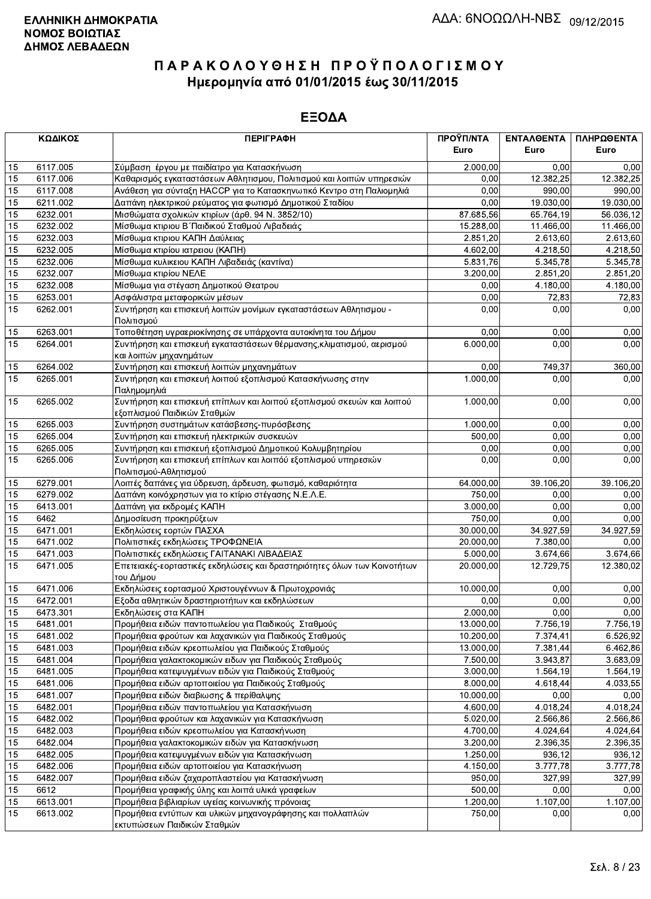|                 | ΚΩΔΙΚΟΣ  | <b>ПЕРІГРАФН</b>                                                                                      | ΠΡΟΫΠ/ΝΤΑ             | <b>ENTAAGENTA</b> | ΠΛΗΡΩΘΕΝΤΑ |
|-----------------|----------|-------------------------------------------------------------------------------------------------------|-----------------------|-------------------|------------|
|                 |          |                                                                                                       | Euro                  | Euro              | Euro       |
| 15              | 6117.005 | Σύμβαση έργου με παιδίατρο για Κατασκήνωση                                                            | 2.000,00              | 0,00              | 0,00       |
| 15              | 6117.006 | Καθαρισμός εγκαταστάσεων Αθλητισμου, Πολιτισμού και λοιπών υπηρεσιών                                  | 0,00                  | 12.382,25         | 12.382,25  |
| 15              | 6117.008 | Ανάθεση για σύνταξη ΗΑCCP για το Κατασκηνωτικό Κεντρο στη Παλιομηλιά                                  | 0,00                  | 990,00            | 990,00     |
| 15              | 6211.002 | Δαπάνη ηλεκτρικού ρεύματος για φωτισμό Δημοτικού Σταδίου                                              | 0,00                  | 19.030,00         | 19.030.00  |
| 15              | 6232.001 | Μισθώματα σχολικών κτιρίων (άρθ. 94 Ν. 3852/10)                                                       | 87.685,56             | 65.764,19         | 56.036,12  |
| 15              | 6232.002 | Μίσθωμα κτιριου Β΄ Παιδικού Σταθμού Λιβαδειάς                                                         | 15.288,00             | 11.466,00         | 11.466,00  |
| 15              | 6232.003 | Μίσθωμα κτιριου ΚΑΠΗ Δαύλειας                                                                         | 2.851,20              | 2.613,60          | 2.613,60   |
| 15              | 6232.005 | Μίσθωμα κτιρίου ιατρειου (ΚΑΠΗ)                                                                       | 4.602,00              | 4.218,50          | 4.218,50   |
| 15              | 6232.006 | Μίσθωμα κυλικειου ΚΑΠΗ Λιβαδειάς (καντίνα)                                                            | 5.831,76              | 5.345,78          | 5.345,78   |
| 15              | 6232.007 | Μίσθωμα κτιρίου ΝΕΛΕ                                                                                  | 3.200,00              | 2.851,20          | 2.851,20   |
| 15              | 6232.008 | Μίσθωμα για στέγαση Δημοτικού Θεατρου                                                                 | 0,00                  | 4.180,00          | 4.180,00   |
| 15              | 6253.001 | Ασφάλιστρα μεταφορικών μέσων                                                                          | 0,00                  | 72,83             | 72,83      |
| 15              | 6262.001 | Συντήρηση και επισκευή λοιπών μονίμων εγκαταστάσεων Αθλητισμου -                                      | 0,00                  | 0,00              | 0,00       |
|                 |          | Πολιτισμού                                                                                            |                       |                   |            |
| 15              | 6263.001 | Τοποθέτηση υγραεριοκίνησης σε υπάρχοντα αυτοκίνητα του Δήμου                                          | 0,00                  | 0.00              | 0,00       |
| 15              | 6264.001 | Συντήρηση και επισκευή εγκαταστάσεων θέρμανσης, κλιματισμού, αερισμού                                 | 6.000,00              | 0,00              | 0,00       |
|                 |          | και λοιπών μηχανημάτων                                                                                |                       |                   |            |
| 15              | 6264.002 | Συντήρηση και επισκευή λοιπών μηχανημάτων                                                             | 0,00                  | 749,37            | 360,00     |
| 15              | 6265.001 | Συντήρηση και επισκευή λοιπού εξοπλισμού Κατασκήνωσης στην<br>Παλημομηλιά                             | 1.000,00              | 0,00              | 0,00       |
| 15              | 6265.002 | Συντήρηση και επισκευή επίπλων και λοιπού εξοπλισμού σκευών και λοιπού<br>εξοπλισμού Παιδικών Σταθμών | 1.000,00              | 0,00              | 0,00       |
| 15              | 6265.003 | Συντήρηση συστημάτων κατάσβεσης-πυρόσβεσης                                                            | $\overline{1.000,00}$ | 0,00              | 0,00       |
| 15              | 6265.004 | Συντήρηση και επισκευή ηλεκτρικών συσκευών                                                            | 500,00                | 0,00              | 0,00       |
| 15              | 6265.005 | Συντήρηση και επισκευή εξοπλισμού Δημοτικού Κολυμβητηρίου                                             | 0,00                  | 0,00              | 0,00       |
| 15              | 6265.006 | Συντήρηση και επισκευή επίπλων και λοιπόύ εξοπλισμού υπηρεσιών                                        | 0,00                  | 0,00              | 0,00       |
|                 |          | Πολιτισμού-Αθλητισμού                                                                                 |                       |                   |            |
| 15              | 6279.001 | Λοιπές δαπάνες για ύδρευση, άρδευση, φωτισμό, καθαριότητα                                             | 64.000,00             | 39.106,20         | 39.106,20  |
| 15              | 6279.002 | Δαπάνη κοινόχρηστων για το κτίριο στέγασης Ν.Ε.Λ.Ε.                                                   | 750,00                | 0,00              | 0,00       |
| 15              | 6413.001 | Δαπάνη για εκδρομές ΚΑΠΗ                                                                              | 3.000,00              | 0,00              | 0,00       |
| 15              | 6462     | Δημοσίευση προκηρύξεων                                                                                | 750,00                | 0,00              | 0,00       |
| 15              | 6471.001 | Εκδηλώσεις εορτών ΠΑΣΧΑ                                                                               | 30.000,00             | 34.927,59         | 34.927,59  |
| 15              | 6471.002 | Πολιτιστικές εκδηλώσεις ΤΡΟΦΩΝΕΙΑ                                                                     | 20.000,00             | 7.380,00          | 0,00       |
| 15              | 6471.003 | Πολιτιστικές εκδηλώσεις ΓΑΙΤΑΝΑΚΙ ΛΙΒΑΔΕΙΑΣ                                                           | 5.000,00              | 3.674,66          | 3.674,66   |
| 15              | 6471.005 | Επετειακές-εορταστικές εκδηλώσεις και δραστηριότητες όλων των Κοινοτήτων                              | 20.000,00             | 12.729,75         | 12.380,02  |
| 15              | 6471.006 | του Δήμου<br>Εκδηλώσεις εορτασμού Χριστουγέννων & Πρωτοχρονιάς                                        | 10.000,00             | 0,00              | 0,00       |
| 15              | 6472.001 | Εξοδα αθλητικών δραστηριοτήτων και εκδηλώσεων                                                         | 0,00                  | 0,00              | 0,00       |
| 15              | 6473.301 | Εκδηλώσεις στα ΚΑΠΗ                                                                                   | 2.000,00              | 0.00              | 0,00       |
| $\overline{15}$ | 6481.001 | Προμήθεια ειδών παντοπωλείου για Παιδικούς Σταθμούς                                                   | 13.000,00             | 7.756,19          | 7.756,19   |
| 15              | 6481.002 | Προμήθεια φρούτων και λαχανικών για Παιδικούς Σταθμούς                                                | 10.200,00             | 7.374,41          | 6.526,92   |
| 15              | 6481.003 | Προμήθεια ειδών κρεοπωλείου για Παιδικούς Σταθμούς                                                    | 13.000,00             | 7.381,44          | 6.462,86   |
| 15              | 6481.004 | Προμήθεια γαλακτοκομικών ειδων για Παιδικούς Σταθμούς                                                 | 7.500,00              | 3.943,87          | 3.683,09   |
| 15              | 6481.005 | Προμήθεια κατεψυγμένων ειδών για Παιδικούς Σταθμούς                                                   | 3.000,00              | 1.564, 19         | 1.564,19   |
| 15              | 6481.006 | Προμήθεια ειδών αρτοποιείου για Παιδικούς Σταθμούς                                                    | 8.000,00              | 4.618,44          | 4.033,55   |
| 15              | 6481.007 | Προμήθεια ειδών διαβιωσης & περίθαλψης                                                                | 10.000,00             | 0,00              | 0,00       |
| 15              | 6482.001 | Προμήθεια ειδών παντοπωλείου για Κατασκήνωση                                                          | 4.600,00              | 4.018,24          | 4.018,24   |
| 15              | 6482.002 | Προμήθεια φρούτων και λαχανικών για Κατασκήνωση                                                       | 5.020,00              | 2.566,86          | 2.566,86   |
| 15              | 6482.003 | Προμήθεια ειδών κρεοπωλείου για Κατασκήνωση                                                           | 4.700,00              | 4.024,64          | 4.024,64   |
| 15              | 6482.004 | Προμήθεια γαλακτοκομικών ειδών για Κατασκήνωση                                                        | 3.200,00              | 2.396,35          | 2.396,35   |
| 15              | 6482.005 | Προμήθεια κατεψυγμένων ειδών για Κατασκήνωση                                                          | 1.250,00              | 936,12            | 936,12     |
| 15              | 6482.006 | Προμήθεια ειδών αρτοποιείου για Κατασκήνωση                                                           | 4.150,00              | 3.777,78          | 3.777,78   |
| 15              | 6482.007 | Προμήθεια ειδών ζαχαροπλαστείου για Κατασκήνωση                                                       | 950,00                | 327,99            | 327,99     |
| 15              | 6612     | Προμήθεια γραφικής ύλης και λοιπά υλικά γραφείων                                                      | 500,00                | 0,00              | 0,00       |
| 15              | 6613.001 | Προμήθεια βιβλιαρίων υγείας κοινωνικής πρόνοιας                                                       | 1.200,00              | 1.107,00          | 1.107,00   |
| 15              | 6613.002 | Προμήθεια εντύπων και υλικών μηχανογράφησης και πολλαπλών                                             | 750,00                | 0,00              | 0,00       |
|                 |          | εκτυπώσεων Παιδικών Σταθμών                                                                           |                       |                   |            |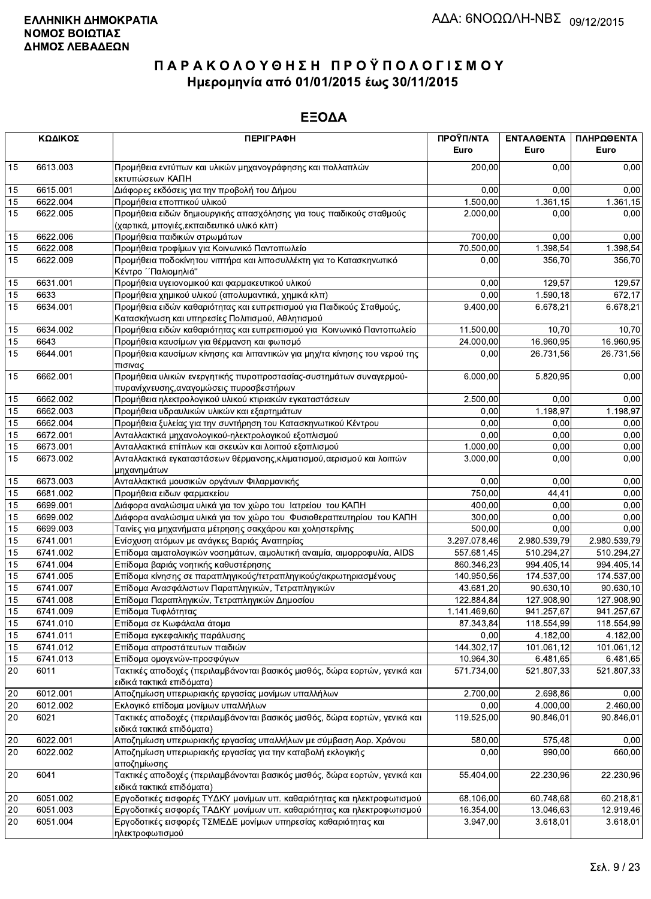|        | ΚΩΔΙΚΟΣ  | <b>ПЕРІГРАФН</b>                                                                                                   | ΠΡΟΫΠ/ΝΤΑ<br>Euro | <b>ENTAAGENTA</b><br>Euro | ΠΛΗΡΩΘΕΝΤΑ<br>Euro |
|--------|----------|--------------------------------------------------------------------------------------------------------------------|-------------------|---------------------------|--------------------|
| 15     | 6613.003 | Προμήθεια εντύπων και υλικών μηχανογράφησης και πολλαπλών<br>εκτυπώσεων ΚΑΠΗ                                       | 200,00            | 0.00                      | 0,00               |
| 15     | 6615.001 | Διάφορες εκδόσεις για την προβολή του Δήμου                                                                        | 0,00              | 0,00                      | 0,00               |
| 15     | 6622.004 | Προμήθεια εποπτικού υλικού                                                                                         | 1.500,00          | 1.361,15                  | 1.361,15           |
| 15     | 6622.005 | Προμήθεια ειδών δημιουργικής απασχόλησης για τους παιδικούς σταθμούς<br>(χαρτικά, μπογιές, εκπαιδευτικό υλικό κλπ) | 2.000,00          | 0,00                      | 0,00               |
| 15     | 6622.006 | Προμήθεια παιδικών στρωμάτων                                                                                       | 700,00            | 0,00                      | 0,00               |
| 15     | 6622.008 | Προμήθεια τροφίμων για Κοινωνικό Παντοπωλείο                                                                       | 70.500,00         | 1.398,54                  | 1.398,54           |
| 15     | 6622.009 | Προμήθεια ποδοκίνητου νιπτήρα και λιποσυλλέκτη για το Κατασκηνωτικό<br>Κέντρο ΄ Παλιομηλιά"                        | 0,00              | 356,70                    | 356,70             |
| 15     | 6631.001 | Προμήθεια υγειονομικού και φαρμακευτικού υλικού                                                                    | 0,00              | 129,57                    | 129,57             |
| 15     | 6633     | Προμήθεια χημικού υλικού (απολυμαντικά, χημικά κλπ)                                                                | 0,00              | 1.590,18                  | 672,17             |
| 15     | 6634.001 | Προμήθεια ειδών καθαριότητας και ευπρεπισμού για Παιδικούς Σταθμούς,                                               | 9.400,00          | 6.678,21                  | 6.678,21           |
|        |          | Κατασκήνωση και υπηρεσίες Πολιτισμού, Αθλητισμού                                                                   |                   |                           |                    |
| 15     | 6634.002 | Προμήθεια ειδών καθαριότητας και ευπρεπισμού για Κοινωνικό Παντοπωλείο                                             | 11.500,00         | 10,70                     | $\overline{10,70}$ |
|        |          |                                                                                                                    |                   |                           |                    |
| 15     | 6643     | Προμήθεια καυσίμων για θέρμανση και φωτισμό                                                                        | 24.000,00         | 16.960,95                 | 16.960,95          |
| 15     | 6644.001 | Προμήθεια καυσίμων κίνησης και λιπαντικών για μηχ/τα κίνησης του νερού της<br>πισινας                              | 0,00              | 26.731,56                 | 26.731,56          |
| 15     | 6662.001 | Προμήθεια υλικών ενεργητικής πυροπροστασίας-συστημάτων συναγερμού-<br>πυρανίχνευσης, αναγομώσεις πυροσβεστήρων     | 6.000,00          | 5.820,95                  | 0,00               |
| 15     | 6662.002 | Προμήθεια ηλεκτρολογικού υλικού κτιριακών εγκαταστάσεων                                                            | 2.500,00          | 0,00                      | 0,00               |
| 15     | 6662.003 | Προμήθεια υδραυλικών υλικών και εξαρτημάτων                                                                        | 0,00              | 1.198,97                  | 1.198,97           |
| 15     | 6662.004 | Προμήθεια ξυλείας για την συντήρηση του Κατασκηνωτικού Κέντρου                                                     | 0,00              | 0,00                      | 0,00               |
| 15     | 6672.001 | Ανταλλακτικά μηχανολογικού-ηλεκτρολογικού εξοπλισμού                                                               | 0,00              | 0,00                      | 0,00               |
| 15     | 6673.001 | Ανταλλακτικά επίπλων και σκευών και λοιπού εξοπλισμού                                                              | 1.000,00          | 0,00                      | 0,00               |
| 15     | 6673.002 | Ανταλλακτικά εγκαταστάσεων θέρμανσης, κλιματισμού, αερισμού και λοιπών<br>μηχανημάτων                              | 3.000,00          | 0,00                      | 0,00               |
| 15     | 6673.003 | Ανταλλακτικά μουσικών οργάνων Φιλαρμονικής                                                                         | 0,00              | 0.00                      | 0,00               |
| 15     | 6681.002 | Προμήθεια ειδων φαρμακείου                                                                                         | 750,00            | 44,41                     | 0,00               |
| 15     | 6699.001 | Διάφορα αναλώσιμα υλικά για τον χώρο του Ιατρείου του ΚΑΠΗ                                                         | 400,00            | 0,00                      | 0,00               |
| 15     | 6699.002 | Διάφορα αναλώσιμα υλικά για τον χώρο του Φυσιοθεραπευτηρίου του ΚΑΠΗ                                               | 300,00            | 0,00                      | 0,00               |
| 15     | 6699.003 | Ταινίες για μηχανήματα μέτρησης σακχάρου και χοληστερίνης                                                          | 500,00            | 0,00                      | 0,00               |
| 15     | 6741.001 | Ενίσχυση ατόμων με ανάγκες Βαριάς Αναπηρίας                                                                        | 3.297.078,46      | 2.980.539,79              | 2.980.539,79       |
| 15     | 6741.002 | Επίδομα αιματολογικών νοσημάτων, αιμολυτική αναιμία, αιμορροφυλία, AIDS                                            | 557.681,45        | 510.294,27                | 510.294,27         |
|        | 6741.004 |                                                                                                                    |                   |                           |                    |
| 15     |          | Επίδομα βαριάς νοητικής καθυστέρησης                                                                               | 860.346,23        | 994.405,14                | 994.405,14         |
| 15     | 6741.005 | Επίδομα κίνησης σε παραπληγικούς/τετραπληγικούς/ακρωτηριασμένους                                                   | 140.950,56        | 174.537,00                | 174.537,00         |
| 15     | 6741.007 | Επίδομα Ανασφάλιστων Παραπληγικών, Τετραπληγικών                                                                   | 43.681,20         | 90.630,10                 | 90.630,10          |
| 15     | 6741.008 | Επίδομα Παραπληγικών, Τετραπληγικών Δημοσίου                                                                       | 122.884,84        | 127.908,90                | 127.908,90         |
| 15     | 6741.009 | Επίδομα Τυφλότητας                                                                                                 | 1.141.469,60      | 941.257,67                | 941.257,67         |
| 15     | 6741.010 | Επίδομα σε Κωφάλαλα άτομα                                                                                          | 87.343,84         | 118.554,99                | 118.554,99         |
| 15     | 6741.011 | Επίδομα εγκεφαλικής παράλυσης                                                                                      | 0,00              | 4.182,00                  | 4.182,00           |
| 15     | 6741.012 | Επίδομα απροστάτευτων παιδιών                                                                                      | 144.302,17        | 101.061,12                | 101.061,12         |
| 15     | 6741.013 | Επίδομα ομογενών-προσφύγων                                                                                         | 10.964,30         | 6.481,65                  | 6.481,65           |
| 20     | 6011     | Τακτικές αποδοχές (περιλαμβάνονται βασικός μισθός, δώρα εορτών, γενικά και<br>ειδικά τακτικά επιδόματα)            | 571.734,00        | 521.807,33                | 521.807,33         |
| 20     | 6012.001 | Αποζημίωση υπερωριακής εργασίας μονίμων υπαλλήλων                                                                  | 2.700,00          | 2.698,86                  | 0,00               |
| 20     | 6012.002 | Εκλογικό επίδομα μονίμων υπαλλήλων                                                                                 | 0,00              | 4.000,00                  | 2.460,00           |
| 20     | 6021     | Τακτικές αποδοχές (περιλαμβάνονται βασικός μισθός, δώρα εορτών, γενικά και<br>ειδικά τακτικά επιδόματα)            | 119.525,00        | 90.846,01                 | 90.846,01          |
| 20     | 6022.001 | Αποζημίωση υπερωριακής εργασίας υπαλλήλων με σύμβαση Αορ. Χρόνου                                                   | 580,00            | 575,48                    | 0,00               |
| 20     | 6022.002 | Αποζημίωση υπερωριακής εργασίας για την καταβολή εκλογικής<br>αποζημίωσης                                          | 0,00              | 990,00                    | 660,00             |
| $20\,$ | 6041     | Τακτικές αποδοχές (περιλαμβάνονται βασικός μισθός, δώρα εορτών, γενικά και                                         | 55.404,00         | 22.230,96                 | 22.230,96          |
| 20     | 6051.002 | ειδικά τακτικά επιδόματα)<br>Εργοδοτικές εισφορές ΤΥΔΚΥ μονίμων υπ. καθαριότητας και ηλεκτροφωτισμού               | 68.106,00         | 60.748,68                 | 60.218,81          |
| 20     | 6051.003 | Εργοδοτικές εισφορές ΤΑΔΚΥ μονίμων υπ. καθαριότητας και ηλεκτροφωτισμού                                            | 16.354,00         | 13.046,63                 | 12.919,46          |
|        |          |                                                                                                                    |                   |                           | 3.618,01           |
| 20     | 6051.004 | Εργοδοτικές εισφορές ΤΣΜΕΔΕ μονίμων υπηρεσίας καθαριότητας και<br>ηλεκτροφωτισμού                                  | 3.947,00          | 3.618,01                  |                    |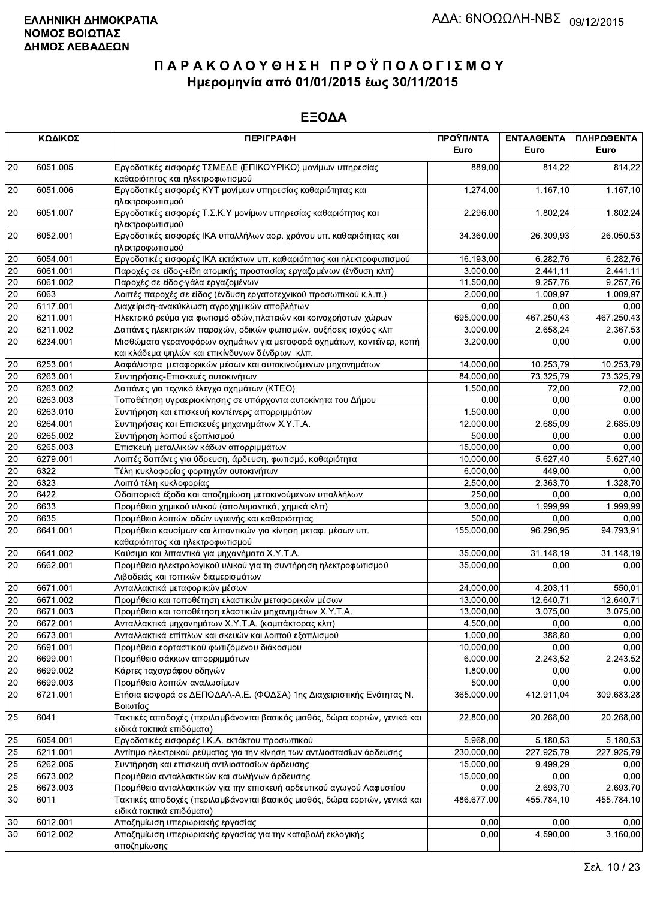|                 | ΚΩΔΙΚΟΣ  | <b>ПЕРІГРАФН</b>                                                                                                        | ΠΡΟΫΠ/ΝΤΑ<br>Euro | ΕΝΤΑΛΘΕΝΤΑ<br>Euro | ΠΛΗΡΩΘΕΝΤΑ<br>Euro |
|-----------------|----------|-------------------------------------------------------------------------------------------------------------------------|-------------------|--------------------|--------------------|
| 20              | 6051.005 | Εργοδοτικές εισφορές ΤΣΜΕΔΕ (ΕΠΙΚΟΥΡΙΚΟ) μονίμων υπηρεσίας<br>καθαριότητας και ηλεκτροφωτισμού                          | 889,00            | 814,22             | 814,22             |
| 20              | 6051.006 | Εργοδοτικές εισφορές ΚΥΤ μονίμων υπηρεσίας καθαριότητας και<br>ηλεκτροφωτισμού                                          | 1.274,00          | 1.167, 10          | 1.167,10           |
| 20              | 6051.007 | Εργοδοτικές εισφορές Τ.Σ.Κ.Υ μονίμων υπηρεσίας καθαριότητας και<br>ηλεκτροφωτισμού                                      | 2.296,00          | 1.802,24           | 1.802,24           |
| 20              | 6052.001 | Εργοδοτικές εισφορές ΙΚΑ υπαλλήλων αορ. χρόνου υπ. καθαριότητας και<br>ηλεκτροφωτισμού                                  | 34.360,00         | 26.309,93          | 26.050,53          |
| $20\,$          | 6054.001 | Εργοδοτικές εισφορές ΙΚΑ εκτάκτων υπ. καθαριότητας και ηλεκτροφωτισμού                                                  | 16.193,00         | 6.282,76           | 6.282,76           |
| 20              | 6061.001 | Παροχές σε είδος-είδη ατομικής προστασίας εργαζομένων (ένδυση κλπ)                                                      | 3.000,00          | 2.441,11           | 2.441,11           |
| $20\,$          | 6061.002 | Παροχές σε είδος-γάλα εργαζομένων                                                                                       | 11.500,00         | 9.257,76           | 9.257,76           |
| 20              | 6063     | Λοιπές παροχές σε είδος (ένδυση εργατοτεχνικού προσωπικού κ.λ.π.)                                                       | 2.000,00          | 1.009,97           | 1.009,97           |
| 20              | 6117.001 | Διαχείριση-ανακύκλωση αγροχημικών αποβλήτων                                                                             | 0,00              | 0,00               | 0,00               |
| $20\,$          | 6211.001 | Ηλεκτρικό ρεύμα για φωτισμό οδών, πλατειών και κοινοχρήστων χώρων                                                       | 695.000,00        | 467.250,43         | 467.250,43         |
| $20\,$          | 6211.002 | Δαπάνες ηλεκτρικών παροχών, οδικών φωτισμών, αυξήσεις ισχύος κλπ                                                        | 3.000,00          | 2.658,24           | 2.367,53           |
| 20              | 6234.001 | Μισθώματα γερανοφόρων οχημάτων για μεταφορά οχημάτων, κοντέϊνερ, κοπή<br>και κλάδεμα ψηλών και επικίνδυνων δένδρων κλπ. | 3.200,00          | 0,00               | 0,00               |
| 20              | 6253.001 | Ασφάλιστρα μεταφορικών μέσων και αυτοκινούμενων μηχανημάτων                                                             | 14.000,00         | 10.253,79          | 10.253,79          |
| 20              | 6263.001 | Συντηρήσεις-Επισκευές αυτοκινήτων                                                                                       | 84.000,00         | 73.325,79          | 73.325,79          |
| 20              | 6263.002 | Δαπάνες για τεχνικό έλεγχο οχημάτων (ΚΤΕΟ)                                                                              | 1.500,00          | 72,00              | 72,00              |
| $20\,$          | 6263.003 | Τοποθέτηση υγραεριοκίνησης σε υπάρχοντα αυτοκίνητα του Δήμου                                                            | 0,00              | 0,00               | 0,00               |
| 20              | 6263.010 | Συντήρηση και επισκευή κοντέινερς απορριμμάτων                                                                          | 1.500,00          | 0,00               | 0,00               |
| 20              | 6264.001 | Συντηρήσεις και Επισκευές μηχανημάτων Χ.Υ.Τ.Α.                                                                          | 12.000,00         | 2.685,09           | 2.685,09           |
| $\overline{20}$ | 6265.002 | Συντήρηση λοιπού εξοπλισμού                                                                                             | 500,00            | 0.00               | 0,00               |
| $20\,$          | 6265.003 | Επισκευή μεταλλικών κάδων απορριμμάτων                                                                                  | 15.000,00         | 0,00               | 0,00               |
| $\overline{20}$ | 6279.001 | Λοιπές δαπάνες για ύδρευση, άρδευση, φωτισμό, καθαριότητα                                                               | 10.000,00         | 5.627,40           | 5.627,40           |
| 20              | 6322     | Τέλη κυκλοφορίας φορτηγών αυτοκινήτων                                                                                   | 6.000,00          | 449,00             | 0,00               |
| 20              | 6323     | Λοιπά τέλη κυκλοφορίας                                                                                                  | 2.500,00          | 2.363,70           | 1.328,70           |
| 20              | 6422     | Οδοιπορικά έξοδα και αποζημίωση μετακινούμενων υπαλλήλων                                                                | 250,00            | 0,00               | 0,00               |
| $20\,$          | 6633     | Προμήθεια χημικού υλικού (απολυμαντικά, χημικά κλπ)                                                                     | 3.000,00          | 1.999,99           | 1.999,99           |
| 20              | 6635     | Προμήθεια λοιπών ειδών υγιεινής και καθαριότητας                                                                        | 500,00            | 0.00               | 0,00               |
| 20              | 6641.001 | Προμήθεια καυσίμων και λιπαντικών για κίνηση μεταφ. μέσων υπ.<br>καθαριότητας και ηλεκτροφωτισμού                       | 155.000,00        | 96.296,95          | 94.793,91          |
| 20              | 6641.002 | Καύσιμα και λιπαντικά για μηχανήματα Χ.Υ.Τ.Α.                                                                           | 35.000,00         | 31.148,19          | 31.148,19          |
| 20              | 6662.001 | Προμήθεια ηλεκτρολογικού υλικού για τη συντήρηση ηλεκτροφωτισμού<br>Λιβαδειάς και τοπικών διαμερισμάτων                 | 35.000,00         | 0,00               | 0,00               |
| 20              | 6671.001 | Ανταλλακτικά μεταφορικών μέσων                                                                                          | 24.000,00         | 4.203,11           | 550,01             |
| 20              | 6671.002 | Προμήθεια και τοποθέτηση ελαστικών μεταφορικών μέσων                                                                    | 13.000,00         | 12.640,71          | 12.640,71          |
| $20\,$          | 6671.003 | Προμήθεια και τοποθέτηση ελαστικών μηχανημάτων Χ.Υ.Τ.Α.                                                                 | 13.000,00         | 3.075.00           | 3.075,00           |
| $\overline{20}$ | 6672.001 | Ανταλλακτικά μηχανημάτων Χ.Υ.Τ.Α. (κομπάκτορας κλπ)                                                                     | 4.500,00          | 0,00               | 0,00               |
| 20              | 6673.001 | Ανταλλακτικά επίπλων και σκευών και λοιπού εξοπλισμού                                                                   | 1.000,00          | 388,80             | 0,00               |
| 20              | 6691.001 | Προμήθεια εορταστικού φωτιζόμενου διάκοσμου                                                                             | 10.000,00         | 0,00               | 0,00               |
| $20\,$          | 6699.001 | Προμήθεια σάκκων απορριμμάτων                                                                                           | 6.000,00          | 2.243,52           | 2.243,52           |
| 20              | 6699.002 | Κάρτες ταχογράφου οδηγών                                                                                                | 1.800,00          | 0,00               | 0,00               |
| $20\,$          | 6699.003 | Προμήθεια λοιπών αναλωσίμων                                                                                             | 500,00            | 0,00               | 0,00               |
| 20              | 6721.001 | Ετήσια εισφορά σε ΔΕΠΟΔΑΛ-Α.Ε. (ΦΟΔΣΑ) 1ης Διαχειριστικής Ενότητας Ν.<br>Βοιωτίας                                       | 365.000,00        | 412.911,04         | 309.683,28         |
| 25              | 6041     | Τακτικές αποδοχές (περιλαμβάνονται βασικός μισθός, δώρα εορτών, γενικά και<br>ειδικά τακτικά επιδόματα)                 | 22.800,00         | 20.268,00          | 20.268,00          |
| 25              | 6054.001 | Εργοδοτικές εισφορές Ι.Κ.Α. εκτάκτου προσωπικού                                                                         | 5.968,00          | 5.180,53           | 5.180,53           |
| 25              | 6211.001 | Αντίτιμο ηλεκτρικού ρεύματος για την κίνηση των αντλιοστασίων άρδευσης                                                  | 230.000,00        | 227.925,79         | 227 925,79         |
| 25              | 6262.005 | Συντήρηση και επισκευή αντλιοστασίων άρδευσης                                                                           | 15.000,00         | 9.499,29           | 0,00               |
| 25              | 6673.002 | Προμήθεια ανταλλακτικών και σωλήνων άρδευσης                                                                            | 15.000,00         | 0,00               | 0,00               |
| 25              | 6673.003 | Προμήθεια ανταλλακτικών για την επισκευή αρδευτικού αγωγού Λαφυστίου                                                    | 0,00              | 2.693,70           | 2.693,70           |
| 30              | 6011     | Τακτικές αποδοχές (περιλαμβάνονται βασικός μισθός, δώρα εορτών, γενικά και<br>ειδικά τακτικά επιδόματα)                 | 486.677,00        | 455.784,10         | 455.784,10         |
| 30              | 6012.001 | Αποζημίωση υπερωριακής εργασίας                                                                                         | 0,00              | 0,00               | 0,00               |
| 30              | 6012.002 | Αποζημίωση υπερωριακής εργασίας για την καταβολή εκλογικής<br>αποζημίωσης                                               | 0,00              | 4.590,00           | 3.160,00           |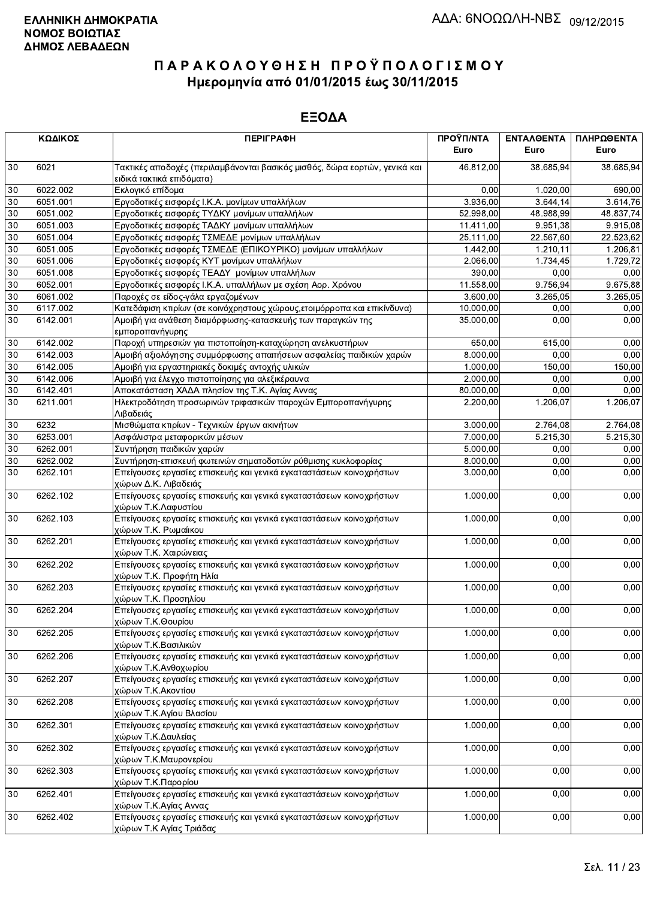|    | ΚΩΔΙΚΟΣ  | <b>ПЕРІГРАФН</b>                                                                                        | ΠΡΟΫΠ/ΝΤΑ<br>Euro | ΕΝΤΑΛΘΕΝΤΑ<br>Euro | ΠΛΗΡΩΘΕΝΤΑ<br>Euro |
|----|----------|---------------------------------------------------------------------------------------------------------|-------------------|--------------------|--------------------|
| 30 | 6021     | Τακτικές αποδοχές (περιλαμβάνονται βασικός μισθός, δώρα εορτών, γενικά και<br>ειδικά τακτικά επιδόματα) | 46.812,00         | 38.685,94          | 38.685,94          |
| 30 | 6022.002 | Εκλογικό επίδομα                                                                                        | 0,00              | 1.020,00           | 690,00             |
| 30 | 6051.001 | Εργοδοτικές εισφορές Ι.Κ.Α. μονίμων υπαλλήλων                                                           | 3.936,00          | 3.644, 14          | 3.614,76           |
| 30 | 6051.002 | Εργοδοτικές εισφορές ΤΥΔΚΥ μονίμων υπαλλήλων                                                            | 52.998,00         | 48.988,99          | 48.837,74          |
| 30 | 6051.003 | Εργοδοτικές εισφορές ΤΑΔΚΥ μονίμων υπαλλήλων                                                            | 11.411,00         | 9.951,38           | 9.915,08           |
| 30 | 6051.004 | Εργοδοτικές εισφορές ΤΣΜΕΔΕ μονίμων υπαλλήλων                                                           | 25.111,00         | 22.567,60          | 22.523,62          |
| 30 | 6051.005 | Εργοδοτικές εισφορές ΤΣΜΕΔΕ (ΕΠΙΚΟΥΡΙΚΟ) μονίμων υπαλλήλων                                              | 1.442,00          | 1.210,11           | 1.206,81           |
| 30 | 6051.006 | Εργοδοτικές εισφορές ΚΥΤ μονίμων υπαλλήλων                                                              | 2.066,00          | 1.734,45           | 1.729,72           |
| 30 | 6051.008 | Εργοδοτικές εισφορές ΤΕΑΔΥ μονίμων υπαλλήλων                                                            | 390,00            | 0.00               | 0,00               |
| 30 | 6052.001 | Εργοδοτικές εισφορές Ι.Κ.Α. υπαλλήλων με σχέση Αορ. Χρόνου                                              | 11.558,00         | 9.756,94           | 9.675,88           |
| 30 | 6061.002 | Παροχές σε είδος-γάλα εργαζομένων                                                                       | 3.600,00          | 3.265,05           | 3.265,05           |
| 30 | 6117.002 | Κατεδάφιση κτιρίων (σε κοινόχρηστους χώρους, ετοιμόρροπα και επικίνδυνα)                                | 10.000,00         | 0,00               | 0,00               |
| 30 | 6142.001 | Αμοιβή για ανάθεση διαμόρφωσης-κατασκευής των παραγκών της<br>εμποροπανήγυρης                           | 35.000,00         | 0,00               | 0,00               |
| 30 | 6142.002 | Παροχή υπηρεσιών για πιστοποίηση-καταχώρηση ανελκυστήρων                                                | 650,00            | 615,00             | 0,00               |
| 30 | 6142.003 | Αμοιβή αξιολόγησης συμμόρφωσης απαιτήσεων ασφαλείας παιδικών χαρών                                      | 8.000,00          | 0,00               | 0,00               |
| 30 | 6142.005 | Αμοιβή για εργαστηριακές δοκιμές αντοχής υλικών                                                         | 1.000,00          | 150,00             | 150,00             |
| 30 | 6142.006 | Αμοιβή για έλεγχο πιστοποίησης για αλεξικέραυνα                                                         | 2.000,00          | 0,00               | 0,00               |
| 30 | 6142.401 | Αποκατάσταση ΧΑΔΑ πλησίον της Τ.Κ. Αγίας Αννας                                                          | 80.000,00         | 0,00               | 0,00               |
| 30 | 6211.001 | Ηλεκτροδότηση προσωρινών τριφασικών παροχών Εμποροπανήγυρης<br>Λιβαδειάς                                | 2.200,00          | 1.206,07           | 1.206,07           |
| 30 | 6232     | Μισθώματα κτιρίων - Τεχνικών έργων ακινήτων                                                             | 3.000,00          | 2.764,08           | 2.764,08           |
| 30 | 6253.001 | Ασφάλιστρα μεταφορικών μέσων                                                                            | 7.000,00          | 5.215,30           | 5.215,30           |
| 30 | 6262.001 | Συντήρηση παιδικών χαρών                                                                                | 5.000,00          | 0.00               | 0.00               |
| 30 | 6262.002 | Συντήρηση-επισκευή φωτεινών σηματοδοτών ρύθμισης κυκλοφορίας                                            | 8.000,00          | 0,00               | 0,00               |
| 30 | 6262.101 | Επείγουσες εργασίες επισκευής και γενικά εγκαταστάσεων κοινοχρήστων<br>χώρων Δ.Κ. Λιβαδειάς             | 3.000,00          | 0,00               | 0,00               |
| 30 | 6262.102 | Επείγουσες εργασίες επισκευής και γενικά εγκαταστάσεων κοινοχρήστων<br>χώρων Τ.Κ.Λαφυστίου              | 1.000,00          | 0.00               | 0,00               |
| 30 | 6262.103 | Επείγουσες εργασίες επισκευής και γενικά εγκαταστάσεων κοινοχρήστων<br>χώρων Τ.Κ. Ρωμαίικου             | 1.000,00          | 0,00               | 0,00               |
| 30 | 6262.201 | Επείγουσες εργασίες επισκευής και γενικά εγκαταστάσεων κοινοχρήστων<br>χώρων Τ.Κ. Χαιρώνειας            | 1.000,00          | 0,00               | 0,00               |
| 30 | 6262.202 | Επείγουσες εργασίες επισκευής και γενικά εγκαταστάσεων κοινοχρήστων<br>χώρων Τ.Κ. Προφήτη Ηλία          | 1.000,00          | 0,00               | 0,00               |
| 30 | 6262.203 | Επείγουσες εργασίες επισκευής και γενικά εγκαταστάσεων κοινοχρήστων<br>χώρων Τ.Κ. Προσηλίου             | 1.000,00          | 0.00               | 0,00               |
| 30 | 6262.204 | Επείγουσες εργασίες επισκευής και γενικά εγκαταστάσεων κοινοχρήστων<br>χώρων Τ.Κ.Θουρίου                | 1.000,00          | 0,00               | 0,00               |
| 30 | 6262.205 | Επείγουσες εργασίες επισκευής και γενικά εγκαταστάσεων κοινοχρήστων<br>χώρων Τ.Κ.Βασιλικών              | 1.000,00          | 0,00               | 0,00               |
| 30 | 6262.206 | Επείγουσες εργασίες επισκευής και γενικά εγκαταστάσεων κοινοχρήστων<br>χώρων Τ.Κ.Ανθοχωρίου             | 1.000,00          | 0,00               | 0,00               |
| 30 | 6262.207 | Επείγουσες εργασίες επισκευής και γενικά εγκαταστάσεων κοινοχρήστων<br>χώρων Τ.Κ.Ακοντίου               | 1.000,00          | 0,00               | 0,00               |
| 30 | 6262.208 | Επείγουσες εργασίες επισκευής και γενικά εγκαταστάσεων κοινοχρήστων<br>χώρων Τ.Κ.Αγίου Βλασίου          | 1.000,00          | 0,00               | 0,00               |
| 30 | 6262.301 | Επείγουσες εργασίες επισκευής και γενικά εγκαταστάσεων κοινοχρήστων<br>χώρων Τ.Κ.Δαυλείας               | 1.000,00          | 0,00               | 0,00               |
| 30 | 6262.302 | Επείγουσες εργασίες επισκευής και γενικά εγκαταστάσεων κοινοχρήστων<br>χώρων Τ.Κ.Μαυρονερίου            | 1.000,00          | 0,00               | 0,00               |
| 30 | 6262.303 | Επείγουσες εργασίες επισκευής και γενικά εγκαταστάσεων κοινοχρήστων<br>χώρων Τ.Κ.Παρορίου               | 1.000,00          | 0,00               | 0,00               |
| 30 | 6262.401 | Επείγουσες εργασίες επισκευής και γενικά εγκαταστάσεων κοινοχρήστων<br>χώρων Τ.Κ.Αγίας Αννας            | 1.000,00          | 0,00               | 0,00               |
| 30 | 6262.402 | Επείγουσες εργασίες επισκευής και γενικά εγκαταστάσεων κοινοχρήστων<br>χώρων Τ.Κ Αγίας Τριάδας          | 1.000,00          | 0,00               | 0,00               |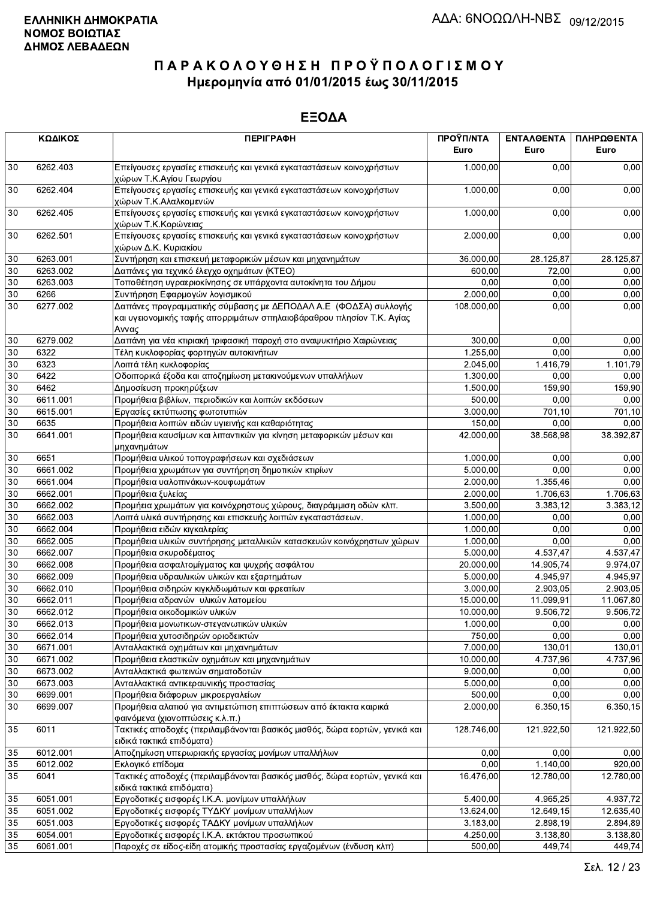|        | ΚΩΔΙΚΟΣ  | <b>ПЕРІГРАФН</b>                                                                                                                                  | ΠΡΟΫΠ/ΝΤΑ<br>Euro | ΕΝΤΑΛΘΕΝΤΑ<br>Euro | ΠΛΗΡΩΘΕΝΤΑ<br>Euro |
|--------|----------|---------------------------------------------------------------------------------------------------------------------------------------------------|-------------------|--------------------|--------------------|
| 30     | 6262.403 | Επείγουσες εργασίες επισκευής και γενικά εγκαταστάσεων κοινοχρήστων<br>χώρων Τ.Κ.Αγίου Γεωργίου                                                   | 1.000,00          | 0,00               | 0,00               |
| 30     | 6262.404 | Επείγουσες εργασίες επισκευής και γενικά εγκαταστάσεων κοινοχρήστων<br>χώρων Τ.Κ.Αλαλκομενών                                                      | 1.000,00          | 0,00               | 0,00               |
| 30     | 6262.405 | Επείγουσες εργασίες επισκευής και γενικά εγκαταστάσεων κοινοχρήστων<br>χώρων Τ.Κ.Κορώνειας                                                        | 1.000,00          | 0,00               | 0,00               |
| 30     | 6262.501 | Επείγουσες εργασίες επισκευής και γενικά εγκαταστάσεων κοινοχρήστων<br>χώρων Δ.Κ. Κυριακίου                                                       | 2.000,00          | 0,00               | 0,00               |
| 30     | 6263.001 | Συντήρηση και επισκευή μεταφορικών μέσων και μηχανημάτων                                                                                          | 36.000,00         | 28.125,87          | 28.125,87          |
| 30     | 6263.002 | Δαπάνες για τεχνικό έλεγχο οχημάτων (ΚΤΕΟ)                                                                                                        | 600.00            | 72,00              | 0,00               |
| $30\,$ | 6263.003 | Τοποθέτηση υγραεριοκίνησης σε υπάρχοντα αυτοκίνητα του Δήμου                                                                                      | 0,00              | 0,00               | 0,00               |
| 30     | 6266     | Συντήρηση Εφαρμογών λογισμικού                                                                                                                    | 2.000,00          | 0,00               | 0,00               |
| 30     | 6277.002 | Δαπάνες προγραμματικής σύμβασης με ΔΕΠΟΔΑΛ Α.Ε (ΦΟΔΣΑ) συλλογής<br>και υγειονομικής ταφής απορριμάτων σπηλαιοβάραθρου πλησίον Τ.Κ. Αγίας<br>Αννας | 108.000,00        | 0,00               | 0,00               |
| 30     | 6279.002 | Δαπάνη για νέα κτιριακή τριφασική παροχή στο αναψυκτήριο Χαιρώνειας                                                                               | 300,00            | 0,00               | 0,00               |
| 30     | 6322     | Τέλη κυκλοφορίας φορτηγών αυτοκινήτων                                                                                                             | 1.255,00          | 0,00               | 0,00               |
| 30     | 6323     | Λοιπά τέλη κυκλοφορίας                                                                                                                            | 2.045,00          | 1.416,79           | 1.101,79           |
| 30     | 6422     | Οδοιπορικά έξοδα και αποζημίωση μετακινούμενων υπαλλήλων                                                                                          | 1.300,00          | 0,00               | 0,00               |
| 30     | 6462     | Δημοσίευση προκηρύξεων                                                                                                                            | 1.500,00          | 159,90             | 159,90             |
| 30     | 6611.001 | Προμήθεια βιβλίων, περιοδικών και λοιπών εκδόσεων                                                                                                 | 500,00            | 0,00               | 0,00               |
| 30     | 6615.001 | Εργασίες εκτύπωσης φωτοτυπιών                                                                                                                     | 3.000,00          | 701,10             | 701,10             |
| $30\,$ | 6635     | Προμήθεια λοιπών ειδών υγιεινής και καθαριότητας                                                                                                  | 150,00            | 0,00               | 0,00               |
| 30     | 6641.001 | Προμήθεια καυσίμων και λιπαντικών για κίνηση μεταφορικών μέσων και<br>μηχανημάτων                                                                 | 42.000,00         | 38.568,98          | 38.392,87          |
| 30     | 6651     | Προμήθεια υλικού τοπογραφήσεων και σχεδιάσεων                                                                                                     | 1.000,00          | 0,00               | 0,00               |
| 30     | 6661.002 | Προμήθεια χρωμάτων για συντήρηση δημοτικών κτιρίων                                                                                                | 5.000,00          | 0,00               | 0,00               |
| 30     | 6661.004 | Προμήθεια υαλοπινάκων-κουφωμάτων                                                                                                                  | 2.000,00          | 1.355,46           | 0,00               |
| 30     | 6662.001 | Προμήθεια ξυλείας                                                                                                                                 | 2.000,00          | 1.706,63           | 1.706,63           |
| 30     | 6662.002 | Προμήεια χρωμάτων για κοινόχρηστους χώρους, διαγράμμιση οδών κλπ.                                                                                 | 3.500,00          | 3.383,12           | 3.383,12           |
| 30     | 6662.003 | Λοιπά υλικά συντήρησης και επισκευής λοιπών εγκαταστάσεων.                                                                                        | 1.000,00          | 0,00               | 0,00               |
| 30     | 6662.004 | Προμήθεια ειδών κιγκαλερίας                                                                                                                       | 1.000,00          | 0,00               | 0,00               |
| 30     | 6662.005 | Προμήθεια υλικών συντήρησης μεταλλικών κατασκευών κοινόχρηστων χώρων                                                                              | 1.000,00          | 0.00               | 0,00               |
| 30     | 6662.007 | Προμήθεια σκυροδέματος                                                                                                                            | 5.000,00          | 4.537,47           | 4.537,47           |
| 30     | 6662.008 | Προμήθεια ασφαλτομίγματος και ψυχρής ασφάλτου                                                                                                     | 20.000,00         | 14.905.74          | 9.974,07           |
| 30     | 6662.009 | Προμήθεια υδραυλικών υλικών και εξαρτημάτων                                                                                                       | 5.000,00          | 4.945,97           | 4.945,97           |
| 30     | 6662.010 | Προμήθεια σιδηρών κιγκλιδωμάτων και φρεατίων                                                                                                      | 3.000,00          | 2.903,05           | 2.903,05           |
| 30     | 6662.011 | Προμήθεια αδρανών υλικών λατομείου                                                                                                                | 15.000,00         | 11.099,91          | 11.067,80          |
| 30     | 6662.012 | Προμήθεια οικοδομικών υλικών                                                                                                                      | 10.000,00         | 9.506,72           | 9.506,72           |
| $30\,$ | 6662.013 | Προμήθεια μονωτικων-στεγανωτικών υλικών                                                                                                           | 1.000,00          | 0,00               | 0,00               |
| 30     | 6662.014 | Προμήθεια χυτοσιδηρών οριοδεικτών                                                                                                                 | 750,00            | 0,00               | 0,00               |
| 30     | 6671.001 | Ανταλλακτικά οχημάτων και μηχανημάτων                                                                                                             | 7.000,00          | 130,01             | 130,01             |
| 30     | 6671.002 | Προμήθεια ελαστικών οχημάτων και μηχανημάτων                                                                                                      | 10.000,00         | 4.737,96           | 4.737.96           |
| 30     | 6673.002 | Ανταλλακτικά φωτεινών σηματοδοτών                                                                                                                 | 9.000,00          | 0,00               | 0,00               |
| 30     | 6673.003 | Ανταλλακτικά αντικεραυνικής προστασίας                                                                                                            | 5.000,00          | 0,00               | 0,00               |
| 30     | 6699.001 | Προμήθεια διάφορων μικροεργαλείων                                                                                                                 | 500,00            | 0,00               | 0,00               |
| 30     | 6699.007 | Προμήθεια αλατιού για αντιμετώπιση επιπτώσεων από έκτακτα καιρικά<br>φαινόμενα (χιονοπτώσεις κ.λ.π.)                                              | 2.000,00          | 6.350, 15          | 6.350,15           |
| 35     | 6011     | Τακτικές αποδοχές (περιλαμβάνονται βασικός μισθός, δώρα εορτών, γενικά και<br>ειδικά τακτικά επιδόματα)                                           | 128.746,00        | 121.922,50         | 121.922,50         |
| 35     | 6012.001 | Αποζημίωση υπερωριακής εργασίας μονίμων υπαλλήλων                                                                                                 | 0,00              | 0,00               | 0,00               |
| 35     | 6012.002 | Εκλογικό επίδομα                                                                                                                                  | 0,00              | 1.140,00           | 920.00             |
| 35     | 6041     | Τακτικές αποδοχές (περιλαμβάνονται βασικός μισθός, δώρα εορτών, γενικά και<br>ειδικά τακτικά επιδόματα)                                           | 16.476,00         | 12.780,00          | 12.780,00          |
| 35     | 6051.001 | Εργοδοτικές εισφορές Ι.Κ.Α. μονίμων υπαλλήλων                                                                                                     | 5.400,00          | 4.965,25           | 4.937,72           |
| 35     | 6051.002 | Εργοδοτικές εισφορές ΤΥΔΚΥ μονίμων υπαλλήλων                                                                                                      | 13.624,00         | 12.649,15          | 12.635,40          |
| 35     | 6051.003 | Εργοδοτικές εισφορές ΤΑΔΚΥ μονίμων υπαλλήλων                                                                                                      | 3.183,00          | 2.898,19           | 2.894,89           |
| 35     | 6054.001 | Εργοδοτικές εισφορές Ι.Κ.Α. εκτάκτου προσωπικού                                                                                                   | 4.250,00          | 3.138,80           | 3.138,80           |
| 35     | 6061.001 | Παροχές σε είδος-είδη ατομικής προστασίας εργαζομένων (ένδυση κλπ)                                                                                | 500,00            | 449,74             | 449,74             |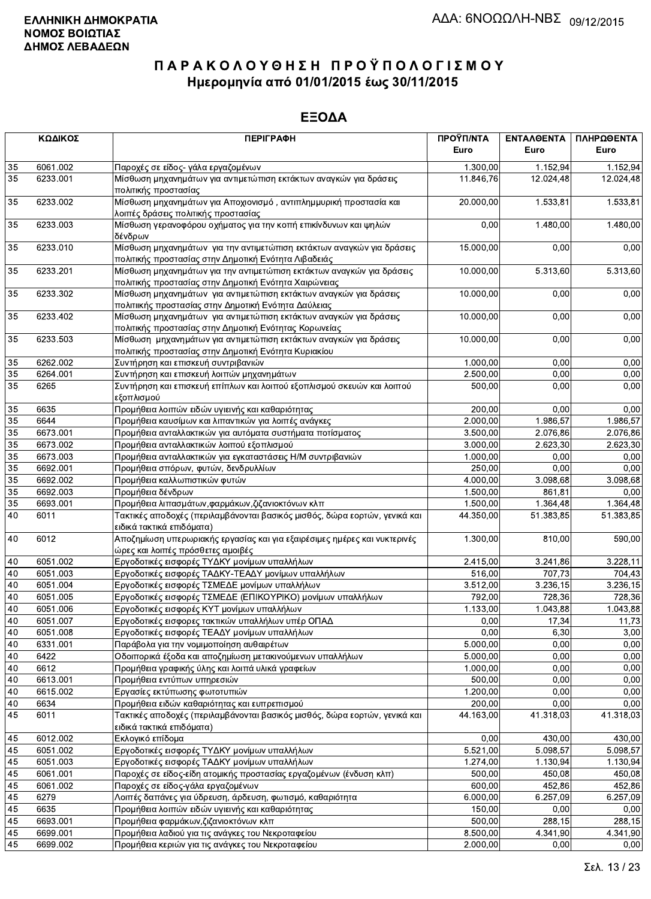|                 | ΚΩΔΙΚΟΣ  | <b>ПЕРІГРАФН</b>                                                                                                               | ΠΡΟΫΠ/ΝΤΑ<br>Euro | ΕΝΤΑΛΘΕΝΤΑ<br>Euro | ΠΛΗΡΩΘΕΝΤΑ<br>Euro |
|-----------------|----------|--------------------------------------------------------------------------------------------------------------------------------|-------------------|--------------------|--------------------|
|                 |          |                                                                                                                                |                   |                    |                    |
| 35              | 6061.002 | Παροχές σε είδος- γάλα εργαζομένων                                                                                             | 1.300,00          | 1.152,94           | 1.152,94           |
| 35              | 6233.001 | Μίσθωση μηχανημάτων για αντιμετώπιση εκτάκτων αναγκών για δράσεις<br>πολιτικής προστασίας                                      | 11.846,76         | 12.024,48          | 12.024,48          |
| 35              | 6233.002 | Μίσθωση μηχανημάτων για Αποχιονισμό, αντιπλημμυρική προστασία και<br>λοιπές δράσεις πολιτικής προστασίας                       | 20.000,00         | 1.533,81           | 1.533,81           |
| 35              | 6233.003 | Μίσθωση γερανοφόρου οχήματος για την κοπή επικίνδυνων και ψηλών<br>δένδρων                                                     | 0,00              | 1.480,00           | 1.480,00           |
| 35              | 6233.010 | Μίσθωση μηχανημάτων για την αντιμετώπιση εκτάκτων αναγκών για δράσεις<br>πολιτικής προστασίας στην Δημοτική Ενότητα Λιβαδειάς  | 15.000,00         | 0,00               | 0,00               |
| 35              | 6233.201 | Μίσθωση μηχανημάτων για την αντιμετώπιση εκτάκτων αναγκών για δράσεις<br>πολιτικής προστασίας στην Δημοτική Ενότητα Χαιρώνειας | 10.000,00         | 5.313,60           | 5.313,60           |
| 35              | 6233.302 | Μίσθωση μηχανημάτων για αντιμετώπιση εκτάκτων αναγκών για δράσεις<br>πολιτιικής προστασίας στην Δημοτική Ενότητα Δαύλειας      | 10.000,00         | 0,00               | 0,00               |
| 35              | 6233.402 | Μίσθωση μηχανημάτων για αντιμετώπιση εκτάκτων αναγκών για δράσεις<br>πολιτικής προστασίας στην Δημοτική Ενότητας Κορωνείας     | 10.000,00         | 0,00               | 0,00               |
| 35              | 6233.503 | Μίσθωση μηχανημάτων για αντιμετώπιση εκτάκτων αναγκών για δράσεις<br>πολιτικής προστασίας στην Δημοτική Ενότητα Κυριακίου      | 10.000,00         | 0,00               | 0,00               |
| 35              | 6262.002 | Συντήρηση και επισκευή συντριβανιών                                                                                            | 1.000,00          | 0,00               | 0,00               |
| 35              | 6264.001 | Συντήρηση και επισκευή λοιπών μηχανημάτων                                                                                      | 2.500,00          | 0,00               | 0,00               |
| 35              | 6265     | Συντήρηση και επισκευή επίπλων και λοιπού εξοπλισμού σκευών και λοιπού<br>εξοπλισμού                                           | 500,00            | 0,00               | 0,00               |
| 35              | 6635     | Προμήθεια λοιπών ειδών υγιεινής και καθαριότητας                                                                               | 200,00            | 0,00               | 0,00               |
| 35              | 6644     | Προμήθεια καυσίμων και λιπαντικών για λοιπές ανάγκες                                                                           | 2.000,00          | 1.986.57           | 1.986,57           |
| 35              | 6673.001 | Προμήθεια ανταλλακτικών για αυτόματα συστήματα ποτίσματος                                                                      | 3.500,00          | 2.076,86           | 2.076,86           |
| $\overline{35}$ | 6673.002 | Προμήθεια ανταλλακτικών λοιπού εξοπλισμού                                                                                      | 3.000,00          | 2.623,30           | 2.623,30           |
| 35              | 6673.003 | Προμήθεια ανταλλακτικών για εγκαταστάσεις Η/Μ συντριβανιών                                                                     | 1.000,00          | 0,00               | 0,00               |
| 35              | 6692.001 | Προμήθεια σπόρων, φυτών, δενδρυλλίων                                                                                           | 250,00            | 0,00               | 0,00               |
| 35              | 6692.002 | Προμήθεια καλλωπιστικών φυτών                                                                                                  | 4.000,00          | 3.098,68           | 3.098,68           |
| 35              | 6692.003 | Προμήθεια δένδρων                                                                                                              | 1.500,00          | 861,81             | 0,00               |
| 35              | 6693.001 | Προμήθεια λιπασμάτων, φαρμάκων, ζιζανιοκτόνων κλπ                                                                              | 1.500,00          | 1.364,48           | 1.364,48           |
| 40              | 6011     | Τακτικές αποδοχές (περιλαμβάνονται βασικός μισθός, δώρα εορτών, γενικά και<br>ειδικά τακτικά επιδόματα)                        | 44.350,00         | 51.383,85          | 51.383,85          |
| 40              | 6012     | Αποζημίωση υπερωριακής εργασίας και για εξαιρέσιμες ημέρες και νυκτερινές<br>ώρες και λοιπές πρόσθετες αμοιβές                 | 1.300,00          | 810,00             | 590,00             |
| 40              | 6051.002 | Εργοδοτικές εισφορές ΤΥΔΚΥ μονίμων υπαλλήλων                                                                                   | 2.415,00          | 3.241,86           | 3.228,11           |
| 40              | 6051.003 | Εργοδοτικές εισφορές ΤΑΔΚΥ-ΤΕΑΔΥ μονίμων υπαλλήλων                                                                             | 516,00            | 707,73             | 704,43             |
| 40              | 6051.004 | Εργοδοτικές εισφορές ΤΣΜΕΔΕ μονίμων υπαλλήλων                                                                                  | 3.512.00          | 3.236, 15          | 3.236,15           |
| 40              | 6051.005 | Εργοδοτικές εισφορές ΤΣΜΕΔΕ (ΕΠΙΚΟΥΡΙΚΟ) μονίμων υπαλλήλων                                                                     | 792,00            | 728,36             | 728,36             |
| 40              | 6051.006 | Εργοδοτικές εισφορές ΚΥΤ μονίμων υπαλλήλων                                                                                     | 1.133,00          | 1.043,88           | 1.043,88           |
| 40              | 6051.007 | Εργοδοτικές εισφορες τακτικών υπαλλήλων υπέρ ΟΠΑΔ                                                                              | 0,00              | 17,34              | 11,73              |
| 40              | 6051.008 | Εργοδοτικές εισφορές ΤΕΑΔΥ μονίμων υπαλλήλων                                                                                   | 0,00              | 6,30               | 3,00               |
| 40              | 6331.001 | Παράβολα για την νομιμοποίηση αυθαιρέτων                                                                                       | 5.000,00          | 0,00               | 0,00               |
| 40              | 6422     | Οδοιπορικά έξοδα και αποζημίωση μετακινούμενων υπαλλήλων                                                                       | 5.000,00          | 0,00               | 0,00               |
| 40              | 6612     | Προμήθεια γραφικής ύλης και λοιπά υλικά γραφείων                                                                               | 1.000,00          | 0,00               | 0,00               |
| 40              | 6613.001 | Προμήθεια εντύπων υπηρεσιών                                                                                                    | 500,00            | 0,00               | 0,00               |
| 40              | 6615.002 | Εργασίες εκτύπωσης φωτοτυπιών                                                                                                  | 1.200,00          | 0,00               | 0,00               |
| 40              | 6634     | Προμήθεια ειδών καθαριότητας και ευπρεπισμού                                                                                   | 200,00            | 0,00               | 0,00               |
| 45              | 6011     | Τακτικές αποδοχές (περιλαμβάνονται βασικός μισθός, δώρα εορτών, γενικά και<br>ειδικά τακτικά επιδόματα)                        | 44.163,00         | 41.318,03          | 41.318,03          |
| 45              | 6012.002 | Εκλογικό επίδομα                                                                                                               | 0,00              | 430,00             | 430,00             |
| 45              | 6051.002 | Εργοδοτικές εισφορές ΤΥΔΚΥ μονίμων υπαλλήλων                                                                                   | 5.521,00          | 5.098,57           | 5.098,57           |
| 45              | 6051.003 | Εργοδοτικές εισφορές ΤΑΔΚΥ μονίμων υπαλλήλων                                                                                   | 1.274,00          | 1.130,94           | 1.130,94           |
| 45              | 6061.001 | Παροχές σε είδος-είδη ατομικής προστασίας εργαζομένων (ένδυση κλπ)                                                             | 500,00            | 450,08             | 450,08             |
| 45              | 6061.002 | Παροχές σε είδος-γάλα εργαζομένων                                                                                              | 600,00            | 452,86             | 452,86             |
| 45              | 6279     | Λοιπές δαπάνες για ύδρευση, άρδευση, φωτισμό, καθαριότητα                                                                      | 6.000,00          | 6.257,09           | 6.257,09           |
| 45              | 6635     | Προμήθεια λοιπών ειδών υγιεινής και καθαριότητας                                                                               | 150,00            | 0,00               | 0,00               |
| 45              | 6693.001 | Προμήθεια φαρμάκων, ζιζανιοκτόνων κλπ                                                                                          | 500,00            | 288,15             | 288,15             |
| 45              | 6699.001 | Προμήθεια λαδιού για τις ανάγκες του Νεκροταφείου                                                                              | 8.500,00          | 4.341,90           | 4.341,90           |
| 45              | 6699.002 | Προμήθεια κεριών για τις ανάγκες του Νεκροταφείου                                                                              | 2.000,00          | 0,00               | 0,00               |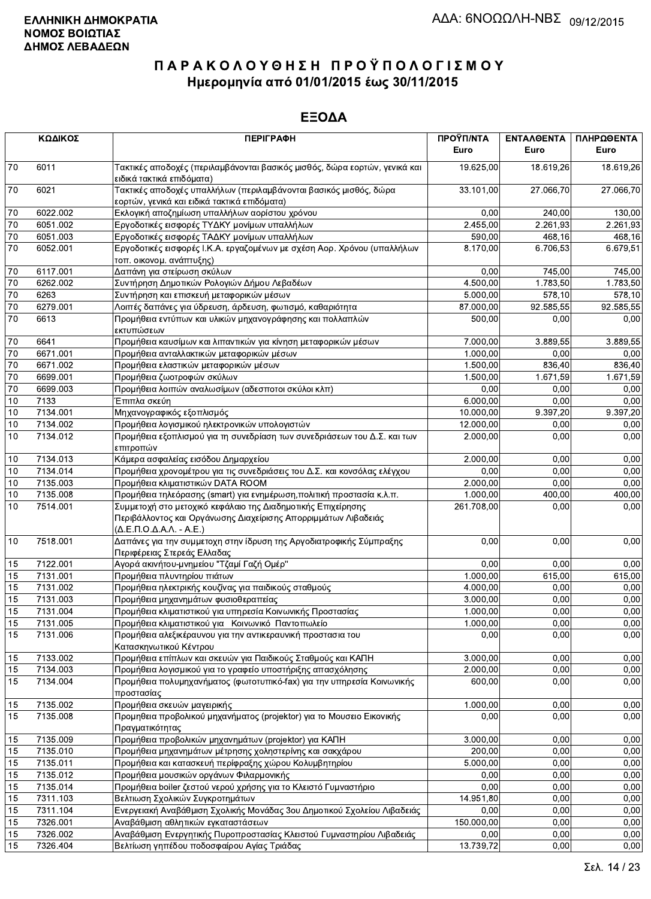|                 | ΚΩΔΙΚΟΣ  | <b>ПЕРІГРАФН</b>                                                                                                                                                                           | ΠΡΟΫΠ/ΝΤΑ<br>Euro | ΕΝΤΑΛΘΕΝΤΑ<br>Euro | ΠΛΗΡΩΘΕΝΤΑ<br>Euro |
|-----------------|----------|--------------------------------------------------------------------------------------------------------------------------------------------------------------------------------------------|-------------------|--------------------|--------------------|
| 70              | 6011     | Τακτικές αποδοχές (περιλαμβάνονται βασικός μισθός, δώρα εορτών, γενικά και<br>ειδικά τακτικά επιδόματα)                                                                                    | 19.625,00         | 18.619,26          | 18.619,26          |
| 70              | 6021     | Τακτικές αποδοχές υπαλλήλων (περιλαμβάνονται βασικός μισθός, δώρα<br>εορτών, γενικά και ειδικά τακτικά επιδόματα)                                                                          | 33.101,00         | 27.066,70          | 27.066,70          |
| $70\,$          | 6022.002 | Εκλογική αποζημίωση υπαλλήλων αορίστου χρόνου                                                                                                                                              | 0,00              | 240,00             | 130,00             |
| 70              | 6051.002 | Εργοδοτικές εισφορές ΤΥΔΚΥ μονίμων υπαλλήλων                                                                                                                                               | 2.455,00          | 2.261,93           | 2.261,93           |
| $\overline{70}$ | 6051.003 | Εργοδοτικές εισφορές ΤΑΔΚΥ μονίμων υπαλλήλων                                                                                                                                               | 590,00            | 468,16             | 468,16             |
| 70              | 6052.001 | Εργοδοτικές εισφορές Ι.Κ.Α. εργαζομένων με σχέση Αορ. Χρόνου (υπαλλήλων<br>τοπ. οικονομ. ανάπτυξης)                                                                                        | 8.170,00          | 6.706,53           | 6.679,51           |
| $70\,$          | 6117.001 | Δαπάνη για στείρωση σκύλων                                                                                                                                                                 | 0,00              | 745,00             | 745,00             |
| $70\,$          | 6262.002 | Συντήρηση Δημοτικών Ρολογιών Δήμου Λεβαδέων                                                                                                                                                | 4.500,00          | 1.783,50           | 1.783,50           |
| $70\,$          | 6263     | Συντήρηση και επισκευή μεταφορικών μέσων                                                                                                                                                   | 5.000,00          | 578,10             | 578,10             |
| $\overline{70}$ | 6279.001 | Λοιπές δαπάνες για ύδρευση, άρδευση, φωτισμό, καθαριότητα                                                                                                                                  | 87.000,00         | 92.585,55          | 92.585,55          |
| 70              | 6613     | Προμήθεια εντύπων και υλικών μηχανογράφησης και πολλαπλών<br>εκτυπώσεων                                                                                                                    | 500,00            | 0,00               | 0,00               |
| $70\,$          | 6641     | Προμήθεια καυσίμων και λιπαντικών για κίνηση μεταφορικών μέσων                                                                                                                             | 7.000,00          | 3.889,55           | 3.889,55           |
| 70              | 6671.001 | Προμήθεια ανταλλακτικών μεταφορικών μέσων                                                                                                                                                  | 1.000,00          | 0,00               | 0,00               |
| 70              | 6671.002 | Προμήθεια ελαστικών μεταφορικών μέσων                                                                                                                                                      | 1.500,00          | 836,40             | 836,40             |
| 70              | 6699.001 | Προμήθεια ζωοτροφών σκύλων                                                                                                                                                                 | 1.500,00          | 1.671,59           | 1.671,59           |
| $\overline{70}$ | 6699.003 | Προμήθεια λοιπών αναλωσίμων (αδεσποτοι σκύλοι κλπ)                                                                                                                                         | 0,00              | 0,00               | 0,00               |
| 10              | 7133     | Έπιπλα σκεύη                                                                                                                                                                               | 6.000,00          | 0,00               | 0,00               |
| 10              | 7134.001 | Μηχανογραφικός εξοπλισμός                                                                                                                                                                  | 10.000,00         | 9.397,20           | 9.397,20           |
| 10              | 7134.002 | Προμήθεια λογισμικού ηλεκτρονικών υπολογιστών                                                                                                                                              | 12.000,00         | 0,00               | 0,00               |
| 10              | 7134.012 | Προμήθεια εξοπλισμού για τη συνεδρίαση των συνεδριάσεων του Δ.Σ. και των<br>επιτροπών                                                                                                      | 2.000,00          | 0,00               | 0,00               |
| 10              | 7134.013 | Κάμερα ασφαλείας εισόδου Δημαρχείου                                                                                                                                                        | 2.000,00          | 0,00               | 0,00               |
| $10$            | 7134.014 | Προμήθεια χρονομέτρου για τις συνεδριάσεις του Δ.Σ. και κονσόλας ελέγχου                                                                                                                   | 0,00              | 0,00               | 0,00               |
| 10              | 7135.003 | Προμήθεια κλιματιστικών DATA ROOM                                                                                                                                                          | 2.000,00          | 0.00               | 0,00               |
| $10$            | 7135.008 | Προμήθεια τηλεόρασης (smart) για ενημέρωση, πολιτική προστασία κ.λ.π.                                                                                                                      | 1.000,00          | 400,00             | 400,00             |
| 10              | 7514.001 | Συμμετοχή στο μετοχικό κεφάλαιο της Διαδημοτικής Επιχείρησης<br>Περιβάλλοντος και Οργάνωσης Διαχείρισης Απορριμμάτων Λιβαδειάς<br>$(\Delta$ .E. $\Pi$ .O. $\Delta$ .A. $\Lambda$ . - A.E.) | 261.708,00        | 0,00               | 0,00               |
| 10              | 7518.001 | Δαπάνες για την συμμετοχη στην ίδρυση της Αργοδιατροφικής Σύμπραξης<br>Περιφέρειας Στερεάς Ελλαδας                                                                                         | 0,00              | 0,00               | 0,00               |
| 15              | 7122.001 | Αγορά ακινήτου-μνημείου "Τζαμί Γαζή Ομέρ"                                                                                                                                                  | 0,00              | 0.00               | 0,00               |
| 15              | 7131.001 | Προμήθεια πλυντηρίου πιάτων                                                                                                                                                                | 1.000,00          | 615,00             | 615,00             |
| 15              | 7131.002 | Προμήθεια ηλεκτρικής κουζίνας για παιδικούς σταθμούς                                                                                                                                       | 4.000,00          | 0,00               | 0,00               |
| 15              | 7131.003 | Προμήθεια μηχανημάτων φυσιοθεραπείας                                                                                                                                                       | 3.000,00          | 0,00               | 0,00               |
| 15              | 7131.004 | Προμήθεια κλιματιστικού για υπηρεσία Κοινωνικής Προστασίας                                                                                                                                 | 1.000,00          | 0,00               | 0,00               |
| 15              | 7131.005 | Προμήθεια κλιματιστικού για - Κοινωνικό -Παντοπωλείο                                                                                                                                       | 1.000,00          | 0,00               | 0,00               |
| 15              | 7131.006 | Προμήθεια αλεξικέραυνου για την αντικεραυνική προστασια του<br>Κατασκηνωτικού Κέντρου                                                                                                      | 0,00              | 0,00               | 0,00               |
| 15              | 7133.002 | Προμήθεια επίπλων και σκευών για Παιδικούς Σταθμούς και ΚΑΠΗ                                                                                                                               | 3.000,00          | 0,00               | 0,00               |
| 15              | 7134.003 | Προμήθεια λογισμικού για το γραφείο υποστήριξης απασχόλησης                                                                                                                                | 2.000,00          | 0,00               | 0,00               |
| 15              | 7134.004 | Προμήθεια πολυμηχανήματος (φωτοτυπικό-fax) για την υπηρεσία Κοινωνικής<br>προστασίας                                                                                                       | 600,00            | 0,00               | 0,00               |
| 15              | 7135.002 | Προμήθεια σκευών μαγειρικής                                                                                                                                                                | 1.000,00          | 0,00               | 0,00               |
| 15              | 7135.008 | Προμηθεια προβολικού μηχανήματος (projektor) για το Μουσειο Εικονικής<br>Πραγματικότητας                                                                                                   | 0,00              | 0,00               | 0,00               |
| 15              | 7135.009 | Προμήθεια προβολικών μηχανημάτων (projektor) για ΚΑΠΗ                                                                                                                                      | 3.000,00          | 0,00               | 0,00               |
| 15              | 7135.010 | Προμήθεια μηχανημάτων μέτρησης χοληστερίνης και σακχάρου                                                                                                                                   | 200,00            | 0,00               | 0,00               |
| 15              | 7135.011 | Προμήθεια και κατασκευή περίφραξης χώρου Κολυμβητηρίου                                                                                                                                     | 5.000,00          | 0,00               | 0,00               |
| 15              | 7135.012 | Προμήθεια μουσικών οργάνων Φιλαρμονικής                                                                                                                                                    | 0,00              | 0,00               | 0,00               |
| 15              | 7135.014 | Προμήθεια boiler ζεστού νερού χρήσης για το Κλειστό Γυμναστήριο                                                                                                                            | 0,00              | 0,00               | 0,00               |
| 15              | 7311.103 | Βελτιωση Σχολικών Συγκροτημάτων                                                                                                                                                            | 14.951,80         | 0,00               | 0,00               |
| 15              | 7311.104 | Ενεργειακή Αναβάθμιση Σχολικής Μονάδας 3ου Δημοτικού Σχολείου Λιβαδειάς                                                                                                                    | 0,00              | 0,00               | 0,00               |
| 15              | 7326.001 | Αναβάθμιση αθλητικών εγκαταστάσεων                                                                                                                                                         | 150.000,00        | 0,00               | 0,00               |
| 15              | 7326.002 | Αναβάθμιση Ενεργητικής Πυροπροστασίας Κλειστού Γυμναστηρίου Λιβαδειάς                                                                                                                      | 0,00              | 0,00               | 0,00               |
| 15              | 7326.404 | Βελτίωση γηπέδου ποδοσφαίρου Αγίας Τριάδας                                                                                                                                                 | 13.739,72         | 0,00               | 0,00               |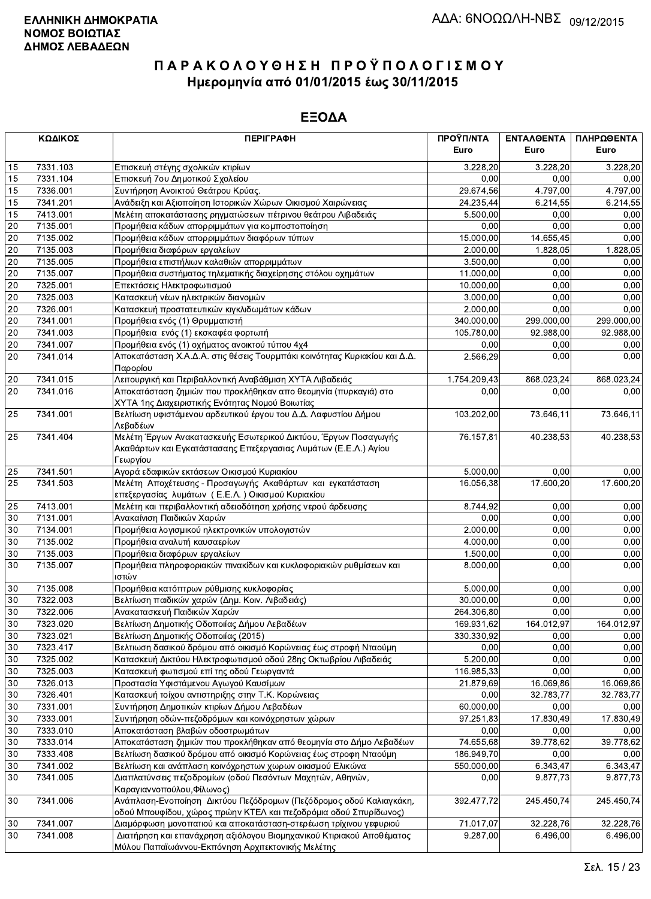|                 | ΚΩΔΙΚΟΣ  | <b>ПЕРІГРАФН</b>                                                                                                                              | ΠΡΟΫΠ/ΝΤΑ    | <b>ENTAAGENTA</b> | ΠΛΗΡΩΘΕΝΤΑ |
|-----------------|----------|-----------------------------------------------------------------------------------------------------------------------------------------------|--------------|-------------------|------------|
|                 |          |                                                                                                                                               | Euro         | Euro              | Euro       |
| 15              | 7331.103 | Επισκευή στέγης σχολικών κτιρίων                                                                                                              | 3.228,20     | 3.228.20          | 3.228,20   |
| 15              | 7331.104 | Επισκευή 7ου Δημοτικού Σχολείου                                                                                                               | 0,00         | 0.00              | 0,00       |
| 15              | 7336.001 | Συντήρηση Ανοικτού Θεάτρου Κρύας.                                                                                                             | 29.674,56    | 4.797,00          | 4.797,00   |
| 15              | 7341.201 | Ανάδειξη και Αξιοποίηση Ιστορικών Χώρων Οικισμού Χαιρώνειας                                                                                   | 24.235,44    | 6.214,55          | 6.214,55   |
| 15              | 7413.001 | Μελέτη αποκατάστασης ρηγματώσεων πέτρινου θεάτρου Λιβαδειάς                                                                                   | 5.500,00     | 0,00              | 0,00       |
| 20              | 7135.001 | Προμήθεια κάδων απορριμμάτων για κομποστοποίηση                                                                                               | 0.00         | 0,00              | 0.00       |
| $20\,$          | 7135.002 | Προμήθεια κάδων απορριμμάτων διαφόρων τύπων                                                                                                   | 15.000,00    | 14.655,45         | 0,00       |
| $\overline{20}$ | 7135.003 | Προμήθεια διαφόρων εργαλείων                                                                                                                  | 2.000,00     | 1.828,05          | 1.828,05   |
| 20              | 7135.005 | Προμήθεια επιστήλιων καλαθιών απορριμμάτων                                                                                                    | 3.500,00     | 0,00              | 0,00       |
| 20              | 7135.007 | Προμήθεια συστήματος τηλεματικής διαχείρησης στόλου οχημάτων                                                                                  | 11.000,00    | 0,00              | 0,00       |
| 20              | 7325.001 | Επεκτάσεις Ηλεκτροφωτισμού                                                                                                                    | 10.000,00    | 0,00              | 0,00       |
| $20\,$          | 7325.003 | Κατασκευή νέων ηλεκτρικών διανομών                                                                                                            | 3.000,00     | 0,00              | 0,00       |
| $20\,$          | 7326.001 | Κατασκευή προστατευτικών κιγκλιδωμάτων κάδων                                                                                                  | 2.000,00     | 0,00              | 0,00       |
| 20              | 7341.001 | Προμήθεια ενός (1) Θρυμματιστή                                                                                                                | 340.000,00   | 299.000,00        | 299.000,00 |
| 20              | 7341.003 | Προμήθεια ενός (1) εκσκαφέα φορτωτή                                                                                                           | 105.780,00   | 92.988,00         | 92.988,00  |
| $\overline{20}$ | 7341.007 | Προμήθεια ενός (1) οχήματος ανοικτού τύπου 4χ4                                                                                                | 0,00         | 0,00              | 0,00       |
| 20              | 7341.014 | Αποκατάσταση Χ.Α.Δ.Α. στις θέσεις Τουρμπάκι κοινότητας Κυριακίου και Δ.Δ.<br>Παρορίου                                                         | 2.566.29     | 0,00              | 0,00       |
| 20              | 7341.015 | Λειτουργική και Περιβαλλοντική Αναβάθμιση ΧΥΤΑ Λιβαδειάς                                                                                      | 1.754.209,43 | 868.023,24        | 868.023,24 |
| 20              | 7341.016 | Αποκατάσταση ζημιών που προκλήθηκαν απο θεομηνία (πυρκαγιά) στο<br>ΧΥΤΑ 1ης Διαχειριστικής Ενότητας Νομού Βοιωτίας                            | 0,00         | 0,00              | 0,00       |
| 25              | 7341.001 | Βελτίωση υφιστάμενου αρδευτικού έργου του Δ.Δ. Λαφυστίου Δήμου<br>Λεβαδέων                                                                    | 103.202,00   | 73.646,11         | 73.646,11  |
| 25              | 7341.404 | Μελέτη Έργων Ανακατασκευής Εσωτερικού Δικτύου, Έργων Ποσαγωγής<br>Ακαθάρτων και Εγκατάστασαης Επεξεργασιας Λυμάτων (Ε.Ε.Λ.) Αγίου<br>Γεωργίου | 76.157,81    | 40.238,53         | 40.238,53  |
| 25              | 7341.501 | Αγορά εδαφικών εκτάσεων Οικισμού Κυριακίου                                                                                                    | 5.000,00     | 0,00              | 0,00       |
| 25              | 7341.503 | Μελέτη Αποχέτευσης - Προσαγωγής Ακαθάρτων και εγκατάσταση<br>επεξεργασίας λυμάτων (Ε.Ε.Λ.) Οικισμού Κυριακίου                                 | 16.056,38    | 17.600,20         | 17.600,20  |
| 25              | 7413.001 | Μελέτη και περιβαλλοντική αδειοδότηση χρήσης νερού άρδευσης                                                                                   | 8.744,92     | 0,00              | 0,00       |
| 30              | 7131.001 | Ανακαίνιση Παιδικών Χαρών                                                                                                                     | 0,00         | 0.00              | 0,00       |
| $30\,$          | 7134.001 | Προμήθεια λογισμικού ηλεκτρονικών υπολογιστών                                                                                                 | 2.000,00     | 0,00              | 0,00       |
| $30\,$          | 7135.002 | Προμήθεια αναλυτή καυσαερίων                                                                                                                  | 4.000,00     | 0,00              | 0,00       |
| $30\,$          | 7135.003 | Προμήθεια διαφόρων εργαλείων                                                                                                                  | 1.500,00     | 0,00              | 0,00       |
| 30              | 7135.007 | Προμήθεια πληροφοριακών πινακίδων και κυκλοφοριακών ρυθμίσεων και<br>ιστών                                                                    | 8.000,00     | 0,00              | 0,00       |
| 30              | 7135.008 | Προμήθεια κατόπτρων ρύθμισης κυκλοφορίας                                                                                                      | 5.000,00     | 0,00              | 0,00       |
| 30              | 7322.003 | Βελτίωση παιδικών χαρών (Δημ. Κοιν. Λιβαδειάς)                                                                                                | 30.000,00    | 0,00              | 0,00       |
| 30              | 7322.006 | Ανακατασκευή Παιδικών Χαρών                                                                                                                   | 264.306,80   | 0,00              | 0,00       |
| $\overline{30}$ | 7323.020 | Βελτίωση Δημοτικής Οδοποιίας Δήμου Λεβαδέων                                                                                                   | 169 931,62   | 164.012,97        | 164.012,97 |
| 30              | 7323.021 | Βελτίωση Δημοτικής Οδοποιίας (2015)                                                                                                           | 330.330,92   | 0,00              | 0,00       |
| 30              | 7323.417 | Βελτιωση δασικού δρόμου από οικισμό Κορώνειας έως στροφή Νταούμη                                                                              | 0,00         | 0,00              | 0,00       |
| $30\,$          | 7325.002 | Κατασκευή Δικτύου Ηλεκτροφωτισμού οδού 28ης Οκτωβρίου Λιβαδειάς                                                                               | 5.200,00     | 0,00              | 0,00       |
| 30              | 7325.003 | Κατασκευή φωτισμού επί της οδού Γεωργαντά                                                                                                     | 116.985,33   | 0,00              | 0,00       |
| $30\,$          | 7326.013 | Προστασία Υφιστάμενου Αγωγού Καυσίμων                                                                                                         | 21.879,69    | 16.069,86         | 16.069,86  |
| 30              | 7326.401 | Κατασκευή τοίχου αντιστηριξης στην Τ.Κ. Κορώνειας                                                                                             | 0,00         | 32.783,77         | 32.783,77  |
| 30              | 7331.001 | Συντήρηση Δημοτικών κτιρίων Δήμου Λεβαδέων                                                                                                    | 60.000,00    | 0,00              | 0,00       |
| $30\,$          | 7333.001 | Συντήρηση οδών-πεζοδρόμων και κοινόχρηστων χώρων                                                                                              | 97.251,83    | 17.830,49         | 17.830,49  |
| 30              | 7333.010 | Αποκατάσταση βλαβών οδοστρωμάτων                                                                                                              | 0,00         | 0,00              | 0,00       |
| $30\,$          | 7333.014 | Αποκατάσταση ζημιών που προκλήθηκαν από θεομηνία στο Δήμο Λεβαδέων                                                                            | 74.655,68    | 39.778,62         | 39.778,62  |
| 30              | 7333.408 | Βελτίωση δασικού δρόμου από οικισμό Κορώνειας έως στροφη Νταούμη                                                                              | 186.949,70   | 0,00              | 0,00       |
| $30\,$          | 7341.002 | Βελτίωση και ανάπλαση κοινόχρηστων χωρων οικισμού Ελικώνα                                                                                     | 550.000,00   | 6.343,47          | 6.343,47   |
| 30              | 7341.005 | Διαπλατύνσεις πεζοδρομίων (οδού Πεσόντων Μαχητών, Αθηνών,<br>Καραγιαννοπούλου, Φίλωνος)                                                       | 0,00         | 9.877,73          | 9.877,73   |
| 30              | 7341.006 | Ανάπλαση-Ενοποίηση Δικτύου Πεζόδρομων (Πεζόδρομος οδού Καλιαγκάκη,<br>οδού Μπουφίδου, χώρος πρώην ΚΤΕΛ και πεζοδρόμια οδού Σπυρίδωνος)        | 392.477,72   | 245.450,74        | 245.450,74 |
| 30              | 7341.007 | Διαμόρφωση μονοπατιού και αποκατάσταση-στερέωση τρίχινου γεφυριού                                                                             | 71.017,07    | 32.228,76         | 32.228,76  |
| 30              | 7341.008 | Διατήρηση και επανάχρηση αξιόλογου Βιομηχανικού Κτιριακού Αποθέματος                                                                          | 9.287,00     | 6.496,00          | 6.496,00   |
|                 |          | Μύλου Παπαϊωάννου-Εκπόνηση Αρχιτεκτονικής Μελέτης                                                                                             |              |                   |            |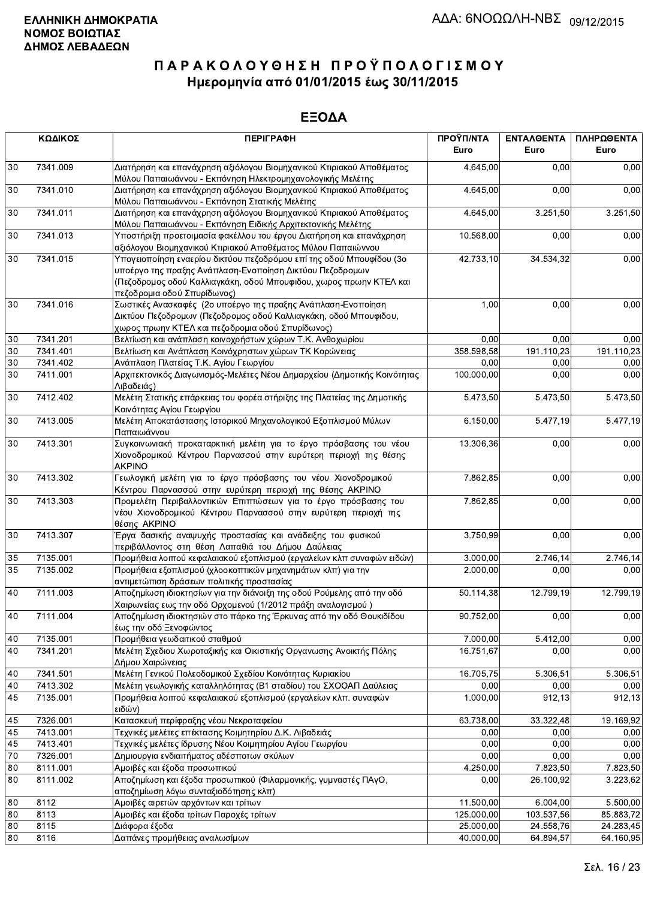|        | ΚΩΔΙΚΟΣ  | <b>ПЕРІГРАФН</b>                                                                                                                                                                                                                      | ΠΡΟΫΠ/ΝΤΑ<br>Euro | ΕΝΤΑΛΘΕΝΤΑ<br>Euro | ΠΛΗΡΩΘΕΝΤΑ<br>Euro |
|--------|----------|---------------------------------------------------------------------------------------------------------------------------------------------------------------------------------------------------------------------------------------|-------------------|--------------------|--------------------|
| 30     | 7341.009 | Διατήρηση και επανάχρηση αξιόλογου Βιομηχανικού Κτιριακού Αποθέματος<br>Μύλου Παπαιωάννου - Εκπόνηση Ηλεκτρομηχανολογικής Μελέτης                                                                                                     | 4.645,00          | 0.00               | 0,00               |
| 30     | 7341.010 | Διατήρηση και επανάχρηση αξιόλογου Βιομηχανικού Κτιριακού Αποθέματος<br>Μύλου Παπαιωάννου - Εκπόνηση Στατικής Μελέτης                                                                                                                 | 4.645,00          | 0,00               | 0,00               |
| 30     | 7341.011 | Διατήρηση και επανάχρηση αξιόλογου Βιομηχανικού Κτιριακού Αποθέματος<br>Μύλου Παπαιωάννου - Εκπόνηση Ειδικής Αρχιτεκτονικής Μελέτης                                                                                                   | 4.645,00          | 3.251,50           | 3.251,50           |
| 30     | 7341.013 | Υποστήριξη προετοιμασία φακέλλου του έργου Διατήρηση και επανάχρηση<br>αξιόλογου Βιομηχανικού Κτιριακού Αποθέματος Μύλου Παπαιώννου                                                                                                   | 10.568,00         | 0,00               | 0,00               |
| 30     | 7341.015 | Υπογειοποίηση εναερίου δικτύου πεζοδρόμου επί της οδού Μπουφίδου (3ο<br>υποέργο της πραξης Ανάπλαση-Ενοποίηση Δικτύου Πεζοδρομων<br>(Πεζοδρομος οδού Καλλιαγκάκη, οδού Μπουφιδου, χωρος πρωην ΚΤΕΛ και<br>πεζοδρομια οδού Σπυρίδωνος) | 42.733,10         | 34.534,32          | 0,00               |
| 30     | 7341.016 | Σωστικές Ανασκαφές (2ο υποέργο της πραξης Ανάπλαση-Ενοποίηση<br>Δικτύου Πεζοδρομων (Πεζοδρομος οδού Καλλιαγκάκη, οδού Μπουφιδου,<br>χωρος πρωην ΚΤΕΛ και πεζοδρομια οδού Σπυρίδωνος)                                                  | 1,00              | 0,00               | 0,00               |
| 30     | 7341.201 | Βελτίωση και ανάπλαση κοινοχρήστων χώρων Τ.Κ. Ανθοχωρίου                                                                                                                                                                              | 0,00              | 0,00               | 0,00               |
| 30     | 7341.401 | Βελτίωση και Ανάπλαση Κοινόχρηστων χώρων ΤΚ Κορώνειας                                                                                                                                                                                 | 358.598,58        | 191.110,23         | 191.110,23         |
| 30     | 7341.402 | Ανάπλαση Πλατείας Τ.Κ. Αγίου Γεωργίου                                                                                                                                                                                                 | 0,00              | 0,00               | 0,00               |
| 30     | 7411.001 | Αρχιτεκτονικός Διαγωνισμός-Μελέτες Νέου Δημαρχείου (Δημοτικής Κοινότητας<br>Λιβαδειάς)                                                                                                                                                | 100.000,00        | 0,00               | 0,00               |
| 30     | 7412.402 | Μελέτη Στατικής επάρκειας του φορέα στήριξης της Πλατείας της Δημοτικής<br>Κοινότητας Αγίου Γεωργίου                                                                                                                                  | 5.473,50          | 5.473,50           | 5.473,50           |
| 30     | 7413.005 | Μελέτη Αποκατάστασης Ιστορικού Μηχανολογικού Εξοπλισμού Μύλων<br>Παπαιωάννου                                                                                                                                                          | 6.150,00          | 5.477,19           | 5.477,19           |
| 30     | 7413.301 | Συγκοινωνιακή προκαταρκτική μελέτη για το έργο πρόσβασης του νέου<br>Χιονοδρομικού Κέντρου Παρνασσού στην ευρύτερη περιοχή της θέσης<br><b>AKPINO</b>                                                                                 | 13.306,36         | 0,00               | 0,00               |
| 30     | 7413.302 | Γεωλογική μελέτη για το έργο πρόσβασης του νέου Χιονοδρομικού<br>Κέντρου Παρνασσού στην ευρύτερη περιοχή της θέσης ΑΚΡΙΝΟ                                                                                                             | 7.862,85          | 0,00               | 0,00               |
| 30     | 7413.303 | Προμελέτη Περιβαλλοντικών Επιπτώσεων για το έργο πρόσβασης του<br>νέου Χιονοδρομικού Κέντρου Παρνασσού στην ευρύτερη περιοχή της<br>θέσης AKPINO                                                                                      | 7.862,85          | 0,00               | 0,00               |
| 30     | 7413.307 | Έργα δασικής αναψυχής προστασίας και ανάδειξης του φυσικού<br>περιβάλλοντος στη θέση Λαπαθιά του Δήμου Δαύλειας                                                                                                                       | 3.750,99          | 0,00               | 0,00               |
| 35     | 7135.001 | Προμήθεια λοιπού κεφαλαιακού εξοπλισμού (εργαλείων κλπ συναφών ειδών)                                                                                                                                                                 | 3.000,00          | 2.746,14           | 2.746,14           |
| 35     | 7135.002 | Προμήθεια εξοπλισμού (χλοοκοπτικών μηχανημάτων κλπ) για την<br>αντιμετώπιση δράσεων πολιτικής προστασίας                                                                                                                              | 2.000,00          | 0,00               | 0,00               |
| 40     | 7111.003 | Αποζημίωση ιδιοκτησίων για την διάνοιξη της οδού Ρούμελης από την οδό<br>Χαιρωνείας εως την οδό Ορχομενού (1/2012 πράξη αναλογισμού)                                                                                                  | 50.114,38         | 12.799,19          | 12.799,19          |
| 40     | 7111.004 | Αποζημίωση ιδιοκτησιών στο πάρκο της Έρκυνας από την οδό Θουκιδίδου<br>έως την οδό Ξενοφώντος                                                                                                                                         | 90.752,00         | 0.00               | 0,00               |
| $40\,$ | 7135.001 | Προμήθεια γεωδαιτικού σταθμού                                                                                                                                                                                                         | 7.000,00          | 5.412,00           | 0,00               |
| 40     | 7341.201 | Μελέτη Σχεδιου Χωροταξικής και Οικιστικής Οργανωσης Ανοικτής Πόλης<br>Δήμου Χαιρώνειας                                                                                                                                                | 16.751,67         | 0,00               | 0,00               |
| 40     | 7341.501 | Μελέτη Γενικού Πολεοδομικού Σχεδίου Κοινότητας Κυριακίου                                                                                                                                                                              | 16.705,75         | 5.306,51           | 5.306,51           |
| 40     | 7413.302 | Μελέτη γεωλογικής καταλληλότητας (Β1 σταδίου) του ΣΧΟΟΑΠ Δαύλειας                                                                                                                                                                     | 0,00              | 0,00               | 0,00               |
| 45     | 7135.001 | Προμήθεια λοιπού κεφαλαιακού εξοπλισμού (εργαλείων κλπ. συναφών<br>ειδών)                                                                                                                                                             | 1.000,00          | 912, 13            | 912,13             |
| 45     | 7326.001 | Κατασκευή περίφραξης νέου Νεκροταφείου                                                                                                                                                                                                | 63.738,00         | 33.322,48          | 19.169,92          |
| 45     | 7413.001 | Τεχνικές μελέτες επέκτασης Κοιμητηρίου Δ.Κ. Λιβαδειάς                                                                                                                                                                                 | 0,00              | 0,00               | 0,00               |
| 45     | 7413.401 | Τεχνικές μελέτες ίδρυσης Νέου Κοιμητηρίου Αγίου Γεωργίου                                                                                                                                                                              | 0,00              | 0.00               | 0.00               |
| $70\,$ | 7326.001 | Δημιουργια ενδιαιτήματος αδέσποτων σκύλων                                                                                                                                                                                             | 0,00              | 0,00               | 0,00               |
| 80     | 8111.001 | Αμοιβές και έξοδα προσωπικού                                                                                                                                                                                                          | 4.250,00          | 7.823,50           | 7.823,50           |
| 80     | 8111.002 | Αποζημίωση και έξοδα προσωπικού (Φιλαρμονικής, γυμναστές ΠΑγΟ,<br>αποζημίωση λόγω συνταξιοδότησης κλπ)                                                                                                                                | 0,00              | 26.100,92          | 3.223,62           |
| 80     | 8112     | Αμοιβές αιρετών αρχόντων και τρίτων                                                                                                                                                                                                   | 11.500,00         | 6.004,00           | 5.500,00           |
| 80     | 8113     | Αμοιβές και έξοδα τρίτων Παροχές τρίτων                                                                                                                                                                                               | 125.000,00        | 103.537,56         | 85.883,72          |
| 80     | 8115     | Διάφορα έξοδα                                                                                                                                                                                                                         | 25.000,00         | 24.558,76          | 24.283,45          |
| 80     | 8116     | Δαπάνες προμήθειας αναλωσίμων                                                                                                                                                                                                         | 40.000,00         | 64.894,57          | 64.160,95          |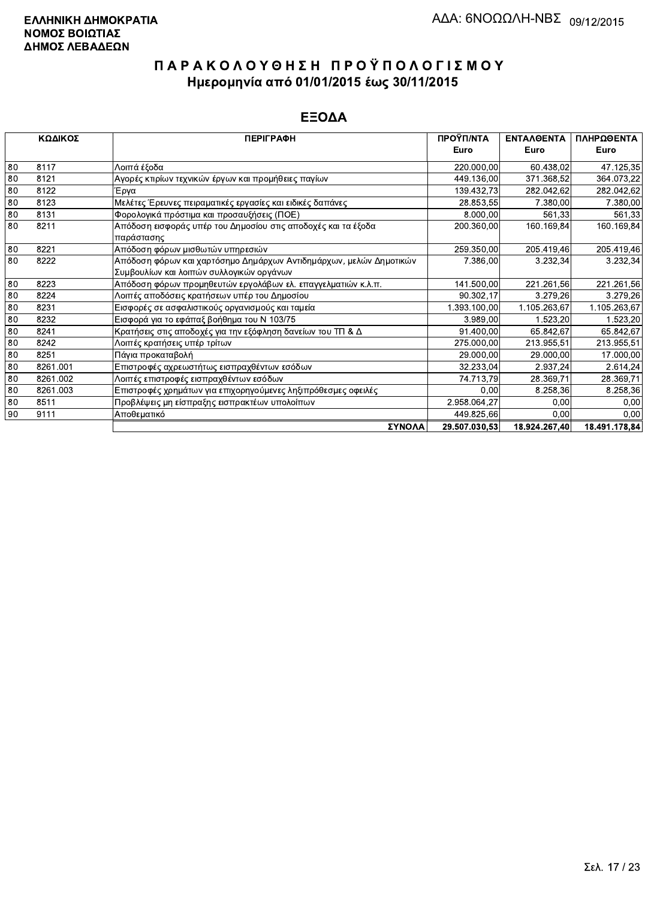|    | ΚΩΔΙΚΟΣ  | <b>ПЕРІГРАФН</b>                                                   | ΠΡΟΫΠ/ΝΤΑ     | ΕΝΤΑΛΘΕΝΤΑ    | ΠΛΗΡΩΘΕΝΤΑ    |
|----|----------|--------------------------------------------------------------------|---------------|---------------|---------------|
|    |          |                                                                    | Euro          | Euro          | Euro          |
| 80 | 8117     | Λοιπά έξοδα                                                        | 220.000,00    | 60.438.02     | 47.125,35     |
| 80 | 8121     | Αγορές κτιρίων τεχνικών έργων και προμήθειες παγίων                | 449.136,00    | 371.368.52    | 364.073,22    |
| 80 | 8122     | Έργα                                                               | 139.432,73    | 282.042.62    | 282.042,62    |
| 80 | 8123     | Μελέτες Έρευνες πειραματικές εργασίες και ειδικές δαπάνες          | 28.853,55     | 7.380,00      | 7.380,00      |
| 80 | 8131     | Φορολογικά πρόστιμα και προσαυξήσεις (ΠΟΕ)                         | 8.000,00      | 561,33        | 561,33        |
| 80 | 8211     | Απόδοση εισφοράς υπέρ του Δημοσίου στις αποδοχές και τα έξοδα      | 200.360,00    | 160.169,84    | 160.169,84    |
|    |          | παράστασης                                                         |               |               |               |
| 80 | 8221     | Απόδοση φόρων μισθωτών υπηρεσιών                                   | 259.350,00    | 205.419,46    | 205.419,46    |
| 80 | 8222     | Απόδοση φόρων και χαρτόσημο Δημάρχων Αντιδημάρχων, μελών Δημοτικών | 7.386,00      | 3.232,34      | 3.232,34      |
|    |          | Συμβουλίων και λοιπών συλλογικών οργάνων                           |               |               |               |
| 80 | 8223     | Απόδοση φόρων προμηθευτών εργολάβων ελ. επαγγελματιών κ.λ.π.       | 141.500,00    | 221.261,56    | 221.261,56    |
| 80 | 8224     | Λοιπές αποδόσεις κρατήσεων υπέρ του Δημοσίου                       | 90.302,17     | 3.279.26      | 3.279,26      |
| 80 | 8231     | Εισφορές σε ασφαλιστικούς οργανισμούς και ταμεία                   | 1.393.100,00  | 1.105.263.67  | 1.105.263,67  |
| 80 | 8232     | Εισφορά για το εφάπαξ βοήθημα του Ν 103/75                         | 3.989,00      | 1.523,20      | 1.523,20      |
| 80 | 8241     | Κρατήσεις στις αποδοχές για την εξόφληση δανείων του ΤΠ & Δ        | 91.400,00     | 65.842,67     | 65.842,67     |
| 80 | 8242     | Λοιπές κρατήσεις υπέρ τρίτων                                       | 275.000,00    | 213.955,51    | 213.955,51    |
| 80 | 8251     | Πάγια προκαταβολή                                                  | 29.000,00     | 29.000,00     | 17.000,00     |
| 80 | 8261.001 | Επιστροφές αχρεωστήτως εισπραχθέντων εσόδων                        | 32.233,04     | 2.937.24      | 2.614,24      |
| 80 | 8261.002 | Λοιπές επιστροφές εισπραχθέντων εσόδων                             | 74.713,79     | 28.369.71     | 28.369,71     |
| 80 | 8261.003 | Επιστροφές χρημάτων για επιχορηγούμενες ληξιπρόθεσμες οφειλές      | 0.00          | 8.258,36      | 8.258,36      |
| 80 | 8511     | Προβλέψεις μη είσπραξης εισπρακτέων υπολοίπων                      | 2.958.064,27  | 0,00          | 0,00          |
| 90 | 9111     | Αποθεματικό                                                        | 449.825,66    | 0.00          | 0,00          |
|    |          | ΣΥΝΟΛΑ                                                             | 29.507.030,53 | 18.924.267,40 | 18.491.178,84 |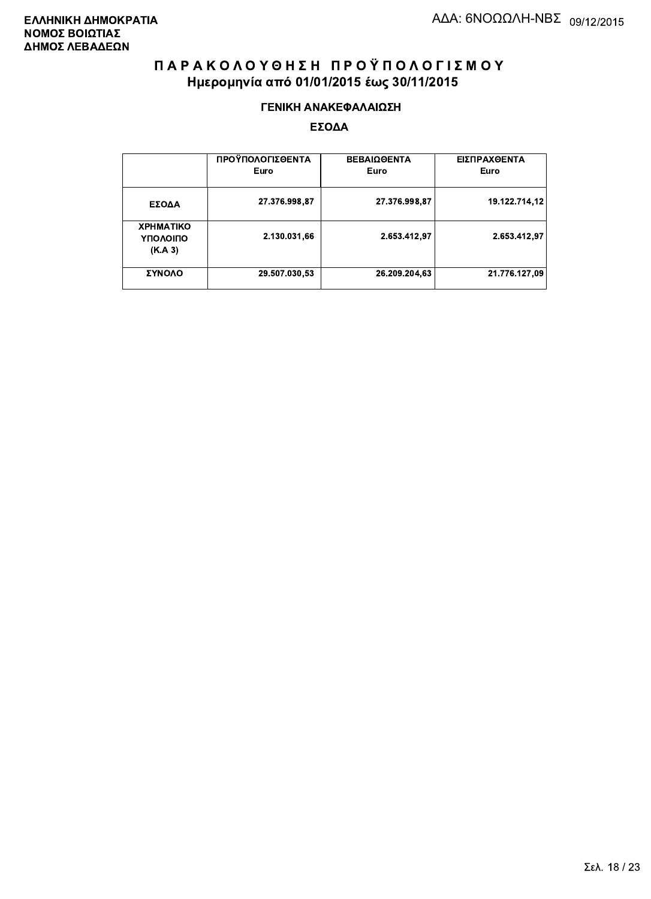#### ΓΕΝΙΚΗ ΑΝΑΚΕΦΑΛΑΙΩΣΗ

|                                         | ΠΡΟΫΠΟΛΟΓΙΣΘΕΝΤΑ<br>Euro | <b>ΒΕΒΑΙΩΘΕΝΤΑ</b><br>Euro | ΕΙΣΠΡΑΧΘΕΝΤΑ<br>Euro |
|-----------------------------------------|--------------------------|----------------------------|----------------------|
| ΕΣΟΔΑ                                   | 27.376.998,87            | 27.376.998,87              | 19.122.714.12        |
| <b>XPHMATIKO</b><br>ΥΠΟΛΟΙΠΟ<br>(K.A.3) | 2.130.031,66             | 2.653.412.97               | 2.653.412,97         |
| ΣΥΝΟΛΟ                                  | 29.507.030,53            | 26.209.204,63              | 21.776.127.09        |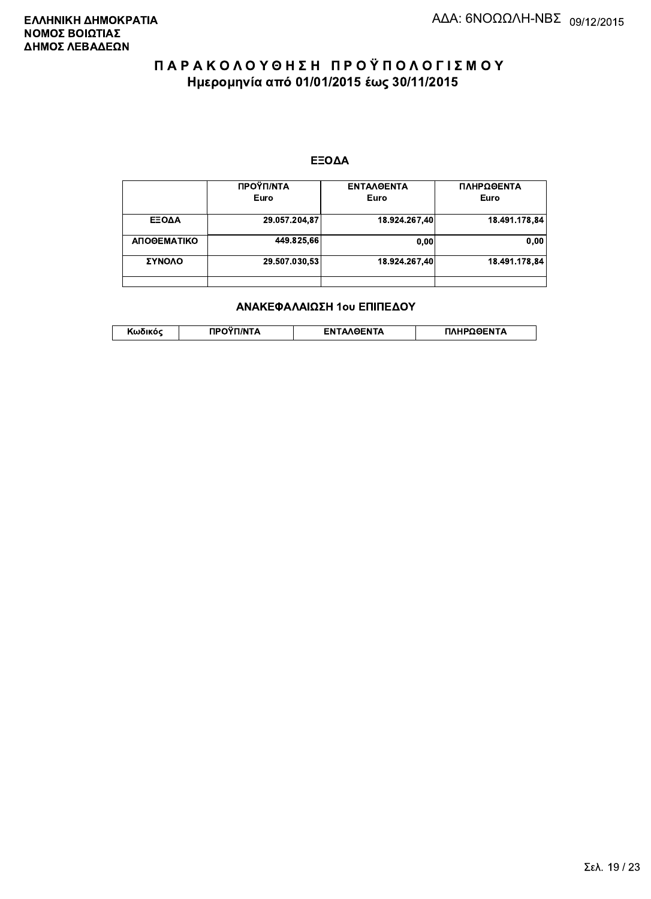#### ΕΞΟΔΑ

|             | ΠΡΟΫΠ/ΝΤΑ     | <b>ENTAAGENTA</b> | ΠΛΗΡΩΘΕΝΤΑ    |
|-------------|---------------|-------------------|---------------|
|             | Euro          | Euro              | Euro          |
| ΕΞΟΔΑ       | 29.057.204,87 | 18.924.267.40     | 18.491.178,84 |
| ΑΠΟΘΕΜΑΤΙΚΟ | 449.825,66    | 0,00              | 0,00          |
| ΣΥΝΟΛΟ      | 29.507.030,53 | 18.924.267.40     | 18.491.178.84 |
|             |               |                   |               |

#### ΑΝΑΚΕΦΑΛΑΙΩΣΗ 1ου ΕΠΙΠΕΔΟΥ

|  | . | <b>TINTA</b> | ົ° PENTA | ΗΡΩΘΕΝΤΔ |
|--|---|--------------|----------|----------|
|--|---|--------------|----------|----------|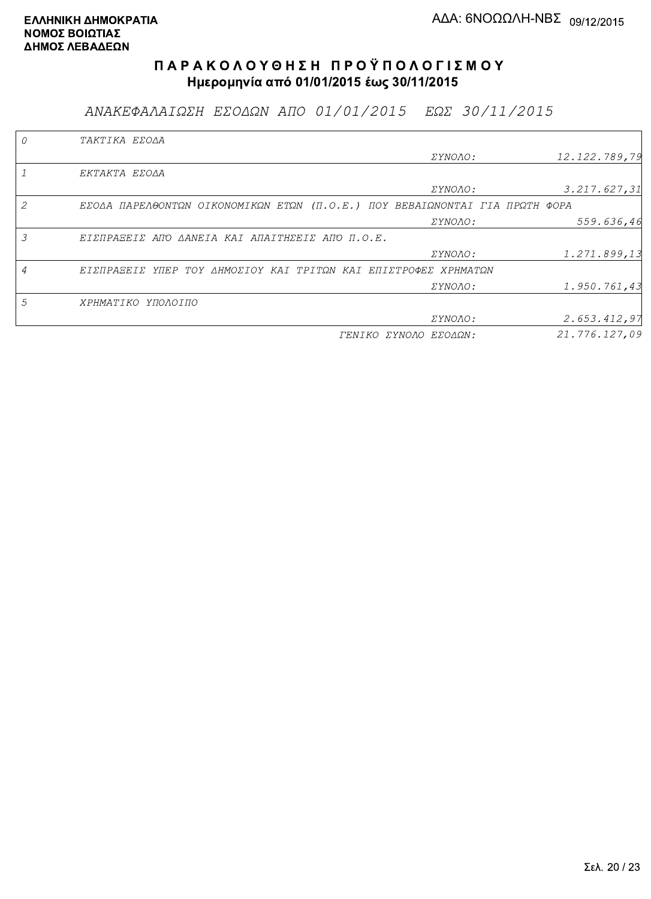ΑΝΑΚΕΦΑΛΑΙΩΣΗ ΕΣΟΔΩΝ ΑΠΟ 01/01/2015 ΕΩΣ 30/11/2015

|                | TAKTIKA EZOAA                                                               |                       |               |
|----------------|-----------------------------------------------------------------------------|-----------------------|---------------|
|                |                                                                             | <i>EYNOAO:</i>        | 12.122.789,79 |
|                | EKTAKTA EZOAA                                                               |                       |               |
|                |                                                                             | <i>EYNOAO:</i>        | 3.217.627,31  |
|                | EZOAA ΠΑΡΕΛΘΟΝΤΩΝ ΟΙΚΟΝΟΜΙΚΩΝ ΕΤΩΝ (Π.Ο.Ε.) ΠΟΥ ΒΕΒΑΙΩΝΟΝΤΑΙ ΓΙΑ ΠΡΩΤΗ ΦΟΡΑ |                       |               |
|                |                                                                             | <i>EYNOAO:</i>        | 559.636,46    |
| 3              | ΕΙΣΠΡΑΞΕΙΣ ΑΠΌ ΔΑΝΕΙΑ ΚΑΙ ΑΠΑΙΤΗΣΕΙΣ ΑΠΌ Π.Ο.Ε.                             |                       |               |
|                |                                                                             | <i>EYNOAO:</i>        | 1.271.899,13  |
| $\overline{4}$ | ΕΙΣΠΡΑΞΕΙΣ ΥΠΕΡ ΤΟΥ ΔΗΜΟΣΙΟΥ ΚΑΙ ΤΡΙΤΩΝ ΚΑΙ ΕΠΙΣΤΡΟΦΕΣ ΧΡΗΜΑΤΩΝ             |                       |               |
|                |                                                                             | <i>EYNOAO:</i>        | 1.950.761,43  |
| 5              | ΧΡΗΜΑΤΙΚΟ ΥΠΟΛΟΙΠΟ                                                          |                       |               |
|                |                                                                             | ΣΥΝΟΛΟ:               | 2.653.412,97  |
|                |                                                                             | ΓΕΝΙΚΟ ΣΥΝΟΛΟ ΕΣΟΔΩΝ: | 21.776.127,09 |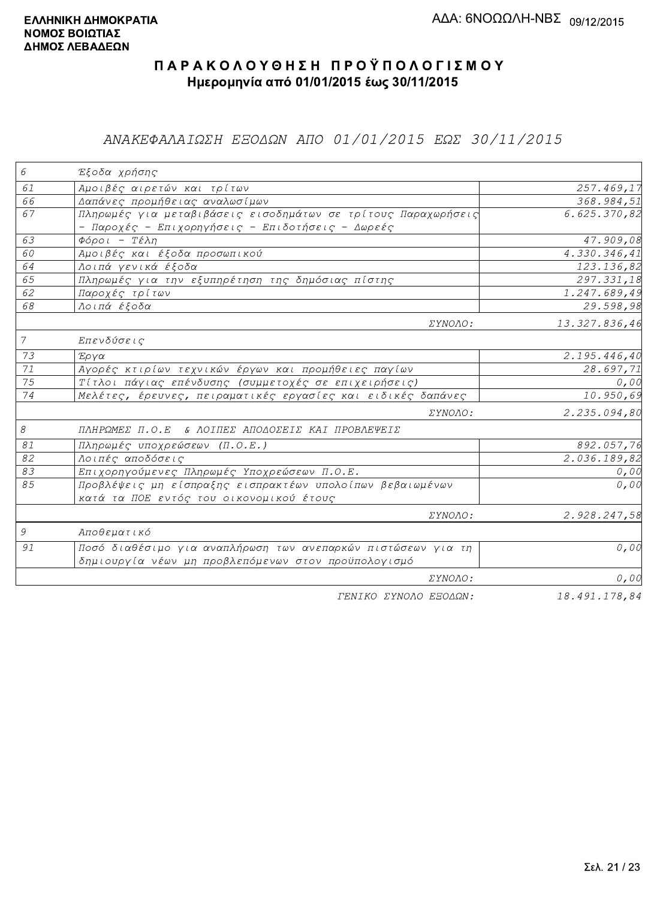### ΑΝΑΚΕΦΑΛΑΙΩΣΗ ΕΞΟΔΩΝ ΑΠΟ 01/01/2015 ΕΩΣ 30/11/2015

| 6              | Έξοδα χρήσης                                                  |                           |
|----------------|---------------------------------------------------------------|---------------------------|
| 61             | Αμοιβές αιρετών και τρίτων                                    | 257.469,17                |
| 66             | Δαπάνες προμήθειας αναλωσίμων                                 | 368.984,51                |
| 67             | Πληρωμές για μεταβιβάσεις εισοδημάτων σε τρίτους Παραχωρήσεις | 6.625.370,82              |
|                | - Παροχές - Επιχορηγήσεις - Επιδοτήσεις - Δωρεές              |                           |
| 63             | $\Phi$ όροι - Τέλη                                            | 47.909,08                 |
| 60             | Αμοιβές και έξοδα προσωπικού                                  | 4.330.346,41              |
| 64             | Λοιπά γενικά έξοδα                                            | 123.136,82                |
| 65             | Πληρωμές για την εξυπηρέτηση της δημόσιας πίστης              | 297.331,18                |
| 62             | Παροχές τρίτων                                                | $\overline{1.247.689,49}$ |
| 68             | Λοιπά έξοδα                                                   | 29.598,98                 |
|                | ΣΥΝΟΛΟ:                                                       | 13.327.836,46             |
| $\overline{7}$ | Επενδύσεις                                                    |                           |
| 73             | Έργα                                                          | 2.195.446,40              |
| 71             | Αγορές κτιρίων τεχνικών έργων και προμήθειες παγίων           | 28.697,71                 |
| 75             | Τίτλοι πάγιας επένδυσης (συμμετοχές σε επιχειρήσεις)          | 0,00                      |
| 74             | Μελέτες, έρευνες, πειραματικές εργασίες και ειδικές δαπάνες   | 10.950,69                 |
|                | ΣΥΝΟΛΟ:                                                       | 2.235.094,80              |
| 8              | ΠΛΗΡΩΜΕΣ Π.Ο.Ε & ΛΟΙΠΕΣ ΑΠΟΔΟΣΕΙΣ ΚΑΙ ΠΡΟΒΛΕΨΕΙΣ              |                           |
| 81             | Πληρωμές υποχρεώσεων (Π.Ο.Ε.)                                 | 892.057,76                |
| 82             | Λοιπές αποδόσεις                                              | 2.036.189, 82             |
| 83             | Επιχορηγούμενες Πληρωμές Υποχρεώσεων Π.Ο.Ε.                   | 0,00                      |
| 85             | Προβλέψεις μη είσπραξης εισπρακτέων υπολοίπων βεβαιωμένων     | 0,00                      |
|                | κατά τα ΠΟΕ εντός του οικονομικού έτους                       |                           |
|                | ΣΥΝΟΛΟ:                                                       | 2.928.247,58              |
| 9              | Αποθεματικό                                                   |                           |
| 91             | Ποσό διαθέσιμο για αναπλήρωση των ανεπαρκών πιστώσεων για τη  | 0,00                      |
|                | δημιουργία νέων μη προβλεπόμενων στον προϋπολογισμό           |                           |
|                | ΣΥΝΟΛΟ:                                                       | 0,00                      |
|                | FENIKO XYNOAO ESOAON:                                         | 18,491,178,84             |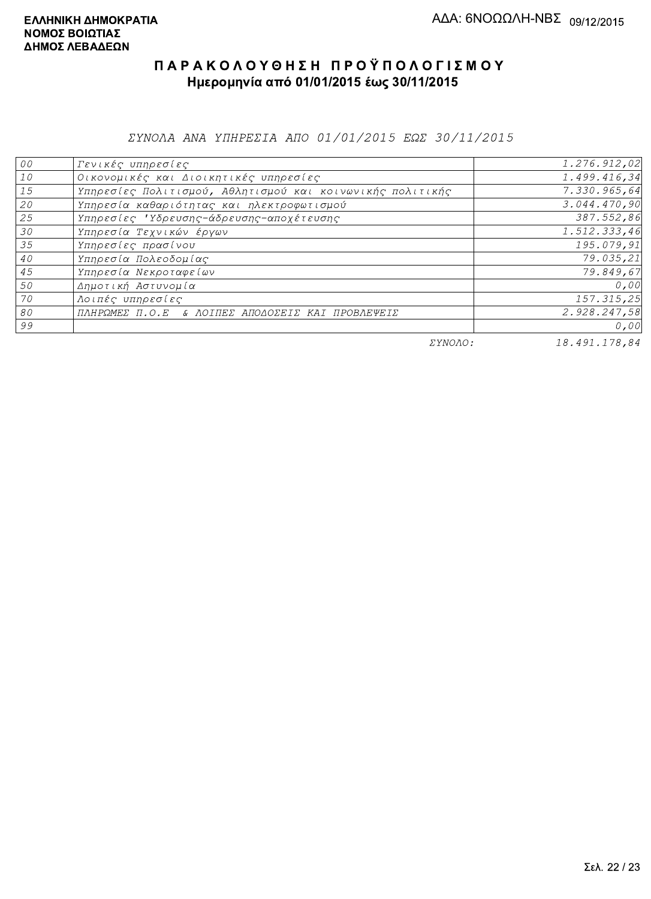ΣΥΝΟΛΑ ΑΝΑ ΥΠΗΡΕΣΙΑ ΑΠΟ 01/01/2015 ΕΩΣ 30/11/2015

| 00 | Γενικές υπηρεσίες                                         | 1.276.912,02 |
|----|-----------------------------------------------------------|--------------|
| 10 | Οικονομικές και Διοικητικές υπηρεσίες                     | 1.499.416,34 |
| 15 | Υπηρεσίες Πολιτισμού, Αθλητισμού και κοινωνικής πολιτικής | 7.330.965,64 |
| 20 | Υπηρεσία καθαριότητας και ηλεκτροφωτισμού                 | 3.044.470,90 |
| 25 | Υπηρεσίες 'Υδρευσης-άδρευσης-αποχέτευσης                  | 387.552,86   |
| 30 | Υπηρεσία Τεχνικών έργων                                   | 1.512.333,46 |
| 35 | Υπηρεσίες πρασίνου                                        | 195.079,91   |
| 40 | Υπηρεσία Πολεοδομίας                                      | 79.035,21    |
| 45 | Υπηρεσία Νεκροταφείων                                     | 79.849,67    |
| 50 | Δημοτική Αστυνομία                                        | 0,00         |
| 70 | Λοιπές υπηρεσίες                                          | 157.315,25   |
| 80 | ΠΛΗΡΩΜΕΣ Π.Ο.Ε & ΛΟΙΠΕΣ ΑΠΟΔΟΣΕΙΣ ΚΑΙ ΠΡΟΒΛΕΨΕΙΣ          | 2.928.247,58 |
| 99 |                                                           | 0,00         |

ΣΥΝΟΛΟ:

18.491.178,84